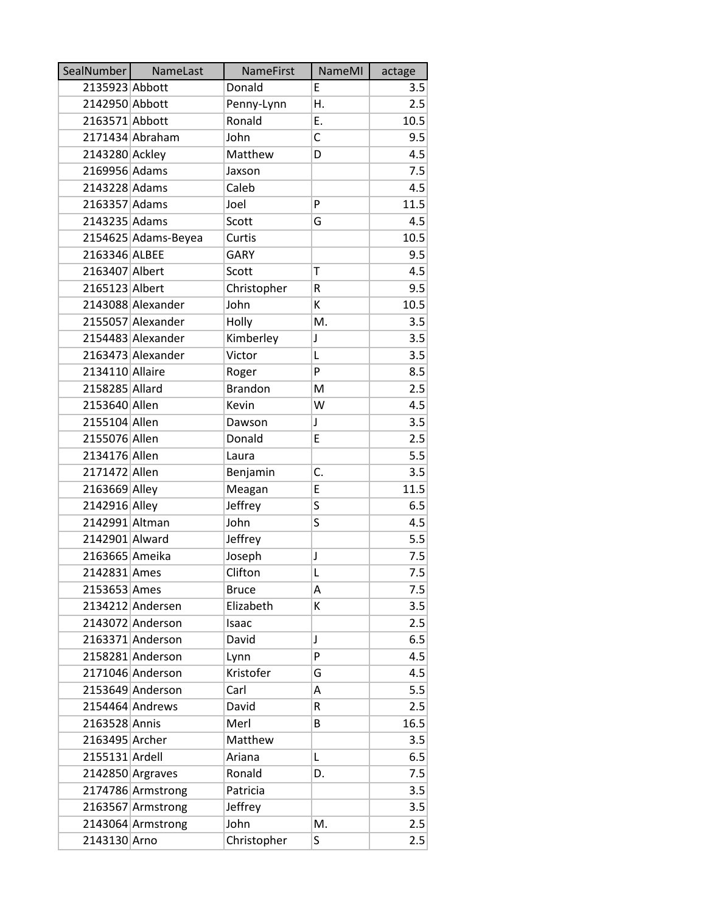| SealNumber      | NameLast            | <b>NameFirst</b> | NameMI | actage |
|-----------------|---------------------|------------------|--------|--------|
| 2135923 Abbott  |                     | Donald           | E      | 3.5    |
| 2142950 Abbott  |                     | Penny-Lynn       | Η.     | 2.5    |
| 2163571 Abbott  |                     | Ronald           | E.     | 10.5   |
|                 | 2171434 Abraham     | John             | C      | 9.5    |
| 2143280 Ackley  |                     | Matthew          | D      | 4.5    |
| 2169956 Adams   |                     | Jaxson           |        | 7.5    |
| 2143228 Adams   |                     | Caleb            |        | 4.5    |
| 2163357 Adams   |                     | Joel             | P      | 11.5   |
| 2143235 Adams   |                     | Scott            | G      | 4.5    |
|                 | 2154625 Adams-Beyea | Curtis           |        | 10.5   |
| 2163346 ALBEE   |                     | <b>GARY</b>      |        | 9.5    |
| 2163407 Albert  |                     | Scott            | т      | 4.5    |
| 2165123 Albert  |                     | Christopher      | R      | 9.5    |
|                 | 2143088 Alexander   | John             | К      | 10.5   |
|                 | 2155057 Alexander   | Holly            | M.     | 3.5    |
|                 | 2154483 Alexander   | Kimberley        | J      | 3.5    |
|                 | 2163473 Alexander   | Victor           | L      | 3.5    |
| 2134110 Allaire |                     | Roger            | P      | 8.5    |
| 2158285 Allard  |                     | <b>Brandon</b>   | M      | 2.5    |
| 2153640 Allen   |                     | Kevin            | W      | 4.5    |
| 2155104 Allen   |                     | Dawson           | J      | 3.5    |
| 2155076 Allen   |                     | Donald           | E      | 2.5    |
| 2134176 Allen   |                     | Laura            |        | 5.5    |
| 2171472 Allen   |                     | Benjamin         | C.     | 3.5    |
| 2163669 Alley   |                     | Meagan           | E      | 11.5   |
| 2142916 Alley   |                     | Jeffrey          | S      | 6.5    |
| 2142991 Altman  |                     | John             | S      | 4.5    |
| 2142901 Alward  |                     | Jeffrey          |        | 5.5    |
| 2163665 Ameika  |                     | Joseph           | J      | 7.5    |
| 2142831 Ames    |                     | Clifton          | L      | 7.5    |
| 2153653 Ames    |                     | <b>Bruce</b>     | A      | 7.5    |
|                 | 2134212 Andersen    | Elizabeth        | K      | 3.5    |
|                 | 2143072 Anderson    | Isaac            |        | 2.5    |
|                 | 2163371 Anderson    | David            | J      | 6.5    |
|                 | 2158281 Anderson    | Lynn             | P      | 4.5    |
|                 | 2171046 Anderson    | Kristofer        | G      | 4.5    |
|                 | 2153649 Anderson    | Carl             | А      | 5.5    |
|                 | 2154464 Andrews     | David            | R      | 2.5    |
| 2163528 Annis   |                     | Merl             | B      | 16.5   |
| 2163495 Archer  |                     | Matthew          |        | 3.5    |
| 2155131 Ardell  |                     | Ariana           | L      | 6.5    |
|                 | 2142850 Argraves    | Ronald           | D.     | 7.5    |
|                 | 2174786 Armstrong   | Patricia         |        | 3.5    |
|                 | 2163567 Armstrong   | Jeffrey          |        | 3.5    |
|                 | 2143064 Armstrong   | John             | Μ.     | 2.5    |
| 2143130 Arno    |                     | Christopher      | S      | 2.5    |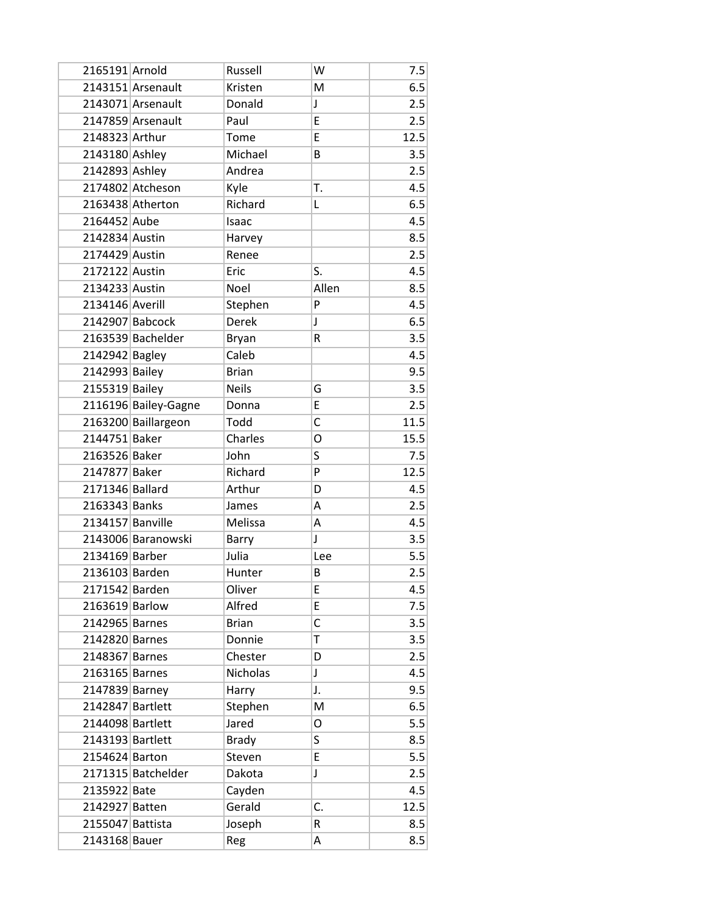| 2165191 Arnold   |                      | Russell      | W           | 7.5  |
|------------------|----------------------|--------------|-------------|------|
|                  | 2143151 Arsenault    | Kristen      | M           | 6.5  |
|                  | 2143071 Arsenault    | Donald       | J           | 2.5  |
|                  | 2147859 Arsenault    | Paul         | E           | 2.5  |
| 2148323 Arthur   |                      | Tome         | E           | 12.5 |
| 2143180 Ashley   |                      | Michael      | B           | 3.5  |
| 2142893 Ashley   |                      | Andrea       |             | 2.5  |
|                  | 2174802 Atcheson     | Kyle         | T.          | 4.5  |
|                  | 2163438 Atherton     | Richard      | Г           | 6.5  |
| 2164452 Aube     |                      | Isaac        |             | 4.5  |
| 2142834 Austin   |                      | Harvey       |             | 8.5  |
| 2174429 Austin   |                      | Renee        |             | 2.5  |
| 2172122 Austin   |                      | Eric         | S.          | 4.5  |
| 2134233 Austin   |                      | Noel         | Allen       | 8.5  |
| 2134146 Averill  |                      | Stephen      | P           | 4.5  |
| 2142907 Babcock  |                      | <b>Derek</b> | $\mathsf J$ | 6.5  |
|                  | 2163539 Bachelder    | <b>Bryan</b> | R           | 3.5  |
| 2142942 Bagley   |                      | Caleb        |             | 4.5  |
| 2142993 Bailey   |                      | <b>Brian</b> |             | 9.5  |
| 2155319 Bailey   |                      | <b>Neils</b> | G           | 3.5  |
|                  | 2116196 Bailey-Gagne | Donna        | E           | 2.5  |
|                  | 2163200 Baillargeon  | Todd         | C           | 11.5 |
| 2144751 Baker    |                      | Charles      | O           | 15.5 |
| 2163526 Baker    |                      | John         | S           | 7.5  |
| 2147877 Baker    |                      | Richard      | P           | 12.5 |
| 2171346 Ballard  |                      | Arthur       | D           | 4.5  |
| 2163343 Banks    |                      | James        | Α           | 2.5  |
| 2134157 Banville |                      | Melissa      | A           | 4.5  |
|                  | 2143006 Baranowski   | Barry        | J           | 3.5  |
| 2134169 Barber   |                      | Julia        | Lee         | 5.5  |
| 2136103 Barden   |                      | Hunter       | B           | 2.5  |
| 2171542 Barden   |                      | Oliver       | Е           | 4.5  |
| 2163619 Barlow   |                      | Alfred       | E           | 7.5  |
| 2142965 Barnes   |                      | <b>Brian</b> | C           | 3.5  |
| 2142820 Barnes   |                      | Donnie       | T           | 3.5  |
| 2148367 Barnes   |                      | Chester      | D           | 2.5  |
| 2163165 Barnes   |                      | Nicholas     | J           | 4.5  |
| 2147839 Barney   |                      | Harry        | J.          | 9.5  |
| 2142847 Bartlett |                      | Stephen      | M           | 6.5  |
| 2144098 Bartlett |                      | Jared        | O           | 5.5  |
| 2143193 Bartlett |                      | <b>Brady</b> | S           | 8.5  |
| 2154624 Barton   |                      | Steven       | E           | 5.5  |
|                  | 2171315 Batchelder   | Dakota       | J           | 2.5  |
| 2135922 Bate     |                      | Cayden       |             | 4.5  |
| 2142927 Batten   |                      | Gerald       | C.          | 12.5 |
| 2155047 Battista |                      | Joseph       | R           | 8.5  |
| 2143168 Bauer    |                      | Reg          | Α           | 8.5  |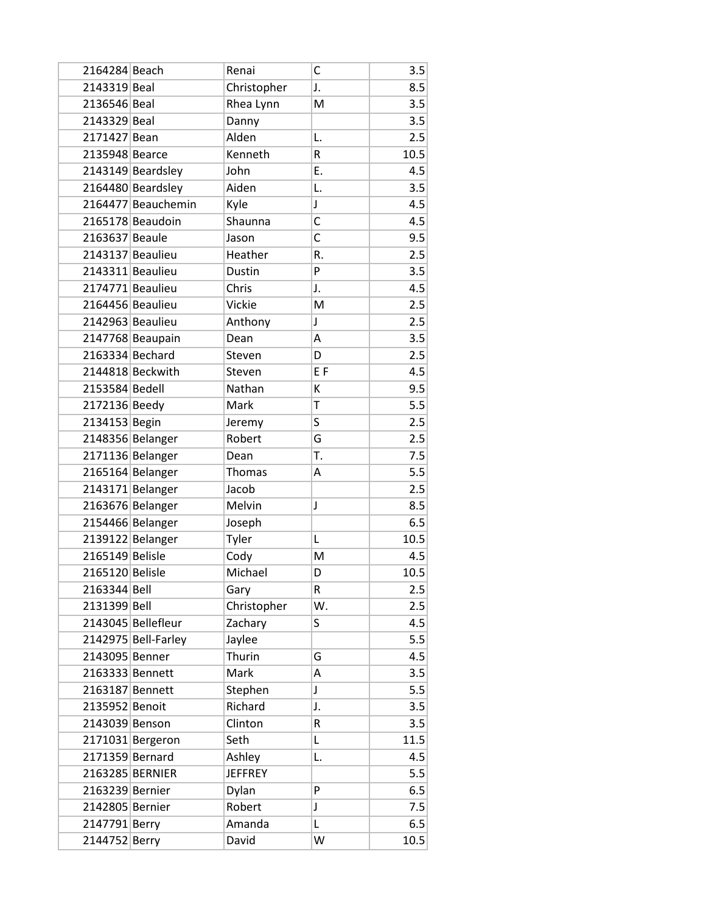| 2164284 Beach   |                     | Renai          | C              | 3.5  |
|-----------------|---------------------|----------------|----------------|------|
| 2143319 Beal    |                     | Christopher    | J.             | 8.5  |
| 2136546 Beal    |                     | Rhea Lynn      | M              | 3.5  |
| 2143329 Beal    |                     | Danny          |                | 3.5  |
| 2171427 Bean    |                     | Alden          | L.             | 2.5  |
| 2135948 Bearce  |                     | Kenneth        | R              | 10.5 |
|                 | 2143149 Beardsley   | John           | Ε.             | 4.5  |
|                 | 2164480 Beardsley   | Aiden          | L.             | 3.5  |
|                 | 2164477 Beauchemin  | Kyle           | J              | 4.5  |
|                 | 2165178 Beaudoin    | Shaunna        | C              | 4.5  |
| 2163637 Beaule  |                     | Jason          | C              | 9.5  |
|                 | 2143137 Beaulieu    | Heather        | R.             | 2.5  |
|                 | 2143311 Beaulieu    | Dustin         | P              | 3.5  |
|                 | 2174771 Beaulieu    | Chris          | J.             | 4.5  |
|                 | 2164456 Beaulieu    | Vickie         | M              | 2.5  |
|                 | 2142963 Beaulieu    | Anthony        | $\mathsf J$    | 2.5  |
|                 | 2147768 Beaupain    | Dean           | Α              | 3.5  |
| 2163334 Bechard |                     | Steven         | D              | 2.5  |
|                 | 2144818 Beckwith    | Steven         | E <sub>F</sub> | 4.5  |
| 2153584 Bedell  |                     | Nathan         | К              | 9.5  |
| 2172136 Beedy   |                     | Mark           | T              | 5.5  |
| 2134153 Begin   |                     | Jeremy         | S              | 2.5  |
|                 | 2148356 Belanger    | Robert         | G              | 2.5  |
|                 | 2171136 Belanger    | Dean           | T.             | 7.5  |
|                 | 2165164 Belanger    | Thomas         | А              | 5.5  |
|                 | 2143171 Belanger    | Jacob          |                | 2.5  |
|                 | 2163676 Belanger    | Melvin         | J              | 8.5  |
|                 | 2154466 Belanger    | Joseph         |                | 6.5  |
|                 | 2139122 Belanger    | Tyler          | L              | 10.5 |
| 2165149 Belisle |                     | Cody           | M              | 4.5  |
| 2165120 Belisle |                     | Michael        | D              | 10.5 |
| 2163344 Bell    |                     | Gary           | R              | 2.5  |
| 2131399 Bell    |                     | Christopher    | W.             | 2.5  |
|                 | 2143045 Bellefleur  | Zachary        | S              | 4.5  |
|                 | 2142975 Bell-Farley | Jaylee         |                | 5.5  |
| 2143095 Benner  |                     | Thurin         | G              | 4.5  |
| 2163333 Bennett |                     | Mark           | Α              | 3.5  |
| 2163187 Bennett |                     | Stephen        | J              | 5.5  |
| 2135952 Benoit  |                     | Richard        | J.             | 3.5  |
| 2143039 Benson  |                     | Clinton        | R              | 3.5  |
|                 | 2171031 Bergeron    | Seth           | L              | 11.5 |
| 2171359 Bernard |                     | Ashley         | L.             | 4.5  |
|                 | 2163285 BERNIER     | <b>JEFFREY</b> |                | 5.5  |
| 2163239 Bernier |                     | Dylan          | P              | 6.5  |
| 2142805 Bernier |                     | Robert         | J              | 7.5  |
| 2147791 Berry   |                     | Amanda         | L              | 6.5  |
| 2144752 Berry   |                     | David          | W              | 10.5 |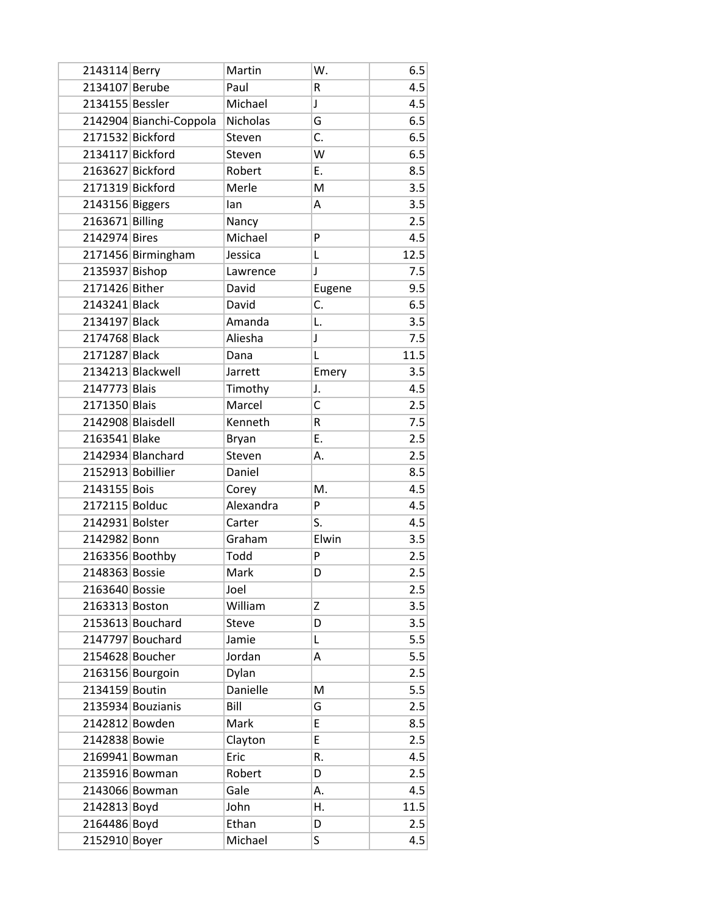| 2143114 Berry     |                         | Martin       | W.     | 6.5  |
|-------------------|-------------------------|--------------|--------|------|
| 2134107 Berube    |                         | Paul         | R      | 4.5  |
| 2134155 Bessler   |                         | Michael      | J      | 4.5  |
|                   | 2142904 Bianchi-Coppola | Nicholas     | G      | 6.5  |
| 2171532 Bickford  |                         | Steven       | C.     | 6.5  |
| 2134117 Bickford  |                         | Steven       | W      | 6.5  |
| 2163627 Bickford  |                         | Robert       | Ε.     | 8.5  |
| 2171319 Bickford  |                         | Merle        | M      | 3.5  |
| 2143156 Biggers   |                         | lan          | Α      | 3.5  |
| 2163671 Billing   |                         | Nancy        |        | 2.5  |
| 2142974 Bires     |                         | Michael      | P      | 4.5  |
|                   | 2171456 Birmingham      | Jessica      | L      | 12.5 |
| 2135937 Bishop    |                         | Lawrence     | J      | 7.5  |
| 2171426 Bither    |                         | David        | Eugene | 9.5  |
| 2143241 Black     |                         | David        | C.     | 6.5  |
| 2134197 Black     |                         | Amanda       | L.     | 3.5  |
| 2174768 Black     |                         | Aliesha      | J      | 7.5  |
| 2171287 Black     |                         | Dana         | L      | 11.5 |
|                   | 2134213 Blackwell       | Jarrett      | Emery  | 3.5  |
| 2147773 Blais     |                         | Timothy      | J.     | 4.5  |
| 2171350 Blais     |                         | Marcel       | C      | 2.5  |
| 2142908 Blaisdell |                         | Kenneth      | R      | 7.5  |
| 2163541 Blake     |                         | <b>Bryan</b> | E.     | 2.5  |
|                   | 2142934 Blanchard       | Steven       | А.     | 2.5  |
| 2152913 Bobillier |                         | Daniel       |        | 8.5  |
| 2143155 Bois      |                         | Corey        | M.     | 4.5  |
| 2172115 Bolduc    |                         | Alexandra    | P      | 4.5  |
| 2142931 Bolster   |                         | Carter       | S.     | 4.5  |
| 2142982 Bonn      |                         | Graham       | Elwin  | 3.5  |
| 2163356 Boothby   |                         | Todd         | P      | 2.5  |
| 2148363 Bossie    |                         | Mark         | D      | 2.5  |
| 2163640 Bossie    |                         | Joel         |        | 2.5  |
| 2163313 Boston    |                         | William      | Ζ      | 3.5  |
|                   | 2153613 Bouchard        | <b>Steve</b> | D      | 3.5  |
|                   | 2147797 Bouchard        | Jamie        | Г      | 5.5  |
| 2154628 Boucher   |                         | Jordan       | Α      | 5.5  |
|                   | 2163156 Bourgoin        | Dylan        |        | 2.5  |
| 2134159 Boutin    |                         | Danielle     | M      | 5.5  |
|                   | 2135934 Bouzianis       | Bill         | G      | 2.5  |
| 2142812 Bowden    |                         | Mark         | E      | 8.5  |
| 2142838 Bowie     |                         | Clayton      | E      | 2.5  |
|                   | 2169941 Bowman          | Eric         | R.     | 4.5  |
|                   | 2135916 Bowman          | Robert       | D      | 2.5  |
|                   | 2143066 Bowman          | Gale         | А.     | 4.5  |
| 2142813 Boyd      |                         | John         | Η.     | 11.5 |
| 2164486 Boyd      |                         | Ethan        | D      | 2.5  |
| 2152910 Boyer     |                         | Michael      | S      | 4.5  |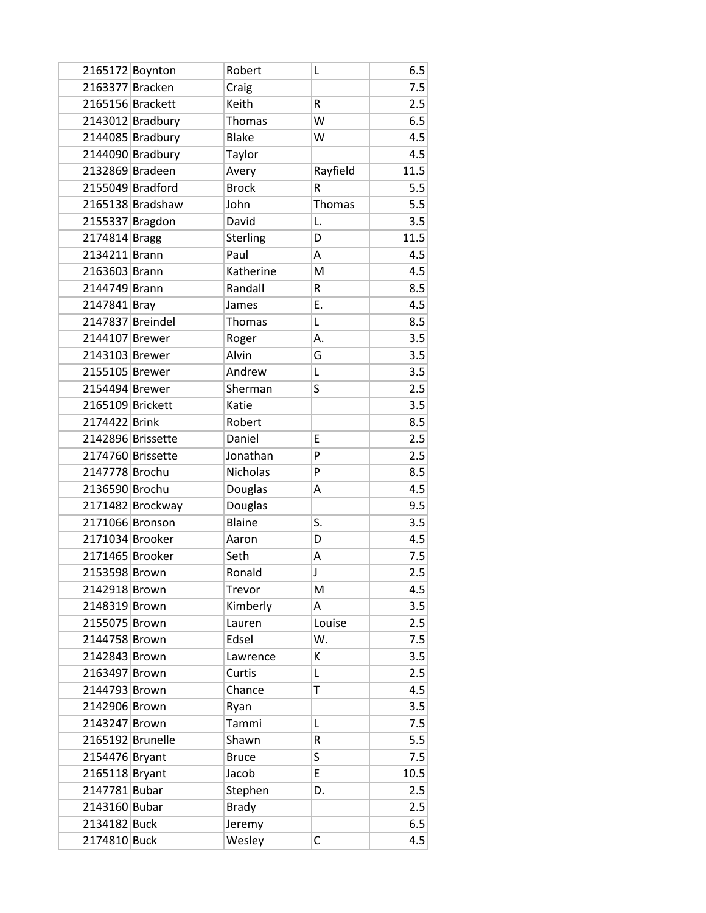| 2165172 Boynton  |                   | Robert          | L        | 6.5  |
|------------------|-------------------|-----------------|----------|------|
| 2163377 Bracken  |                   | Craig           |          | 7.5  |
| 2165156 Brackett |                   | Keith           | R        | 2.5  |
|                  | 2143012 Bradbury  | <b>Thomas</b>   | W        | 6.5  |
|                  | 2144085 Bradbury  | <b>Blake</b>    | W        | 4.5  |
|                  | 2144090 Bradbury  | Taylor          |          | 4.5  |
| 2132869 Bradeen  |                   | Avery           | Rayfield | 11.5 |
|                  | 2155049 Bradford  | <b>Brock</b>    | R        | 5.5  |
|                  | 2165138 Bradshaw  | John            | Thomas   | 5.5  |
| 2155337 Bragdon  |                   | David           | L.       | 3.5  |
| 2174814 Bragg    |                   | <b>Sterling</b> | D        | 11.5 |
| 2134211 Brann    |                   | Paul            | Α        | 4.5  |
| 2163603 Brann    |                   | Katherine       | M        | 4.5  |
| 2144749 Brann    |                   | Randall         | R        | 8.5  |
| 2147841 Bray     |                   | James           | Ε.       | 4.5  |
| 2147837 Breindel |                   | Thomas          | L        | 8.5  |
| 2144107 Brewer   |                   | Roger           | А.       | 3.5  |
| 2143103 Brewer   |                   | Alvin           | G        | 3.5  |
| 2155105 Brewer   |                   | Andrew          | L        | 3.5  |
| 2154494 Brewer   |                   | Sherman         | S        | 2.5  |
| 2165109 Brickett |                   | Katie           |          | 3.5  |
| 2174422 Brink    |                   | Robert          |          | 8.5  |
|                  | 2142896 Brissette | Daniel          | E        | 2.5  |
|                  | 2174760 Brissette | Jonathan        | P        | 2.5  |
| 2147778 Brochu   |                   | <b>Nicholas</b> | P        | 8.5  |
| 2136590 Brochu   |                   | Douglas         | Α        | 4.5  |
|                  | 2171482 Brockway  | Douglas         |          | 9.5  |
| 2171066 Bronson  |                   | <b>Blaine</b>   | S.       | 3.5  |
| 2171034 Brooker  |                   | Aaron           | D        | 4.5  |
| 2171465 Brooker  |                   | Seth            | А        | 7.5  |
| 2153598 Brown    |                   | Ronald          | J        | 2.5  |
| 2142918 Brown    |                   | <b>Trevor</b>   | M        | 4.5  |
| 2148319 Brown    |                   | Kimberly        | Α        | 3.5  |
| 2155075 Brown    |                   | Lauren          | Louise   | 2.5  |
| 2144758 Brown    |                   | Edsel           | W.       | 7.5  |
| 2142843 Brown    |                   | Lawrence        | К        | 3.5  |
| 2163497 Brown    |                   | Curtis          | Г        | 2.5  |
| 2144793 Brown    |                   | Chance          | T        | 4.5  |
| 2142906 Brown    |                   | Ryan            |          | 3.5  |
| 2143247 Brown    |                   | Tammi           | L        | 7.5  |
| 2165192 Brunelle |                   | Shawn           | R        | 5.5  |
| 2154476 Bryant   |                   | <b>Bruce</b>    | S        | 7.5  |
| 2165118 Bryant   |                   | Jacob           | E        | 10.5 |
| 2147781 Bubar    |                   | Stephen         | D.       | 2.5  |
| 2143160 Bubar    |                   | <b>Brady</b>    |          | 2.5  |
| 2134182 Buck     |                   | Jeremy          |          | 6.5  |
| 2174810 Buck     |                   | Wesley          | C        | 4.5  |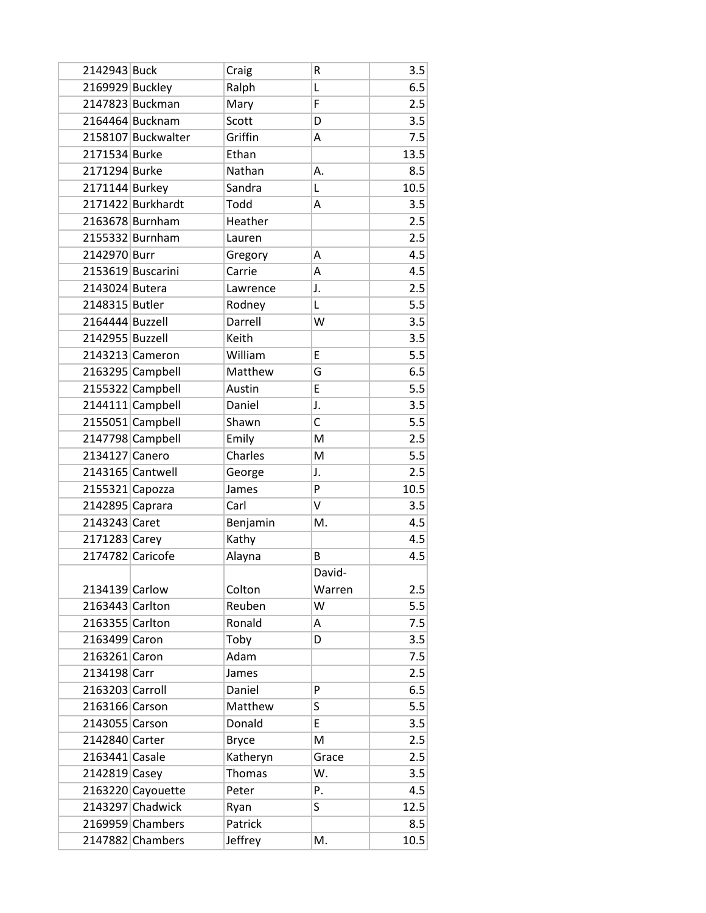| 2142943 Buck     |                    | Craig        | R      | 3.5  |
|------------------|--------------------|--------------|--------|------|
| 2169929 Buckley  |                    | Ralph        | Г      | 6.5  |
|                  | 2147823 Buckman    | Mary         | F      | 2.5  |
|                  | 2164464 Bucknam    | Scott        | D      | 3.5  |
|                  | 2158107 Buckwalter | Griffin      | Α      | 7.5  |
| 2171534 Burke    |                    | Ethan        |        | 13.5 |
| 2171294 Burke    |                    | Nathan       | А.     | 8.5  |
| 2171144 Burkey   |                    | Sandra       | L      | 10.5 |
|                  | 2171422 Burkhardt  | Todd         | A      | 3.5  |
|                  | 2163678 Burnham    | Heather      |        | 2.5  |
|                  | 2155332 Burnham    | Lauren       |        | 2.5  |
| 2142970 Burr     |                    | Gregory      | A      | 4.5  |
|                  | 2153619 Buscarini  | Carrie       | Α      | 4.5  |
| 2143024 Butera   |                    | Lawrence     | J.     | 2.5  |
| 2148315 Butler   |                    | Rodney       | L      | 5.5  |
| 2164444 Buzzell  |                    | Darrell      | W      | 3.5  |
| 2142955 Buzzell  |                    | Keith        |        | 3.5  |
|                  | 2143213 Cameron    | William      | E      | 5.5  |
|                  | 2163295 Campbell   | Matthew      | G      | 6.5  |
|                  | 2155322 Campbell   | Austin       | E      | 5.5  |
|                  | 2144111 Campbell   | Daniel       | J.     | 3.5  |
|                  | 2155051 Campbell   | Shawn        | C      | 5.5  |
|                  | 2147798 Campbell   | Emily        | M      | 2.5  |
| 2134127 Canero   |                    | Charles      | M      | 5.5  |
|                  | 2143165 Cantwell   | George       | J.     | 2.5  |
| 2155321 Capozza  |                    | James        | P      | 10.5 |
| 2142895 Caprara  |                    | Carl         | V      | 3.5  |
| 2143243 Caret    |                    | Benjamin     | M.     | 4.5  |
| 2171283 Carey    |                    | Kathy        |        | 4.5  |
| 2174782 Caricofe |                    | Alayna       | B      | 4.5  |
|                  |                    |              | David- |      |
| 2134139 Carlow   |                    | Colton       | Warren | 2.5  |
| 2163443 Carlton  |                    | Reuben       | W      | 5.5  |
| 2163355 Carlton  |                    | Ronald       | Α      | 7.5  |
| 2163499 Caron    |                    | Toby         | D      | 3.5  |
| 2163261 Caron    |                    | Adam         |        | 7.5  |
| 2134198 Carr     |                    | James        |        | 2.5  |
| 2163203 Carroll  |                    | Daniel       | P      | 6.5  |
| 2163166 Carson   |                    | Matthew      | S      | 5.5  |
| 2143055 Carson   |                    | Donald       | E      | 3.5  |
| 2142840 Carter   |                    | <b>Bryce</b> | M      | 2.5  |
| 2163441 Casale   |                    | Katheryn     | Grace  | 2.5  |
| 2142819 Casey    |                    | Thomas       | W.     | 3.5  |
|                  | 2163220 Cayouette  | Peter        | P.     | 4.5  |
|                  | 2143297 Chadwick   | Ryan         | S      | 12.5 |
|                  | 2169959 Chambers   | Patrick      |        | 8.5  |
|                  | 2147882 Chambers   | Jeffrey      | M.     | 10.5 |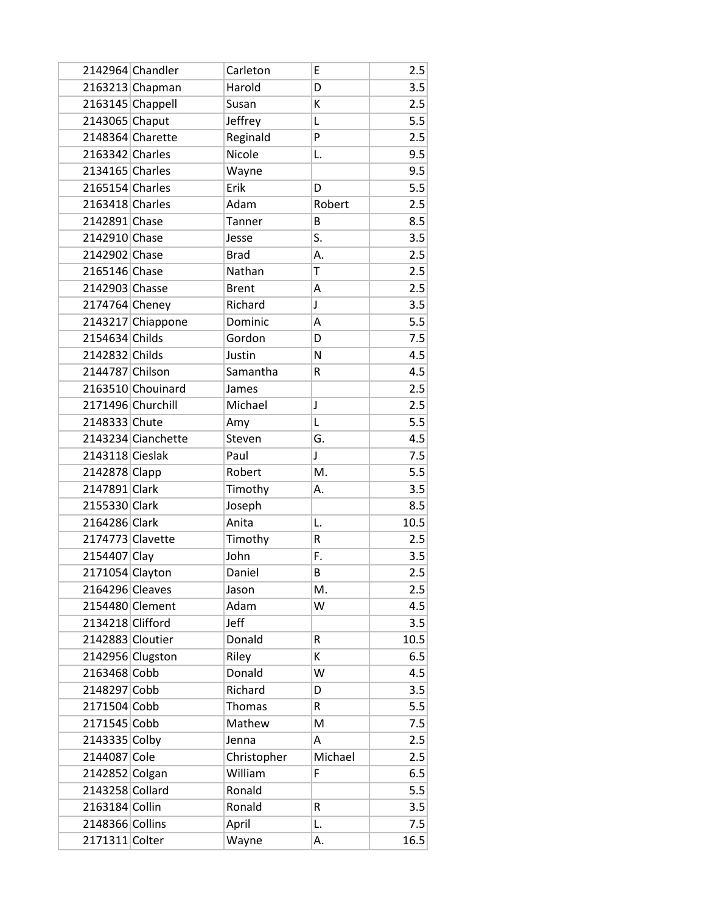|                  | 2142964 Chandler   | Carleton     | E       | 2.5  |
|------------------|--------------------|--------------|---------|------|
|                  | 2163213 Chapman    | Harold       | D       | 3.5  |
|                  | 2163145 Chappell   | Susan        | К       | 2.5  |
| 2143065 Chaput   |                    | Jeffrey      | L       | 5.5  |
|                  | 2148364 Charette   | Reginald     | P       | 2.5  |
| 2163342 Charles  |                    | Nicole       | L.      | 9.5  |
| 2134165 Charles  |                    | Wayne        |         | 9.5  |
| 2165154 Charles  |                    | Erik         | D       | 5.5  |
| 2163418 Charles  |                    | Adam         | Robert  | 2.5  |
| 2142891 Chase    |                    | Tanner       | B       | 8.5  |
| 2142910 Chase    |                    | Jesse        | S.      | 3.5  |
| 2142902 Chase    |                    | <b>Brad</b>  | Α.      | 2.5  |
| 2165146 Chase    |                    | Nathan       | T       | 2.5  |
| 2142903 Chasse   |                    | <b>Brent</b> | A       | 2.5  |
| 2174764 Cheney   |                    | Richard      | J       | 3.5  |
|                  | 2143217 Chiappone  | Dominic      | Α       | 5.5  |
| 2154634 Childs   |                    | Gordon       | D       | 7.5  |
| 2142832 Childs   |                    | Justin       | N       | 4.5  |
| 2144787 Chilson  |                    | Samantha     | R       | 4.5  |
|                  | 2163510 Chouinard  | James        |         | 2.5  |
|                  | 2171496 Churchill  | Michael      | J       | 2.5  |
| 2148333 Chute    |                    | Amy          | L       | 5.5  |
|                  | 2143234 Cianchette | Steven       | G.      | 4.5  |
| 2143118 Cieslak  |                    | Paul         | J       | 7.5  |
| 2142878 Clapp    |                    | Robert       | M.      | 5.5  |
| 2147891 Clark    |                    | Timothy      | А.      | 3.5  |
| 2155330 Clark    |                    | Joseph       |         | 8.5  |
| 2164286 Clark    |                    | Anita        | L.      | 10.5 |
| 2174773 Clavette |                    | Timothy      | R       | 2.5  |
| 2154407 Clay     |                    | John         | F.      | 3.5  |
| 2171054 Clayton  |                    | Daniel       | B       | 2.5  |
| 2164296 Cleaves  |                    | Jason        | M.      | 2.5  |
|                  | 2154480 Clement    | Adam         | W       | 4.5  |
| 2134218 Clifford |                    | Jeff         |         | 3.5  |
| 2142883 Cloutier |                    | Donald       | R       | 10.5 |
|                  | 2142956 Clugston   | Riley        | К       | 6.5  |
| 2163468 Cobb     |                    | Donald       | W       | 4.5  |
| 2148297 Cobb     |                    | Richard      | D       | 3.5  |
| 2171504 Cobb     |                    | Thomas       | R       | 5.5  |
| 2171545 Cobb     |                    | Mathew       | M       | 7.5  |
| 2143335 Colby    |                    | Jenna        | A       | 2.5  |
| 2144087 Cole     |                    | Christopher  | Michael | 2.5  |
| 2142852 Colgan   |                    | William      | F       | 6.5  |
| 2143258 Collard  |                    | Ronald       |         | 5.5  |
| 2163184 Collin   |                    | Ronald       | R       | 3.5  |
| 2148366 Collins  |                    | April        | L.      | 7.5  |
| 2171311 Colter   |                    | Wayne        | А.      | 16.5 |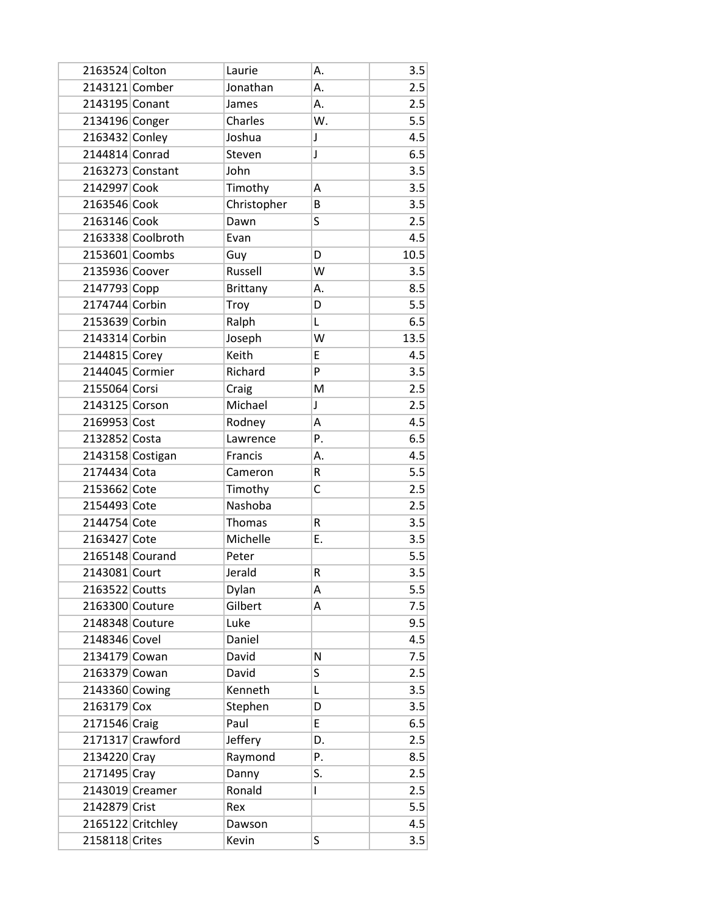| 2163524 Colton   |                   | Laurie          | А.          | 3.5  |
|------------------|-------------------|-----------------|-------------|------|
| 2143121 Comber   |                   | Jonathan        | А.          | 2.5  |
| 2143195 Conant   |                   | James           | А.          | 2.5  |
| 2134196 Conger   |                   | Charles         | W.          | 5.5  |
| 2163432 Conley   |                   | Joshua          | $\mathsf J$ | 4.5  |
| 2144814 Conrad   |                   | Steven          | J           | 6.5  |
|                  | 2163273 Constant  | John            |             | 3.5  |
| 2142997 Cook     |                   | Timothy         | Α           | 3.5  |
| 2163546 Cook     |                   | Christopher     | B           | 3.5  |
| 2163146 Cook     |                   | Dawn            | S           | 2.5  |
|                  | 2163338 Coolbroth | Evan            |             | 4.5  |
| 2153601 Coombs   |                   | Guy             | D           | 10.5 |
| 2135936 Coover   |                   | Russell         | W           | 3.5  |
| 2147793 Copp     |                   | <b>Brittany</b> | А.          | 8.5  |
| 2174744 Corbin   |                   | Troy            | D           | 5.5  |
| 2153639 Corbin   |                   | Ralph           | L           | 6.5  |
| 2143314 Corbin   |                   | Joseph          | W           | 13.5 |
| 2144815 Corey    |                   | Keith           | E           | 4.5  |
| 2144045 Cormier  |                   | Richard         | P           | 3.5  |
| 2155064 Corsi    |                   | Craig           | M           | 2.5  |
| 2143125 Corson   |                   | Michael         | J           | 2.5  |
| 2169953 Cost     |                   | Rodney          | Α           | 4.5  |
| 2132852 Costa    |                   | Lawrence        | Ρ.          | 6.5  |
| 2143158 Costigan |                   | Francis         | Α.          | 4.5  |
| 2174434 Cota     |                   | Cameron         | R           | 5.5  |
| 2153662 Cote     |                   | Timothy         | C           | 2.5  |
| 2154493 Cote     |                   | Nashoba         |             | 2.5  |
| 2144754 Cote     |                   | Thomas          | R           | 3.5  |
| 2163427 Cote     |                   | Michelle        | Ε.          | 3.5  |
| 2165148 Courand  |                   | Peter           |             | 5.5  |
| 2143081 Court    |                   | Jerald          | R           | 3.5  |
| 2163522 Coutts   |                   | Dylan           | A           | 5.5  |
| 2163300 Couture  |                   | Gilbert         | А           | 7.5  |
| 2148348 Couture  |                   | Luke            |             | 9.5  |
| 2148346 Covel    |                   | Daniel          |             | 4.5  |
| 2134179 Cowan    |                   | David           | N           | 7.5  |
| 2163379 Cowan    |                   | David           | S           | 2.5  |
| 2143360 Cowing   |                   | Kenneth         | Г           | 3.5  |
| 2163179 Cox      |                   | Stephen         | D           | 3.5  |
| 2171546 Craig    |                   | Paul            | E           | 6.5  |
|                  | 2171317 Crawford  | Jeffery         | D.          | 2.5  |
| 2134220 Cray     |                   | Raymond         | P.          | 8.5  |
| 2171495 Cray     |                   | Danny           | S.          | 2.5  |
|                  | 2143019 Creamer   | Ronald          | L           | 2.5  |
| 2142879 Crist    |                   | Rex             |             | 5.5  |
|                  | 2165122 Critchley | Dawson          |             | 4.5  |
| 2158118 Crites   |                   | Kevin           | S           | 3.5  |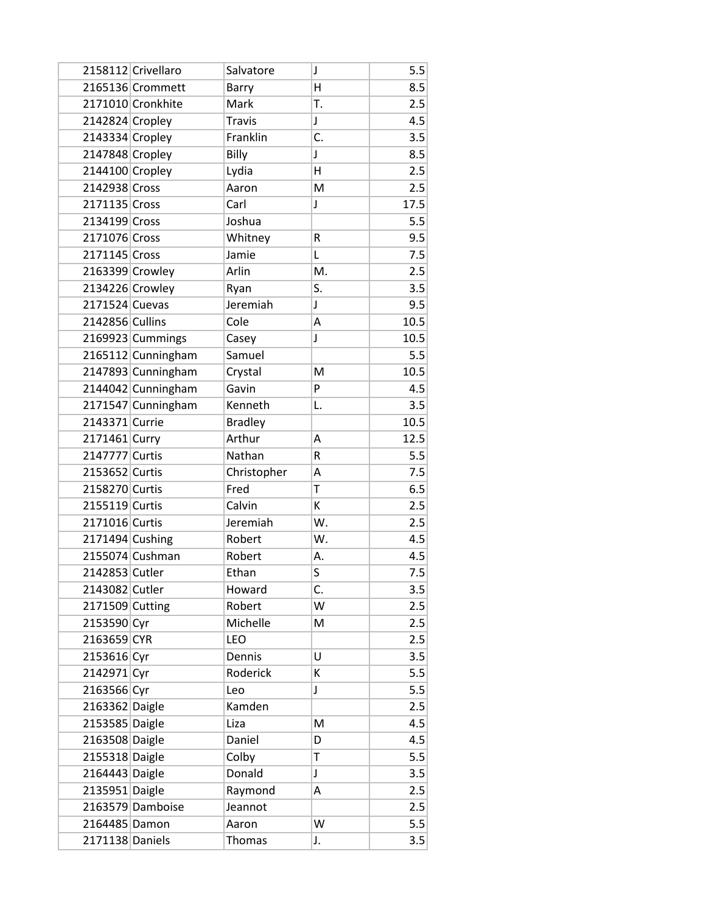|                 | 2158112 Crivellaro | Salvatore      | J           | 5.5  |
|-----------------|--------------------|----------------|-------------|------|
|                 | 2165136 Crommett   | Barry          | Η           | 8.5  |
|                 | 2171010 Cronkhite  | Mark           | Τ.          | 2.5  |
| 2142824 Cropley |                    | <b>Travis</b>  | $\mathsf J$ | 4.5  |
| 2143334 Cropley |                    | Franklin       | C.          | 3.5  |
| 2147848 Cropley |                    | Billy          | J           | 8.5  |
| 2144100 Cropley |                    | Lydia          | Η           | 2.5  |
| 2142938 Cross   |                    | Aaron          | M           | 2.5  |
| 2171135 Cross   |                    | Carl           | J           | 17.5 |
| 2134199 Cross   |                    | Joshua         |             | 5.5  |
| 2171076 Cross   |                    | Whitney        | R           | 9.5  |
| 2171145 Cross   |                    | Jamie          | L           | 7.5  |
| 2163399 Crowley |                    | Arlin          | M.          | 2.5  |
| 2134226 Crowley |                    | Ryan           | S.          | 3.5  |
| 2171524 Cuevas  |                    | Jeremiah       | J           | 9.5  |
| 2142856 Cullins |                    | Cole           | Α           | 10.5 |
|                 | 2169923 Cummings   | Casey          | J           | 10.5 |
|                 | 2165112 Cunningham | Samuel         |             | 5.5  |
|                 | 2147893 Cunningham | Crystal        | M           | 10.5 |
|                 | 2144042 Cunningham | Gavin          | P           | 4.5  |
|                 | 2171547 Cunningham | Kenneth        | L.          | 3.5  |
| 2143371 Currie  |                    | <b>Bradley</b> |             | 10.5 |
| 2171461 Curry   |                    | Arthur         | A           | 12.5 |
| 2147777 Curtis  |                    | Nathan         | R           | 5.5  |
| 2153652 Curtis  |                    | Christopher    | Α           | 7.5  |
| 2158270 Curtis  |                    | Fred           | T           | 6.5  |
| 2155119 Curtis  |                    | Calvin         | К           | 2.5  |
| 2171016 Curtis  |                    | Jeremiah       | W.          | 2.5  |
| 2171494 Cushing |                    | Robert         | W.          | 4.5  |
|                 | 2155074 Cushman    | Robert         | Α.          | 4.5  |
| 2142853 Cutler  |                    | Ethan          | S           | 7.5  |
| 2143082 Cutler  |                    | Howard         | C.          | 3.5  |
| 2171509 Cutting |                    | Robert         | W           | 2.5  |
| 2153590 Cyr     |                    | Michelle       | M           | 2.5  |
| 2163659 CYR     |                    | <b>LEO</b>     |             | 2.5  |
| 2153616 Cyr     |                    | Dennis         | U           | 3.5  |
| 2142971 Cyr     |                    | Roderick       | К           | 5.5  |
| 2163566 Cyr     |                    | Leo            | J           | 5.5  |
| 2163362 Daigle  |                    | Kamden         |             | 2.5  |
| 2153585 Daigle  |                    | Liza           | M           | 4.5  |
| 2163508 Daigle  |                    | Daniel         | D           | 4.5  |
| 2155318 Daigle  |                    | Colby          | T           | 5.5  |
| 2164443 Daigle  |                    | Donald         | J           | 3.5  |
| 2135951 Daigle  |                    | Raymond        | A           | 2.5  |
|                 | 2163579 Damboise   | Jeannot        |             | 2.5  |
| 2164485 Damon   |                    | Aaron          | W           | 5.5  |
| 2171138 Daniels |                    | Thomas         | J.          | 3.5  |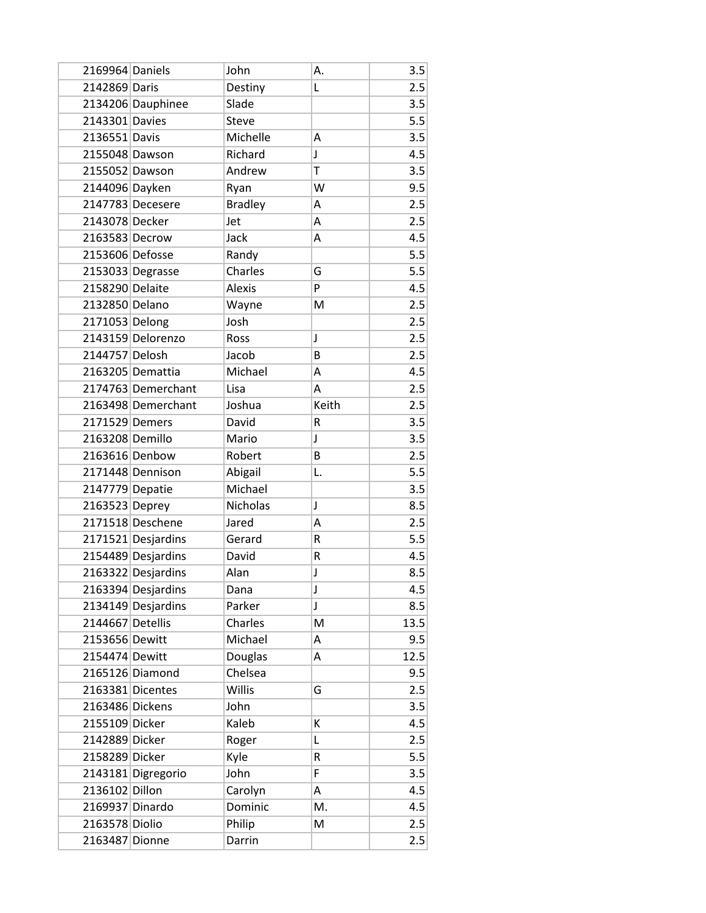| 2169964 Daniels  |                    | John           | А.    | 3.5  |
|------------------|--------------------|----------------|-------|------|
| 2142869 Daris    |                    | Destiny        | Г     | 2.5  |
|                  | 2134206 Dauphinee  | Slade          |       | 3.5  |
| 2143301 Davies   |                    | <b>Steve</b>   |       | 5.5  |
| 2136551 Davis    |                    | Michelle       | Α     | 3.5  |
| 2155048 Dawson   |                    | Richard        | J     | 4.5  |
| 2155052 Dawson   |                    | Andrew         | Ť     | 3.5  |
| 2144096 Dayken   |                    | Ryan           | W     | 9.5  |
|                  | 2147783 Decesere   | <b>Bradley</b> | Α     | 2.5  |
| 2143078 Decker   |                    | Jet            | Α     | 2.5  |
| 2163583 Decrow   |                    | Jack           | Α     | 4.5  |
| 2153606 Defosse  |                    | Randy          |       | 5.5  |
|                  | 2153033 Degrasse   | Charles        | G     | 5.5  |
| 2158290 Delaite  |                    | <b>Alexis</b>  | P     | 4.5  |
| 2132850 Delano   |                    | Wayne          | M     | 2.5  |
| 2171053 Delong   |                    | Josh           |       | 2.5  |
|                  | 2143159 Delorenzo  | Ross           | J     | 2.5  |
| 2144757 Delosh   |                    | Jacob          | B     | 2.5  |
|                  | 2163205 Demattia   | Michael        | Α     | 4.5  |
|                  | 2174763 Demerchant | Lisa           | A     | 2.5  |
|                  | 2163498 Demerchant | Joshua         | Keith | 2.5  |
| 2171529 Demers   |                    | David          | R     | 3.5  |
| 2163208 Demillo  |                    | Mario          | J     | 3.5  |
| 2163616 Denbow   |                    | Robert         | B     | 2.5  |
|                  | 2171448 Dennison   | Abigail        | L.    | 5.5  |
| 2147779 Depatie  |                    | Michael        |       | 3.5  |
| 2163523 Deprey   |                    | Nicholas       | J     | 8.5  |
|                  | 2171518 Deschene   | Jared          | Α     | 2.5  |
|                  | 2171521 Desjardins | Gerard         | R     | 5.5  |
|                  | 2154489 Desjardins | David          | R     | 4.5  |
|                  | 2163322 Desjardins | Alan           | J     | 8.5  |
|                  | 2163394 Desjardins | Dana           | J     | 4.5  |
|                  | 2134149 Desjardins | Parker         | J     | 8.5  |
| 2144667 Detellis |                    | Charles        | M     | 13.5 |
| 2153656 Dewitt   |                    | Michael        | А     | 9.5  |
| 2154474 Dewitt   |                    | Douglas        | Α     | 12.5 |
|                  | 2165126 Diamond    | Chelsea        |       | 9.5  |
|                  | 2163381 Dicentes   | Willis         | G     | 2.5  |
| 2163486 Dickens  |                    | John           |       | 3.5  |
| 2155109 Dicker   |                    | Kaleb          | К     | 4.5  |
| 2142889 Dicker   |                    | Roger          | L     | 2.5  |
| 2158289 Dicker   |                    | Kyle           | R     | 5.5  |
|                  | 2143181 Digregorio | John           | F     | 3.5  |
| 2136102 Dillon   |                    | Carolyn        | А     | 4.5  |
| 2169937 Dinardo  |                    | Dominic        | M.    | 4.5  |
| 2163578 Diolio   |                    | Philip         | M     | 2.5  |
| 2163487 Dionne   |                    | Darrin         |       | 2.5  |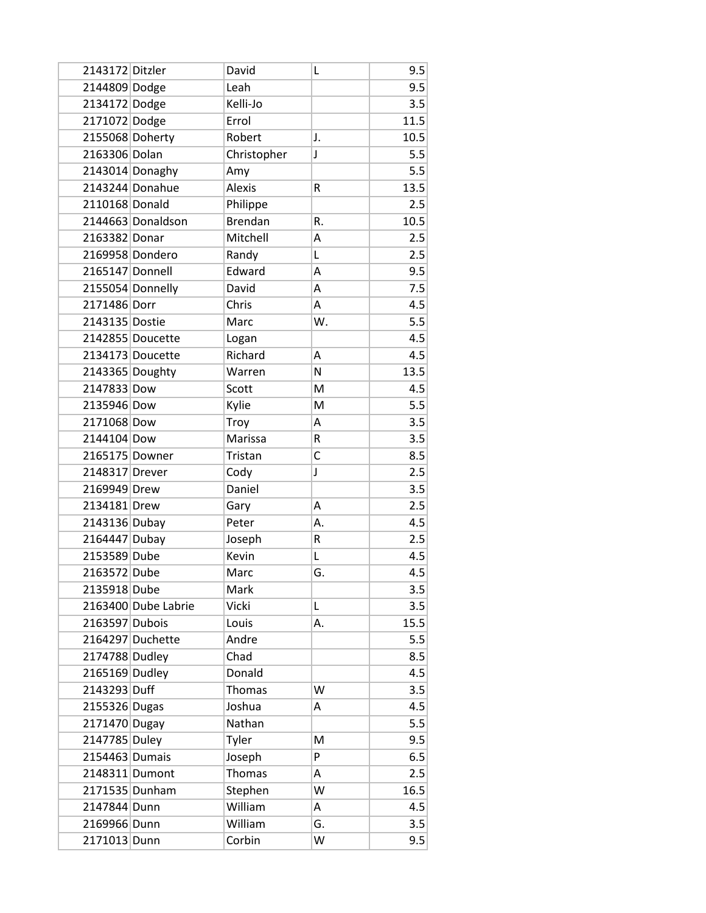| 2143172 Ditzler |                     | David          | L  | 9.5  |
|-----------------|---------------------|----------------|----|------|
| 2144809 Dodge   |                     | Leah           |    | 9.5  |
| 2134172 Dodge   |                     | Kelli-Jo       |    | 3.5  |
| 2171072 Dodge   |                     | Errol          |    | 11.5 |
| 2155068 Doherty |                     | Robert         | J. | 10.5 |
| 2163306 Dolan   |                     | Christopher    | J  | 5.5  |
|                 | 2143014 Donaghy     | Amy            |    | 5.5  |
|                 | 2143244 Donahue     | <b>Alexis</b>  | R  | 13.5 |
| 2110168 Donald  |                     | Philippe       |    | 2.5  |
|                 | 2144663 Donaldson   | <b>Brendan</b> | R. | 10.5 |
| 2163382 Donar   |                     | Mitchell       | Α  | 2.5  |
|                 | 2169958 Dondero     | Randy          | L  | 2.5  |
| 2165147 Donnell |                     | Edward         | Α  | 9.5  |
|                 | 2155054 Donnelly    | David          | A  | 7.5  |
| 2171486 Dorr    |                     | Chris          | А  | 4.5  |
| 2143135 Dostie  |                     | Marc           | W. | 5.5  |
|                 | 2142855 Doucette    | Logan          |    | 4.5  |
|                 | 2134173 Doucette    | Richard        | Α  | 4.5  |
| 2143365 Doughty |                     | Warren         | N  | 13.5 |
| 2147833 Dow     |                     | Scott          | M  | 4.5  |
| 2135946 Dow     |                     | Kylie          | M  | 5.5  |
| 2171068 Dow     |                     | Troy           | Α  | 3.5  |
| 2144104 Dow     |                     | Marissa        | R  | 3.5  |
| 2165175 Downer  |                     | Tristan        | C  | 8.5  |
| 2148317 Drever  |                     | Cody           | J  | 2.5  |
| 2169949 Drew    |                     | Daniel         |    | 3.5  |
| 2134181 Drew    |                     | Gary           | Α  | 2.5  |
| 2143136 Dubay   |                     | Peter          | А. | 4.5  |
| 2164447 Dubay   |                     | Joseph         | R  | 2.5  |
| 2153589 Dube    |                     | Kevin          | L  | 4.5  |
| 2163572 Dube    |                     | Marc           | G. | 4.5  |
| 2135918 Dube    |                     | Mark           |    | 3.5  |
|                 | 2163400 Dube Labrie | Vicki          | L  | 3.5  |
| 2163597 Dubois  |                     | Louis          | А. | 15.5 |
|                 | 2164297 Duchette    | Andre          |    | 5.5  |
| 2174788 Dudley  |                     | Chad           |    | 8.5  |
| 2165169 Dudley  |                     | Donald         |    | 4.5  |
| 2143293 Duff    |                     | Thomas         | W  | 3.5  |
| 2155326 Dugas   |                     | Joshua         | Α  | 4.5  |
| 2171470 Dugay   |                     | Nathan         |    | 5.5  |
| 2147785 Duley   |                     | Tyler          | M  | 9.5  |
| 2154463 Dumais  |                     | Joseph         | P  | 6.5  |
| 2148311 Dumont  |                     | Thomas         | A  | 2.5  |
| 2171535 Dunham  |                     | Stephen        | W  | 16.5 |
| 2147844 Dunn    |                     | William        | А  | 4.5  |
| 2169966 Dunn    |                     | William        | G. | 3.5  |
| 2171013 Dunn    |                     | Corbin         | W  | 9.5  |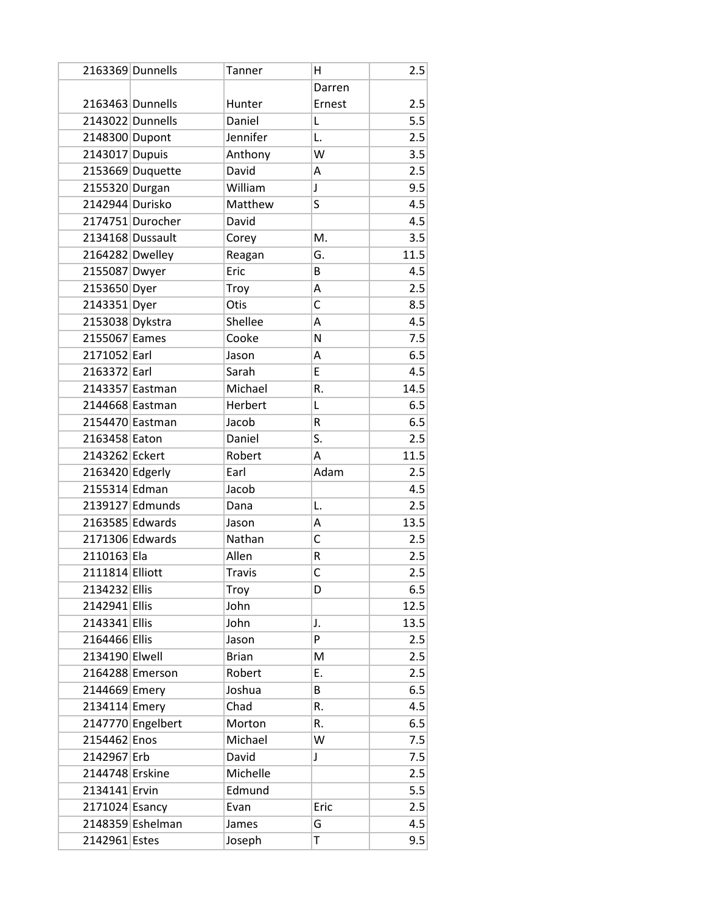|                  | 2163369 Dunnells  | Tanner        | н            | 2.5  |
|------------------|-------------------|---------------|--------------|------|
|                  |                   |               | Darren       |      |
| 2163463 Dunnells |                   | Hunter        | Ernest       | 2.5  |
|                  | 2143022 Dunnells  | Daniel        | Г            | 5.5  |
| 2148300 Dupont   |                   | Jennifer      | L.           | 2.5  |
| 2143017 Dupuis   |                   | Anthony       | W            | 3.5  |
|                  | 2153669 Duquette  | David         | А            | 2.5  |
| 2155320 Durgan   |                   | William       | J            | 9.5  |
| 2142944 Durisko  |                   | Matthew       | S            | 4.5  |
|                  | 2174751 Durocher  | David         |              | 4.5  |
| 2134168 Dussault |                   | Corey         | M.           | 3.5  |
| 2164282 Dwelley  |                   | Reagan        | G.           | 11.5 |
| 2155087 Dwyer    |                   | Eric          | B            | 4.5  |
| 2153650 Dyer     |                   | Troy          | A            | 2.5  |
| 2143351 Dyer     |                   | Otis          | C            | 8.5  |
| 2153038 Dykstra  |                   | Shellee       | Α            | 4.5  |
| 2155067 Eames    |                   | Cooke         | N            | 7.5  |
| 2171052 Earl     |                   | Jason         | Α            | 6.5  |
| 2163372 Earl     |                   | Sarah         | E            | 4.5  |
| 2143357 Eastman  |                   | Michael       | R.           | 14.5 |
| 2144668 Eastman  |                   | Herbert       | L            | 6.5  |
| 2154470 Eastman  |                   | Jacob         | R            | 6.5  |
| 2163458 Eaton    |                   | Daniel        | S.           | 2.5  |
| 2143262 Eckert   |                   | Robert        | A            | 11.5 |
| 2163420 Edgerly  |                   | Earl          | Adam         | 2.5  |
| 2155314 Edman    |                   | Jacob         |              | 4.5  |
|                  | 2139127 Edmunds   | Dana          | L.           | 2.5  |
| 2163585 Edwards  |                   | Jason         | Α            | 13.5 |
| 2171306 Edwards  |                   | Nathan        | C            | 2.5  |
| 2110163 Ela      |                   | Allen         | R            | 2.5  |
| 2111814 Elliott  |                   | <b>Travis</b> | $\mathsf{C}$ | 2.5  |
| 2134232 Ellis    |                   | Troy          | D            | 6.5  |
| 2142941 Ellis    |                   | John          |              | 12.5 |
| 2143341 Ellis    |                   | John          | J.           | 13.5 |
| 2164466 Ellis    |                   | Jason         | P            | 2.5  |
| 2134190 Elwell   |                   | <b>Brian</b>  | M            | 2.5  |
|                  | 2164288 Emerson   | Robert        | Ε.           | 2.5  |
| 2144669 Emery    |                   | Joshua        | B            | 6.5  |
| 2134114 Emery    |                   | Chad          | R.           | 4.5  |
|                  | 2147770 Engelbert | Morton        | R.           | 6.5  |
| 2154462 Enos     |                   | Michael       | W            | 7.5  |
| 2142967 Erb      |                   | David         | J            | 7.5  |
| 2144748 Erskine  |                   | Michelle      |              | 2.5  |
| 2134141 Ervin    |                   | Edmund        |              | 5.5  |
| 2171024 Esancy   |                   | Evan          | Eric         | 2.5  |
|                  | 2148359 Eshelman  | James         | G            | 4.5  |
| 2142961 Estes    |                   | Joseph        | T            | 9.5  |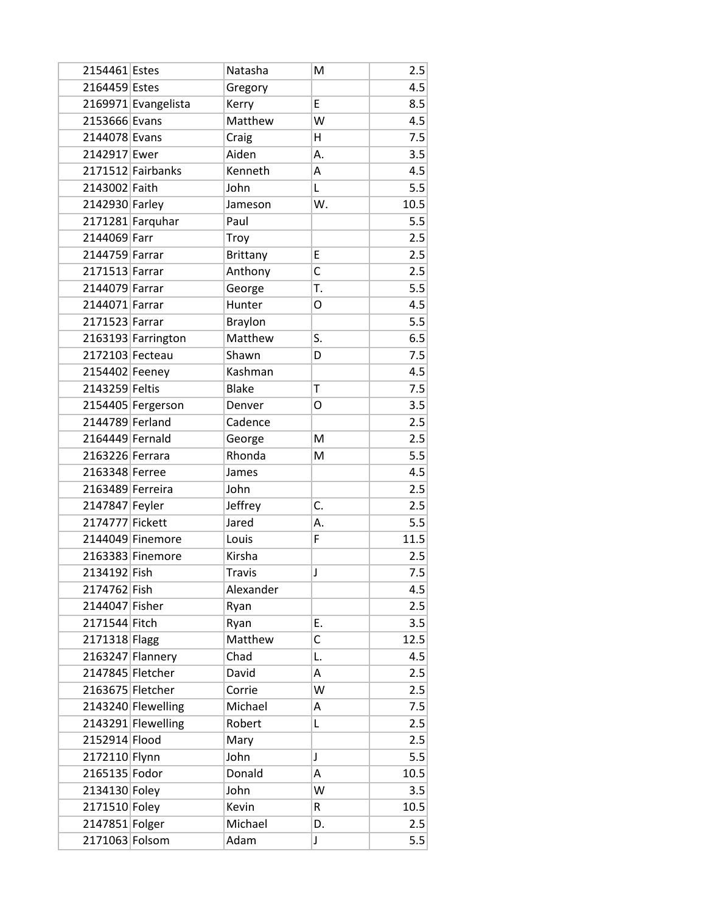| 2154461 Estes    |                     | Natasha        | M           | 2.5  |
|------------------|---------------------|----------------|-------------|------|
| 2164459 Estes    |                     | Gregory        |             | 4.5  |
|                  | 2169971 Evangelista | Kerry          | E           | 8.5  |
| 2153666 Evans    |                     | Matthew        | W           | 4.5  |
| 2144078 Evans    |                     | Craig          | Η           | 7.5  |
| 2142917 Ewer     |                     | Aiden          | А.          | 3.5  |
|                  | 2171512 Fairbanks   | Kenneth        | Α           | 4.5  |
| 2143002 Faith    |                     | John           | Г           | 5.5  |
| 2142930 Farley   |                     | Jameson        | W.          | 10.5 |
|                  | 2171281 Farquhar    | Paul           |             | 5.5  |
| 2144069 Farr     |                     | Troy           |             | 2.5  |
| 2144759 Farrar   |                     | Brittany       | E           | 2.5  |
| 2171513 Farrar   |                     | Anthony        | C           | 2.5  |
| 2144079 Farrar   |                     | George         | T.          | 5.5  |
| 2144071 Farrar   |                     | Hunter         | O           | 4.5  |
| 2171523 Farrar   |                     | <b>Braylon</b> |             | 5.5  |
|                  | 2163193 Farrington  | Matthew        | S.          | 6.5  |
| 2172103 Fecteau  |                     | Shawn          | D           | 7.5  |
| 2154402 Feeney   |                     | Kashman        |             | 4.5  |
| 2143259 Feltis   |                     | <b>Blake</b>   | T           | 7.5  |
|                  | 2154405 Fergerson   | Denver         | O           | 3.5  |
| 2144789 Ferland  |                     | Cadence        |             | 2.5  |
| 2164449 Fernald  |                     | George         | M           | 2.5  |
| 2163226 Ferrara  |                     | Rhonda         | M           | 5.5  |
| 2163348 Ferree   |                     | James          |             | 4.5  |
| 2163489 Ferreira |                     | John           |             | 2.5  |
| 2147847 Feyler   |                     | Jeffrey        | C.          | 2.5  |
| 2174777 Fickett  |                     | Jared          | А.          | 5.5  |
|                  | 2144049 Finemore    | Louis          | F           | 11.5 |
|                  | 2163383 Finemore    | Kirsha         |             | 2.5  |
| 2134192 Fish     |                     | <b>Travis</b>  | J           | 7.5  |
| 2174762 Fish     |                     | Alexander      |             | 4.5  |
| 2144047 Fisher   |                     | Ryan           |             | 2.5  |
| 2171544 Fitch    |                     | Ryan           | Ε.          | 3.5  |
| 2171318 Flagg    |                     | Matthew        | C           | 12.5 |
|                  | 2163247 Flannery    | Chad           | L.          | 4.5  |
| 2147845 Fletcher |                     | David          | Α           | 2.5  |
| 2163675 Fletcher |                     | Corrie         | W           | 2.5  |
|                  | 2143240 Flewelling  | Michael        | Α           | 7.5  |
|                  | 2143291 Flewelling  | Robert         | Г           | 2.5  |
| 2152914 Flood    |                     | Mary           |             | 2.5  |
| 2172110 Flynn    |                     | John           | $\mathsf J$ | 5.5  |
| 2165135 Fodor    |                     | Donald         | А           | 10.5 |
| 2134130 Foley    |                     | John           | W           | 3.5  |
| 2171510 Foley    |                     | Kevin          | R           | 10.5 |
| 2147851 Folger   |                     | Michael        | D.          | 2.5  |
| 2171063 Folsom   |                     | Adam           | J           | 5.5  |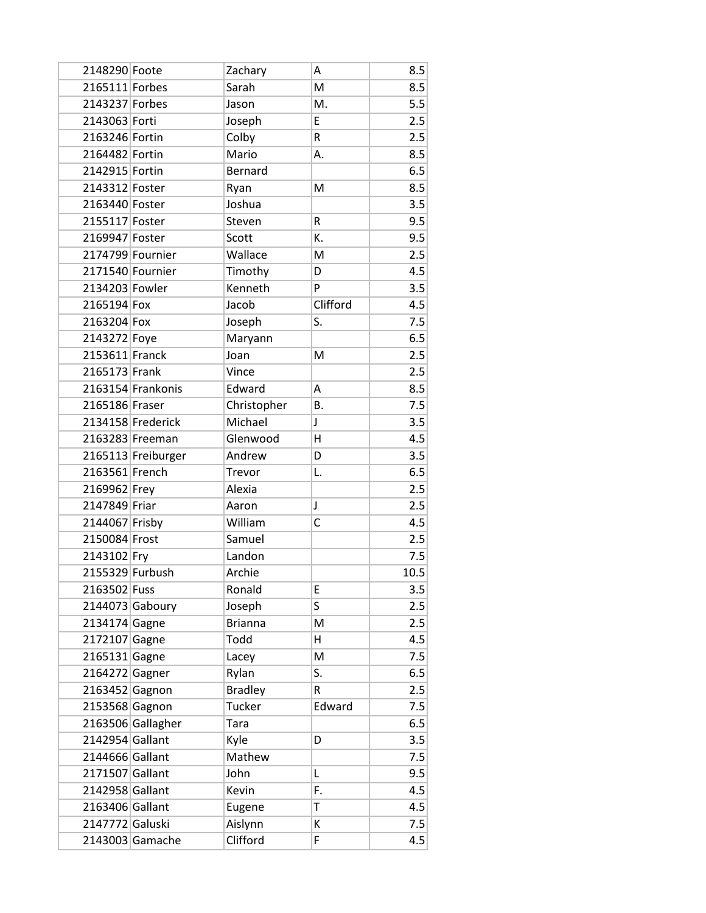| 2148290 Foote    |                    | Zachary        | Α         | 8.5  |
|------------------|--------------------|----------------|-----------|------|
| 2165111 Forbes   |                    | Sarah          | M         | 8.5  |
| 2143237 Forbes   |                    | Jason          | M.        | 5.5  |
| 2143063 Forti    |                    | Joseph         | E         | 2.5  |
| 2163246 Fortin   |                    | Colby          | R         | 2.5  |
| 2164482 Fortin   |                    | Mario          | А.        | 8.5  |
| 2142915 Fortin   |                    | <b>Bernard</b> |           | 6.5  |
| 2143312 Foster   |                    | Ryan           | м         | 8.5  |
| 2163440 Foster   |                    | Joshua         |           | 3.5  |
| 2155117 Foster   |                    | Steven         | R         | 9.5  |
| 2169947 Foster   |                    | Scott          | K.        | 9.5  |
| 2174799 Fournier |                    | Wallace        | M         | 2.5  |
| 2171540 Fournier |                    | Timothy        | D         | 4.5  |
| 2134203 Fowler   |                    | Kenneth        | P         | 3.5  |
| 2165194 Fox      |                    | Jacob          | Clifford  | 4.5  |
| 2163204 Fox      |                    | Joseph         | S.        | 7.5  |
| 2143272 Foye     |                    | Maryann        |           | 6.5  |
| 2153611 Franck   |                    | Joan           | M         | 2.5  |
| 2165173 Frank    |                    | Vince          |           | 2.5  |
|                  | 2163154 Frankonis  | Edward         | A         | 8.5  |
| 2165186 Fraser   |                    | Christopher    | <b>B.</b> | 7.5  |
|                  | 2134158 Frederick  | Michael        | J         | 3.5  |
|                  | 2163283 Freeman    | Glenwood       | Η         | 4.5  |
|                  | 2165113 Freiburger | Andrew         | D         | 3.5  |
| 2163561 French   |                    | Trevor         | L.        | 6.5  |
| 2169962 Frey     |                    | Alexia         |           | 2.5  |
| 2147849 Friar    |                    | Aaron          | J         | 2.5  |
| 2144067 Frisby   |                    | William        | С         | 4.5  |
| 2150084 Frost    |                    | Samuel         |           | 2.5  |
| 2143102 Fry      |                    | Landon         |           | 7.5  |
| 2155329 Furbush  |                    | Archie         |           | 10.5 |
| 2163502 Fuss     |                    | Ronald         | Е         | 3.5  |
|                  | 2144073 Gaboury    | Joseph         | S         | 2.5  |
| 2134174 Gagne    |                    | <b>Brianna</b> | M         | 2.5  |
| 2172107 Gagne    |                    | Todd           | Η         | 4.5  |
| 2165131 Gagne    |                    | Lacey          | M         | 7.5  |
| 2164272 Gagner   |                    | Rylan          | S.        | 6.5  |
| 2163452 Gagnon   |                    | <b>Bradley</b> | R         | 2.5  |
| 2153568 Gagnon   |                    | Tucker         | Edward    | 7.5  |
|                  | 2163506 Gallagher  | Tara           |           | 6.5  |
| 2142954 Gallant  |                    | Kyle           | D         | 3.5  |
| 2144666 Gallant  |                    | Mathew         |           | 7.5  |
| 2171507 Gallant  |                    | John           | L         | 9.5  |
| 2142958 Gallant  |                    | Kevin          | F.        | 4.5  |
| 2163406 Gallant  |                    | Eugene         | T         | 4.5  |
| 2147772 Galuski  |                    | Aislynn        | к         | 7.5  |
|                  | 2143003 Gamache    | Clifford       | F         | 4.5  |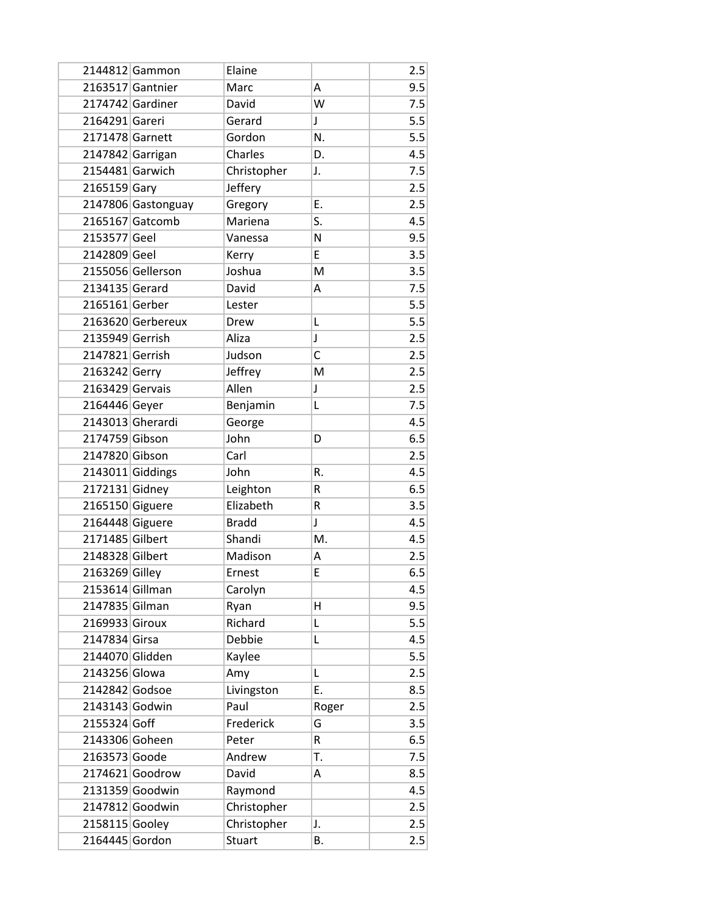|                 | 2144812 Gammon     | Elaine        |              | 2.5 |
|-----------------|--------------------|---------------|--------------|-----|
|                 | 2163517 Gantnier   | Marc          | А            | 9.5 |
|                 | 2174742 Gardiner   | David         | W            | 7.5 |
| 2164291 Gareri  |                    | Gerard        | J            | 5.5 |
| 2171478 Garnett |                    | Gordon        | N.           | 5.5 |
|                 | 2147842 Garrigan   | Charles       | D.           | 4.5 |
| 2154481 Garwich |                    | Christopher   | J.           | 7.5 |
| 2165159 Gary    |                    | Jeffery       |              | 2.5 |
|                 | 2147806 Gastonguay | Gregory       | E.           | 2.5 |
|                 | 2165167 Gatcomb    | Mariena       | S.           | 4.5 |
| 2153577 Geel    |                    | Vanessa       | N            | 9.5 |
| 2142809 Geel    |                    | Kerry         | E            | 3.5 |
|                 | 2155056 Gellerson  | Joshua        | M            | 3.5 |
| 2134135 Gerard  |                    | David         | А            | 7.5 |
| 2165161 Gerber  |                    | Lester        |              | 5.5 |
|                 | 2163620 Gerbereux  | Drew          | L            | 5.5 |
| 2135949 Gerrish |                    | Aliza         | J            | 2.5 |
| 2147821 Gerrish |                    | Judson        | C            | 2.5 |
| 2163242 Gerry   |                    | Jeffrey       | M            | 2.5 |
| 2163429 Gervais |                    | Allen         | J            | 2.5 |
| 2164446 Geyer   |                    | Benjamin      | L            | 7.5 |
|                 | 2143013 Gherardi   | George        |              | 4.5 |
| 2174759 Gibson  |                    | John          | D            | 6.5 |
| 2147820 Gibson  |                    | Carl          |              | 2.5 |
|                 | 2143011 Giddings   | John          | R.           | 4.5 |
| 2172131 Gidney  |                    | Leighton      | R            | 6.5 |
| 2165150 Giguere |                    | Elizabeth     | R            | 3.5 |
| 2164448 Giguere |                    | <b>Bradd</b>  | $\mathsf{J}$ | 4.5 |
| 2171485 Gilbert |                    | Shandi        | M.           | 4.5 |
| 2148328 Gilbert |                    | Madison       | А            | 2.5 |
| 2163269 Gilley  |                    | Ernest        | E            | 6.5 |
| 2153614 Gillman |                    | Carolyn       |              | 4.5 |
| 2147835 Gilman  |                    | Ryan          | H            | 9.5 |
| 2169933 Giroux  |                    | Richard       | L            | 5.5 |
| 2147834 Girsa   |                    | Debbie        | Г            | 4.5 |
| 2144070 Glidden |                    | Kaylee        |              | 5.5 |
| 2143256 Glowa   |                    | Amy           | L            | 2.5 |
| 2142842 Godsoe  |                    | Livingston    | E.           | 8.5 |
| 2143143 Godwin  |                    | Paul          | Roger        | 2.5 |
| 2155324 Goff    |                    | Frederick     | G            | 3.5 |
| 2143306 Goheen  |                    | Peter         | R            | 6.5 |
| 2163573 Goode   |                    | Andrew        | T.           | 7.5 |
|                 | $2174621$ Goodrow  | David         | A            | 8.5 |
|                 | 2131359 Goodwin    | Raymond       |              | 4.5 |
|                 | 2147812 Goodwin    | Christopher   |              | 2.5 |
| 2158115 Gooley  |                    | Christopher   | J.           | 2.5 |
| 2164445 Gordon  |                    | <b>Stuart</b> | В.           | 2.5 |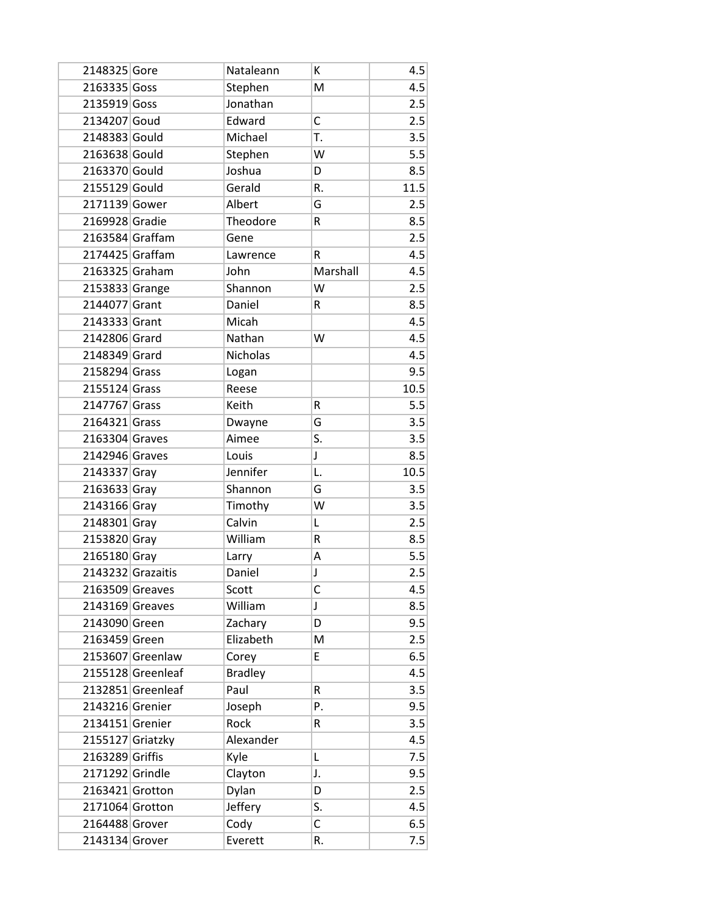| 2148325 Gore     |                   | Nataleann      | К            | 4.5  |
|------------------|-------------------|----------------|--------------|------|
| 2163335 Goss     |                   | Stephen        | M            | 4.5  |
| 2135919 Goss     |                   | Jonathan       |              | 2.5  |
| 2134207 Goud     |                   | Edward         | C            | 2.5  |
| 2148383 Gould    |                   | Michael        | T.           | 3.5  |
| 2163638 Gould    |                   | Stephen        | W            | 5.5  |
| 2163370 Gould    |                   | Joshua         | D            | 8.5  |
| 2155129 Gould    |                   | Gerald         | R.           | 11.5 |
| 2171139 Gower    |                   | Albert         | G            | 2.5  |
| 2169928 Gradie   |                   | Theodore       | R            | 8.5  |
| 2163584 Graffam  |                   | Gene           |              | 2.5  |
| 2174425 Graffam  |                   | Lawrence       | R            | 4.5  |
| 2163325 Graham   |                   | John           | Marshall     | 4.5  |
| 2153833 Grange   |                   | Shannon        | W            | 2.5  |
| 2144077 Grant    |                   | Daniel         | R            | 8.5  |
| 2143333 Grant    |                   | Micah          |              | 4.5  |
| 2142806 Grard    |                   | Nathan         | W            | 4.5  |
| 2148349 Grard    |                   | Nicholas       |              | 4.5  |
| 2158294 Grass    |                   | Logan          |              | 9.5  |
| 2155124 Grass    |                   | Reese          |              | 10.5 |
| 2147767 Grass    |                   | Keith          | R            | 5.5  |
| 2164321 Grass    |                   | Dwayne         | G            | 3.5  |
| 2163304 Graves   |                   | Aimee          | S.           | 3.5  |
| 2142946 Graves   |                   | Louis          | J            | 8.5  |
| 2143337 Gray     |                   | Jennifer       | L.           | 10.5 |
| 2163633 Gray     |                   | Shannon        | G            | 3.5  |
| 2143166 Gray     |                   | Timothy        | W            | 3.5  |
| 2148301 Gray     |                   | Calvin         | L            | 2.5  |
| 2153820 Gray     |                   | William        | R            | 8.5  |
| 2165180 Gray     |                   | Larry          | Α            | 5.5  |
|                  | 2143232 Grazaitis | Daniel         | $\mathsf{J}$ | 2.5  |
| 2163509 Greaves  |                   | Scott          | C            | 4.5  |
| 2143169 Greaves  |                   | William        | $\mathsf J$  | 8.5  |
| 2143090 Green    |                   | Zachary        | D            | 9.5  |
| 2163459 Green    |                   | Elizabeth      | M            | 2.5  |
|                  | 2153607 Greenlaw  | Corey          | E            | 6.5  |
|                  | 2155128 Greenleaf | <b>Bradley</b> |              | 4.5  |
|                  | 2132851 Greenleaf | Paul           | R            | 3.5  |
| 2143216 Grenier  |                   | Joseph         | Ρ.           | 9.5  |
| 2134151 Grenier  |                   | Rock           | R            | 3.5  |
| 2155127 Griatzky |                   | Alexander      |              | 4.5  |
| 2163289 Griffis  |                   | Kyle           | L            | 7.5  |
| 2171292 Grindle  |                   | Clayton        | J.           | 9.5  |
| 2163421 Grotton  |                   | Dylan          | D            | 2.5  |
| 2171064 Grotton  |                   | Jeffery        | S.           | 4.5  |
| 2164488 Grover   |                   | Cody           | С            | 6.5  |
| 2143134 Grover   |                   | Everett        | R.           | 7.5  |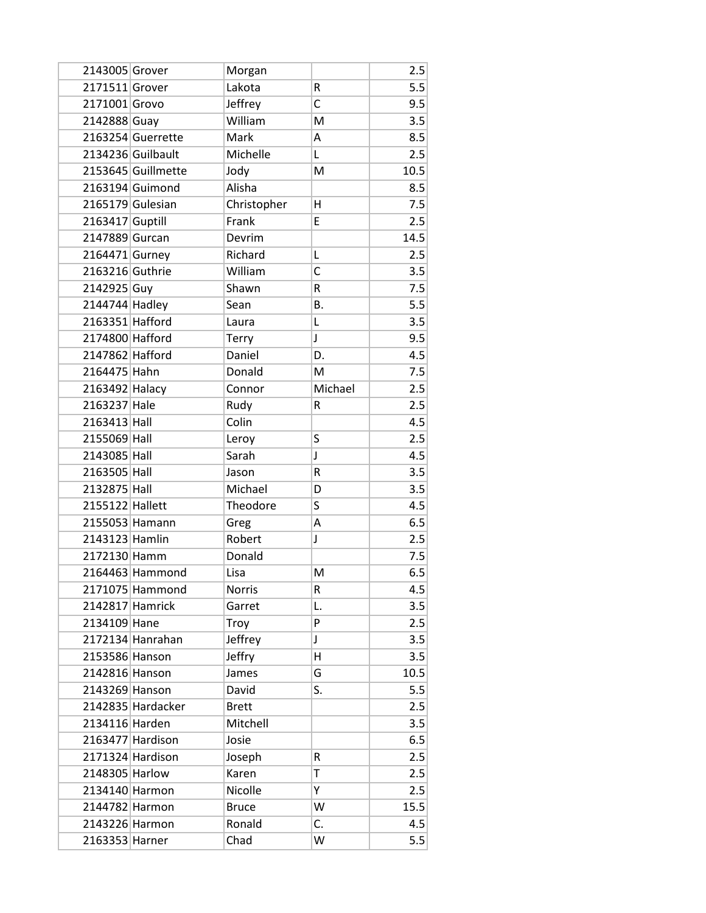| 2143005 Grover   |                    | Morgan        |              | 2.5  |
|------------------|--------------------|---------------|--------------|------|
| 2171511 Grover   |                    | Lakota        | R            | 5.5  |
| 2171001 Grovo    |                    | Jeffrey       | C            | 9.5  |
| 2142888 Guay     |                    | William       | M            | 3.5  |
|                  | 2163254 Guerrette  | Mark          | Α            | 8.5  |
|                  | 2134236 Guilbault  | Michelle      | L            | 2.5  |
|                  | 2153645 Guillmette | Jody          | M            | 10.5 |
|                  | 2163194 Guimond    | Alisha        |              | 8.5  |
| 2165179 Gulesian |                    | Christopher   | H            | 7.5  |
| 2163417 Guptill  |                    | Frank         | E            | 2.5  |
| 2147889 Gurcan   |                    | Devrim        |              | 14.5 |
| 2164471 Gurney   |                    | Richard       | L            | 2.5  |
| 2163216 Guthrie  |                    | William       | C            | 3.5  |
| 2142925 Guy      |                    | Shawn         | R            | 7.5  |
| 2144744 Hadley   |                    | Sean          | В.           | 5.5  |
| 2163351 Hafford  |                    | Laura         | L            | 3.5  |
| 2174800 Hafford  |                    | Terry         | $\mathsf{I}$ | 9.5  |
| 2147862 Hafford  |                    | Daniel        | D.           | 4.5  |
| 2164475 Hahn     |                    | Donald        | M            | 7.5  |
| 2163492 Halacy   |                    | Connor        | Michael      | 2.5  |
| 2163237 Hale     |                    | Rudy          | R            | 2.5  |
| 2163413 Hall     |                    | Colin         |              | 4.5  |
| 2155069 Hall     |                    | Leroy         | S            | 2.5  |
| 2143085 Hall     |                    | Sarah         | $\mathsf{I}$ | 4.5  |
| 2163505 Hall     |                    | Jason         | R            | 3.5  |
| 2132875 Hall     |                    | Michael       | D            | 3.5  |
| 2155122 Hallett  |                    | Theodore      | S            | 4.5  |
| 2155053 Hamann   |                    | Greg          | A            | 6.5  |
| 2143123 Hamlin   |                    | Robert        | J            | 2.5  |
| 2172130 Hamm     |                    | Donald        |              | 7.5  |
|                  | 2164463 Hammond    | Lisa          | M            | 6.5  |
|                  | 2171075 Hammond    | <b>Norris</b> | R            | 4.5  |
| 2142817 Hamrick  |                    | Garret        | L.           | 3.5  |
| 2134109 Hane     |                    | Troy          | P            | 2.5  |
|                  | 2172134 Hanrahan   | Jeffrey       | J            | 3.5  |
| 2153586 Hanson   |                    | Jeffry        | н            | 3.5  |
| 2142816 Hanson   |                    | James         | G            | 10.5 |
| 2143269 Hanson   |                    | David         | S.           | 5.5  |
|                  | 2142835 Hardacker  | <b>Brett</b>  |              | 2.5  |
| 2134116 Harden   |                    | Mitchell      |              | 3.5  |
|                  | 2163477 Hardison   | Josie         |              | 6.5  |
|                  | 2171324 Hardison   | Joseph        | R            | 2.5  |
| 2148305 Harlow   |                    | Karen         | T            | 2.5  |
| 2134140 Harmon   |                    | Nicolle       | Y            | 2.5  |
| 2144782 Harmon   |                    | <b>Bruce</b>  | W            | 15.5 |
| 2143226 Harmon   |                    | Ronald        | С.           | 4.5  |
| 2163353 Harner   |                    | Chad          | W            | 5.5  |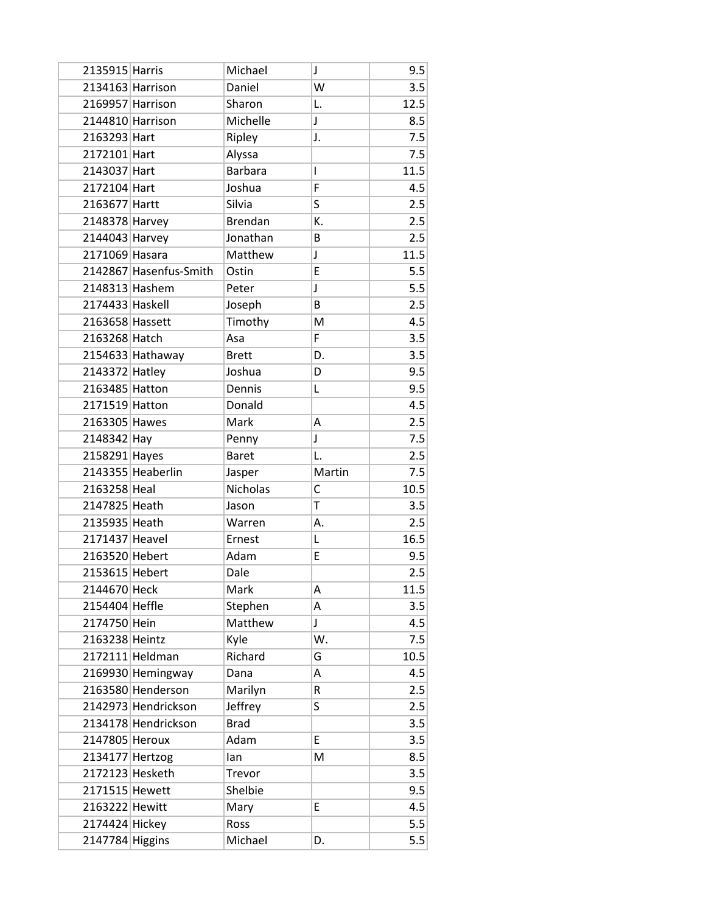| 2135915 Harris                    |                        | Michael         | J            | 9.5        |
|-----------------------------------|------------------------|-----------------|--------------|------------|
| 2134163 Harrison                  |                        | Daniel          | W            | 3.5        |
| 2169957 Harrison                  |                        | Sharon          | L.           | 12.5       |
| 2144810 Harrison                  |                        | Michelle        | $\mathsf{I}$ | 8.5        |
| 2163293 Hart                      |                        | Ripley          | J.           | 7.5        |
| 2172101 Hart                      |                        | Alyssa          |              | 7.5        |
| 2143037 Hart                      |                        | <b>Barbara</b>  | I            | 11.5       |
| 2172104 Hart                      |                        | Joshua          | F            | 4.5        |
| 2163677 Hartt                     |                        | Silvia          | S            | 2.5        |
| 2148378 Harvey                    |                        | <b>Brendan</b>  | К.           | 2.5        |
| 2144043 Harvey                    |                        | Jonathan        | B            | 2.5        |
| 2171069 Hasara                    |                        | Matthew         | J            | 11.5       |
|                                   | 2142867 Hasenfus-Smith | Ostin           | E            | 5.5        |
| 2148313 Hashem                    |                        | Peter           | J            | 5.5        |
| 2174433 Haskell                   |                        | Joseph          | B            | 2.5        |
| 2163658 Hassett                   |                        | Timothy         | M            | 4.5        |
| 2163268 Hatch                     |                        | Asa             | F            | 3.5        |
|                                   | 2154633 Hathaway       | <b>Brett</b>    | D.           | 3.5        |
| 2143372 Hatley                    |                        | Joshua          | D            | 9.5        |
| 2163485 Hatton                    |                        | Dennis          | L            | 9.5        |
| 2171519 Hatton                    |                        | Donald          |              | 4.5        |
| 2163305 Hawes                     |                        | Mark            | Α            | 2.5        |
| 2148342 Hay                       |                        | Penny           | J            | 7.5        |
| 2158291 Hayes                     |                        | <b>Baret</b>    | L.           | 2.5        |
|                                   |                        |                 |              |            |
|                                   | 2143355 Heaberlin      | Jasper          | Martin       | 7.5        |
| 2163258 Heal                      |                        | Nicholas        | C            | 10.5       |
| 2147825 Heath                     |                        | Jason           | T            | 3.5        |
| 2135935 Heath                     |                        | Warren          | А.           | 2.5        |
| 2171437 Heavel                    |                        | Ernest          | Г            | 16.5       |
| 2163520 Hebert                    |                        | Adam            | E            | 9.5        |
| 2153615 Hebert                    |                        | Dale            |              | 2.5        |
| 2144670 Heck                      |                        | Mark            | A            | 11.5       |
| 2154404 Heffle                    |                        | Stephen         | A            | 3.5        |
| 2174750 Hein                      |                        | Matthew         | J            | 4.5        |
| 2163238 Heintz                    |                        | Kyle            | W.           | 7.5        |
|                                   | 2172111 Heldman        | Richard         | G            | 10.5       |
|                                   | 2169930 Hemingway      | Dana            | А            | 4.5        |
|                                   | 2163580 Henderson      | Marilyn         | R            | 2.5        |
|                                   | 2142973 Hendrickson    | Jeffrey         | S            | 2.5        |
|                                   | 2134178 Hendrickson    | <b>Brad</b>     |              | 3.5        |
| 2147805 Heroux                    |                        | Adam            | E            | 3.5        |
| 2134177 Hertzog                   |                        | lan             | M            | 8.5        |
| 2172123 Hesketh                   |                        | Trevor          |              | 3.5        |
| 2171515 Hewett                    |                        | Shelbie         |              | 9.5        |
| 2163222 Hewitt                    |                        | Mary            | E            | 4.5        |
| 2174424 Hickey<br>2147784 Higgins |                        | Ross<br>Michael |              | 5.5<br>5.5 |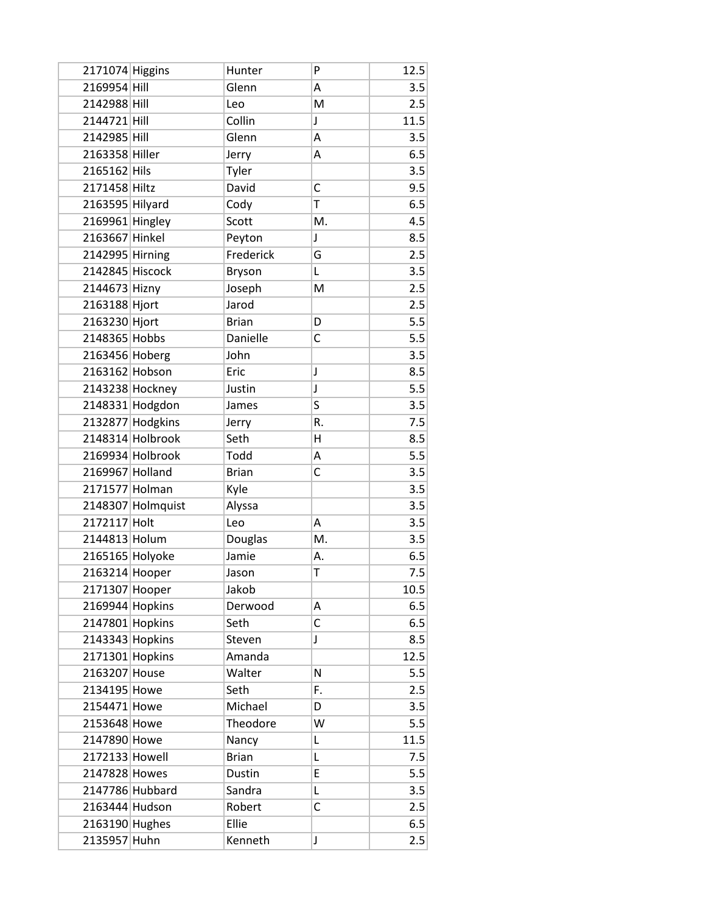| 2171074 Higgins |                   | Hunter       | P            | 12.5 |
|-----------------|-------------------|--------------|--------------|------|
| 2169954 Hill    |                   | Glenn        | A            | 3.5  |
| 2142988 Hill    |                   | Leo          | M            | 2.5  |
| 2144721 Hill    |                   | Collin       | $\mathsf{I}$ | 11.5 |
| 2142985 Hill    |                   | Glenn        | Α            | 3.5  |
| 2163358 Hiller  |                   | Jerry        | А            | 6.5  |
| 2165162 Hils    |                   | Tyler        |              | 3.5  |
| 2171458 Hiltz   |                   | David        | C            | 9.5  |
| 2163595 Hilyard |                   | Cody         | T            | 6.5  |
| 2169961 Hingley |                   | Scott        | M.           | 4.5  |
| 2163667 Hinkel  |                   | Peyton       | J            | 8.5  |
| 2142995 Hirning |                   | Frederick    | G            | 2.5  |
| 2142845 Hiscock |                   | Bryson       | Г            | 3.5  |
| 2144673 Hizny   |                   | Joseph       | M            | 2.5  |
| 2163188 Hjort   |                   | Jarod        |              | 2.5  |
| 2163230 Hjort   |                   | <b>Brian</b> | D            | 5.5  |
| 2148365 Hobbs   |                   | Danielle     | C            | 5.5  |
| 2163456 Hoberg  |                   | John         |              | 3.5  |
| 2163162 Hobson  |                   | Eric         | J            | 8.5  |
|                 | 2143238 Hockney   | Justin       | J            | 5.5  |
|                 | 2148331 Hodgdon   | James        | S            | 3.5  |
|                 | 2132877 Hodgkins  | Jerry        | R.           | 7.5  |
|                 | 2148314 Holbrook  | Seth         | Η            | 8.5  |
|                 | 2169934 Holbrook  | Todd         | Α            | 5.5  |
| 2169967 Holland |                   | <b>Brian</b> | C            | 3.5  |
| 2171577 Holman  |                   | Kyle         |              | 3.5  |
|                 | 2148307 Holmquist | Alyssa       |              | 3.5  |
| 2172117 Holt    |                   | Leo          | А            | 3.5  |
| 2144813 Holum   |                   | Douglas      | M.           | 3.5  |
| 2165165 Holyoke |                   | Jamie        | Α.           | 6.5  |
| 2163214 Hooper  |                   | Jason        | T            | 7.5  |
| 2171307 Hooper  |                   | Jakob        |              | 10.5 |
| 2169944 Hopkins |                   | Derwood      | А            | 6.5  |
| 2147801 Hopkins |                   | Seth         | C            | 6.5  |
| 2143343 Hopkins |                   | Steven       | J            | 8.5  |
| 2171301 Hopkins |                   | Amanda       |              | 12.5 |
| 2163207 House   |                   | Walter       | N            | 5.5  |
| 2134195 Howe    |                   | Seth         | F.           | 2.5  |
| 2154471 Howe    |                   | Michael      | D            | 3.5  |
| 2153648 Howe    |                   | Theodore     | W            | 5.5  |
| 2147890 Howe    |                   | Nancy        | L            | 11.5 |
| 2172133 Howell  |                   | <b>Brian</b> | L            | 7.5  |
| 2147828 Howes   |                   | Dustin       | E            | 5.5  |
| 2147786 Hubbard |                   | Sandra       | Г            | 3.5  |
| 2163444 Hudson  |                   | Robert       | C            | 2.5  |
| 2163190 Hughes  |                   | Ellie        |              | 6.5  |
| 2135957 Huhn    |                   | Kenneth      | J            | 2.5  |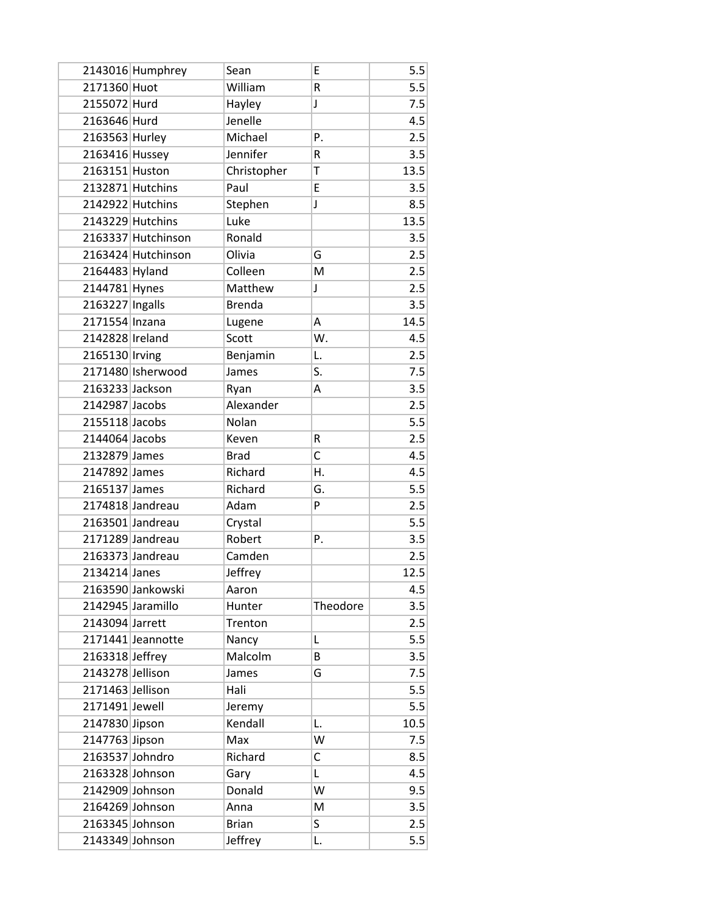|                  | 2143016 Humphrey   | Sean          | E        | 5.5  |
|------------------|--------------------|---------------|----------|------|
| 2171360 Huot     |                    | William       | R        | 5.5  |
| 2155072 Hurd     |                    | Hayley        | J        | 7.5  |
| 2163646 Hurd     |                    | Jenelle       |          | 4.5  |
| 2163563 Hurley   |                    | Michael       | Ρ.       | 2.5  |
| 2163416 Hussey   |                    | Jennifer      | R        | 3.5  |
| 2163151 Huston   |                    | Christopher   | T        | 13.5 |
|                  | 2132871 Hutchins   | Paul          | E        | 3.5  |
|                  | 2142922 Hutchins   | Stephen       | J        | 8.5  |
|                  | 2143229 Hutchins   | Luke          |          | 13.5 |
|                  | 2163337 Hutchinson | Ronald        |          | 3.5  |
|                  | 2163424 Hutchinson | Olivia        | G        | 2.5  |
| 2164483 Hyland   |                    | Colleen       | M        | 2.5  |
| 2144781 Hynes    |                    | Matthew       | J        | 2.5  |
| 2163227 Ingalls  |                    | <b>Brenda</b> |          | 3.5  |
| 2171554 Inzana   |                    | Lugene        | А        | 14.5 |
| 2142828 Ireland  |                    | Scott         | W.       | 4.5  |
| 2165130 Irving   |                    | Benjamin      | L.       | 2.5  |
|                  | 2171480 Isherwood  | James         | S.       | 7.5  |
| 2163233 Jackson  |                    | Ryan          | A        | 3.5  |
| 2142987 Jacobs   |                    | Alexander     |          | 2.5  |
| 2155118 Jacobs   |                    | Nolan         |          | 5.5  |
| 2144064 Jacobs   |                    | Keven         | R        | 2.5  |
| 2132879 James    |                    | <b>Brad</b>   | C        | 4.5  |
| 2147892 James    |                    | Richard       | Η.       | 4.5  |
| 2165137 James    |                    | Richard       | G.       | 5.5  |
|                  | 2174818 Jandreau   | Adam          | P        | 2.5  |
|                  | 2163501 Jandreau   | Crystal       |          | 5.5  |
|                  | 2171289 Jandreau   | Robert        | Ρ.       | 3.5  |
|                  | 2163373 Jandreau   | Camden        |          | 2.5  |
| 2134214 Janes    |                    | Jeffrey       |          | 12.5 |
|                  | 2163590 Jankowski  | Aaron         |          | 4.5  |
|                  | 2142945 Jaramillo  | Hunter        | Theodore | 3.5  |
| 2143094 Jarrett  |                    | Trenton       |          | 2.5  |
|                  | 2171441 Jeannotte  | Nancy         | Г        | 5.5  |
| 2163318 Jeffrey  |                    | Malcolm       | В        | 3.5  |
| 2143278 Jellison |                    | James         | G        | 7.5  |
| 2171463 Jellison |                    | Hali          |          | 5.5  |
| 2171491 Jewell   |                    | Jeremy        |          | 5.5  |
| 2147830 Jipson   |                    | Kendall       | L.       | 10.5 |
| 2147763 Jipson   |                    | Max           | W        | 7.5  |
| 2163537 Johndro  |                    | Richard       | С        | 8.5  |
| 2163328 Johnson  |                    | Gary          | Г        | 4.5  |
| 2142909 Johnson  |                    | Donald        | W        | 9.5  |
| 2164269 Johnson  |                    | Anna          | M        | 3.5  |
| 2163345 Johnson  |                    | <b>Brian</b>  | S        | 2.5  |
| 2143349 Johnson  |                    | Jeffrey       | L.       | 5.5  |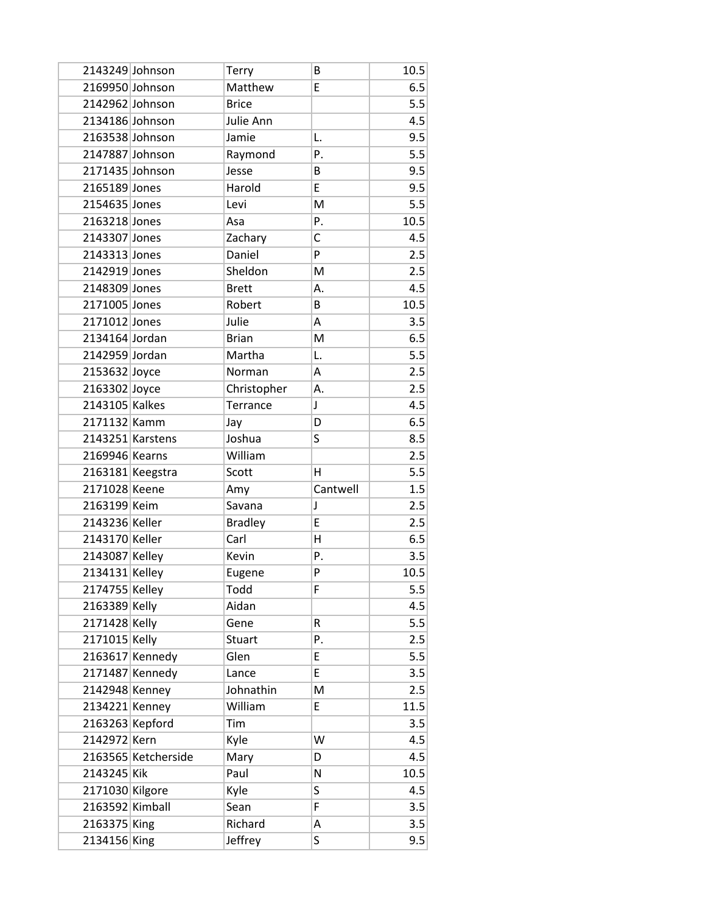| 2143249 Johnson |                     | Terry              | B        | 10.5       |
|-----------------|---------------------|--------------------|----------|------------|
| 2169950 Johnson |                     | Matthew            | E        | 6.5        |
| 2142962 Johnson |                     | <b>Brice</b>       |          | 5.5        |
| 2134186 Johnson |                     | Julie Ann          |          | 4.5        |
| 2163538 Johnson |                     | Jamie              | L.       | 9.5        |
| 2147887 Johnson |                     | Raymond            | Ρ.       | 5.5        |
| 2171435 Johnson |                     | Jesse              | B        | 9.5        |
| 2165189 Jones   |                     | Harold             | E        | 9.5        |
| 2154635 Jones   |                     | Levi               | M        | 5.5        |
| 2163218 Jones   |                     | Asa                | Ρ.       | 10.5       |
| 2143307 Jones   |                     | Zachary            | C        | 4.5        |
| 2143313 Jones   |                     | Daniel             | P        | 2.5        |
| 2142919 Jones   |                     | Sheldon            | M        | 2.5        |
| 2148309 Jones   |                     | <b>Brett</b>       | Α.       | 4.5        |
| 2171005 Jones   |                     | Robert             | В        | 10.5       |
| 2171012 Jones   |                     | Julie              | Α        | 3.5        |
| 2134164 Jordan  |                     | <b>Brian</b>       | M        | 6.5        |
| 2142959 Jordan  |                     | Martha             | L.       | 5.5        |
| 2153632 Joyce   |                     | Norman             | A        | 2.5        |
| 2163302 Joyce   |                     | Christopher        | Α.       | 2.5        |
| 2143105 Kalkes  |                     | Terrance           | J        | 4.5        |
| 2171132 Kamm    |                     | Jay                | D        | 6.5        |
|                 | 2143251 Karstens    | Joshua             | S        | 8.5        |
| 2169946 Kearns  |                     | William            |          | 2.5        |
|                 | 2163181 Keegstra    | Scott              | н        | 5.5        |
| 2171028 Keene   |                     | Amy                | Cantwell | 1.5        |
| 2163199 Keim    |                     | Savana             | J        | 2.5        |
| 2143236 Keller  |                     | <b>Bradley</b>     | E        | 2.5        |
| 2143170 Keller  |                     | Carl               | Η        | 6.5        |
| 2143087 Kelley  |                     | Kevin              | P.       | 3.5        |
| 2134131 Kelley  |                     | Eugene             | P        | 10.5       |
| 2174755 Kelley  |                     | Todd               | F        | 5.5        |
| 2163389 Kelly   |                     | Aidan              |          | 4.5        |
| 2171428 Kelly   |                     | Gene               | R        | 5.5        |
| 2171015 Kelly   |                     | <b>Stuart</b>      | Ρ.       | 2.5        |
|                 | 2163617 Kennedy     | Glen               | E        | 5.5        |
|                 |                     |                    |          |            |
|                 | 2171487 Kennedy     | Lance              | E        | 3.5        |
|                 | 2142948 Kenney      | Johnathin          | M        | 2.5        |
| 2134221 Kenney  |                     | William            | E        | 11.5       |
| 2163263 Kepford |                     | Tim                |          | 3.5        |
| 2142972 Kern    |                     | Kyle               | W        | 4.5        |
|                 | 2163565 Ketcherside | Mary               | D        | 4.5        |
| 2143245 Kik     |                     | Paul               | N        | 10.5       |
| 2171030 Kilgore |                     | Kyle               | S        | 4.5        |
| 2163592 Kimball |                     | Sean               | F        | 3.5        |
| 2163375 King    |                     | Richard<br>Jeffrey | Α<br>S   | 3.5<br>9.5 |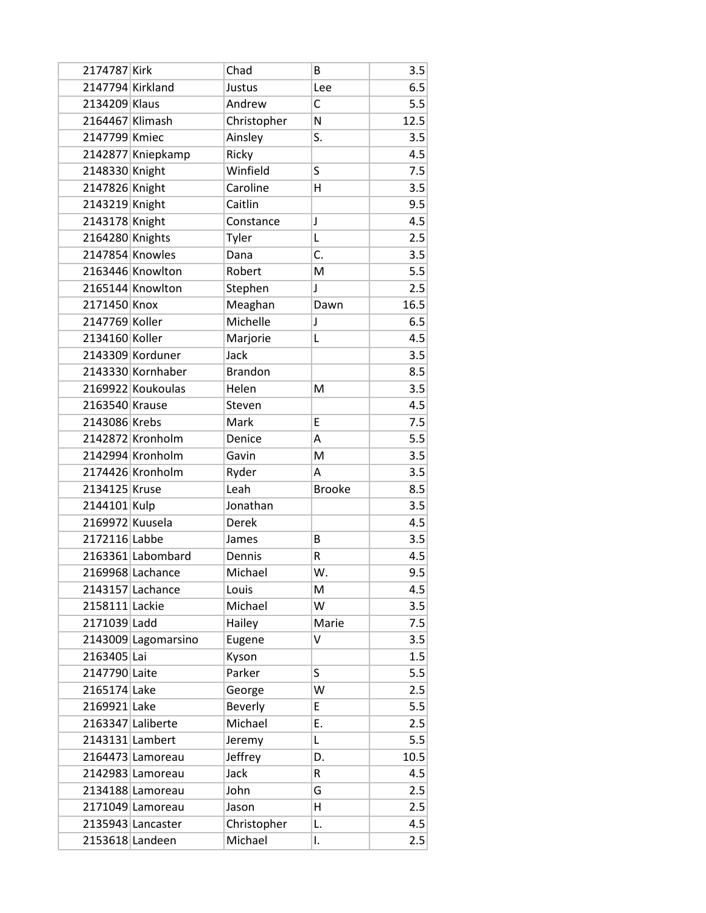| 2174787 Kirk     |                     | Chad           | B             | 3.5  |
|------------------|---------------------|----------------|---------------|------|
| 2147794 Kirkland |                     | Justus         | Lee           | 6.5  |
| 2134209 Klaus    |                     | Andrew         | C             | 5.5  |
| 2164467 Klimash  |                     | Christopher    | N             | 12.5 |
| 2147799 Kmiec    |                     | Ainsley        | S.            | 3.5  |
|                  | 2142877 Kniepkamp   | Ricky          |               | 4.5  |
| 2148330 Knight   |                     | Winfield       | S             | 7.5  |
| 2147826 Knight   |                     | Caroline       | н             | 3.5  |
| 2143219 Knight   |                     | Caitlin        |               | 9.5  |
| 2143178 Knight   |                     | Constance      | J             | 4.5  |
| 2164280 Knights  |                     | Tyler          | L             | 2.5  |
| 2147854 Knowles  |                     | Dana           | C.            | 3.5  |
|                  | 2163446 Knowlton    | Robert         | M             | 5.5  |
|                  | 2165144 Knowlton    | Stephen        | $\mathsf{I}$  | 2.5  |
| 2171450 Knox     |                     | Meaghan        | Dawn          | 16.5 |
| 2147769 Koller   |                     | Michelle       | J             | 6.5  |
| 2134160 Koller   |                     | Marjorie       | L             | 4.5  |
|                  | 2143309 Korduner    | Jack           |               | 3.5  |
|                  | 2143330 Kornhaber   | <b>Brandon</b> |               | 8.5  |
|                  | 2169922 Koukoulas   | Helen          | M             | 3.5  |
| 2163540 Krause   |                     | Steven         |               | 4.5  |
| 2143086 Krebs    |                     | Mark           | E             | 7.5  |
|                  | 2142872 Kronholm    | Denice         | А             | 5.5  |
|                  | 2142994 Kronholm    | Gavin          | M             | 3.5  |
|                  | 2174426 Kronholm    | Ryder          | А             | 3.5  |
| 2134125 Kruse    |                     | Leah           | <b>Brooke</b> | 8.5  |
| 2144101 Kulp     |                     | Jonathan       |               | 3.5  |
| 2169972 Kuusela  |                     | Derek          |               | 4.5  |
| 2172116 Labbe    |                     | James          | B             | 3.5  |
|                  | 2163361 Labombard   | Dennis         | R             | 4.5  |
|                  | 2169968 Lachance    | Michael        | W.            | 9.5  |
|                  | 2143157 Lachance    | Louis          | M             | 4.5  |
| 2158111 Lackie   |                     | Michael        | W             | 3.5  |
| 2171039 Ladd     |                     | Hailey         | Marie         | 7.5  |
|                  | 2143009 Lagomarsino | Eugene         | V             | 3.5  |
| 2163405 Lai      |                     | Kyson          |               | 1.5  |
| 2147790 Laite    |                     | Parker         | S             | 5.5  |
| 2165174 Lake     |                     | George         | W             | 2.5  |
| 2169921 Lake     |                     | Beverly        | E             | 5.5  |
|                  | 2163347 Laliberte   | Michael        | E.            | 2.5  |
| 2143131 Lambert  |                     | Jeremy         | Г             | 5.5  |
|                  | 2164473 Lamoreau    | Jeffrey        | D.            | 10.5 |
|                  | 2142983 Lamoreau    | Jack           | R             | 4.5  |
|                  | 2134188 Lamoreau    | John           | G             | 2.5  |
|                  | 2171049 Lamoreau    | Jason          | H             | 2.5  |
|                  | 2135943 Lancaster   | Christopher    | L.            | 4.5  |
| 2153618 Landeen  |                     | Michael        | I.            | 2.5  |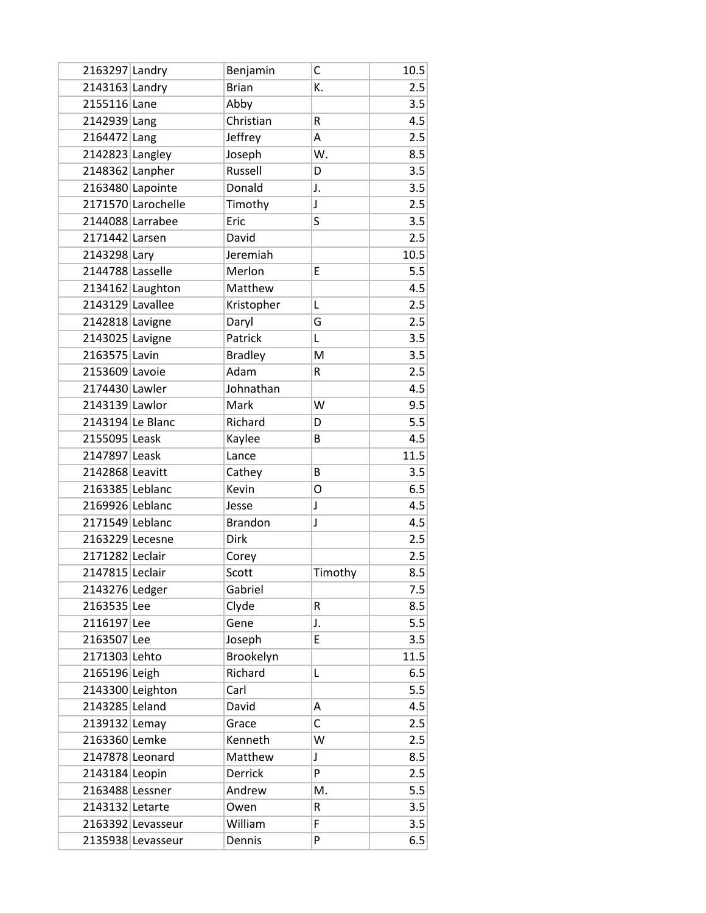| 2163297 Landry   |                    | Benjamin       | С           | 10.5 |
|------------------|--------------------|----------------|-------------|------|
| 2143163 Landry   |                    | <b>Brian</b>   | K.          | 2.5  |
| 2155116 Lane     |                    | Abby           |             | 3.5  |
| 2142939 Lang     |                    | Christian      | R           | 4.5  |
| 2164472 Lang     |                    | Jeffrey        | Α           | 2.5  |
| 2142823 Langley  |                    | Joseph         | W.          | 8.5  |
| 2148362 Lanpher  |                    | Russell        | D           | 3.5  |
|                  | 2163480 Lapointe   | Donald         | J.          | 3.5  |
|                  | 2171570 Larochelle | Timothy        | J           | 2.5  |
|                  | 2144088 Larrabee   | Eric           | S           | 3.5  |
| 2171442 Larsen   |                    | David          |             | 2.5  |
| 2143298 Lary     |                    | Jeremiah       |             | 10.5 |
| 2144788 Lasselle |                    | Merlon         | E           | 5.5  |
|                  | 2134162 Laughton   | Matthew        |             | 4.5  |
| 2143129 Lavallee |                    | Kristopher     | L           | 2.5  |
| 2142818 Lavigne  |                    | Daryl          | G           | 2.5  |
| 2143025 Lavigne  |                    | Patrick        | Г           | 3.5  |
| 2163575 Lavin    |                    | <b>Bradley</b> | M           | 3.5  |
| 2153609 Lavoie   |                    | Adam           | R           | 2.5  |
| 2174430 Lawler   |                    | Johnathan      |             | 4.5  |
| 2143139 Lawlor   |                    | Mark           | W           | 9.5  |
| 2143194 Le Blanc |                    | Richard        | D           | 5.5  |
| 2155095 Leask    |                    | Kaylee         | B           | 4.5  |
| 2147897 Leask    |                    | Lance          |             | 11.5 |
| 2142868 Leavitt  |                    | Cathey         | B           | 3.5  |
| 2163385 Leblanc  |                    | Kevin          | O           | 6.5  |
| 2169926 Leblanc  |                    | Jesse          | J           | 4.5  |
| 2171549 Leblanc  |                    | <b>Brandon</b> | J           | 4.5  |
| 2163229 Lecesne  |                    | <b>Dirk</b>    |             | 2.5  |
| 2171282 Leclair  |                    | Corey          |             | 2.5  |
| 2147815 Leclair  |                    | Scott          | Timothy     | 8.5  |
| 2143276 Ledger   |                    | Gabriel        |             | 7.5  |
| 2163535 Lee      |                    | Clyde          | R           | 8.5  |
| 2116197 Lee      |                    | Gene           | J.          | 5.5  |
| 2163507 Lee      |                    | Joseph         | E           | 3.5  |
| 2171303 Lehto    |                    | Brookelyn      |             | 11.5 |
| 2165196 Leigh    |                    | Richard        | Г           | 6.5  |
|                  | 2143300 Leighton   | Carl           |             | 5.5  |
| 2143285 Leland   |                    | David          | Α           | 4.5  |
| 2139132 Lemay    |                    | Grace          | C           | 2.5  |
| 2163360 Lemke    |                    | Kenneth        | W           | 2.5  |
| 2147878 Leonard  |                    | Matthew        | $\mathsf J$ | 8.5  |
| 2143184 Leopin   |                    | Derrick        | P           | 2.5  |
| 2163488 Lessner  |                    | Andrew         | M.          | 5.5  |
| 2143132 Letarte  |                    | Owen           | R           | 3.5  |
|                  | 2163392 Levasseur  | William        | F           | 3.5  |
|                  | 2135938 Levasseur  | Dennis         | P           | 6.5  |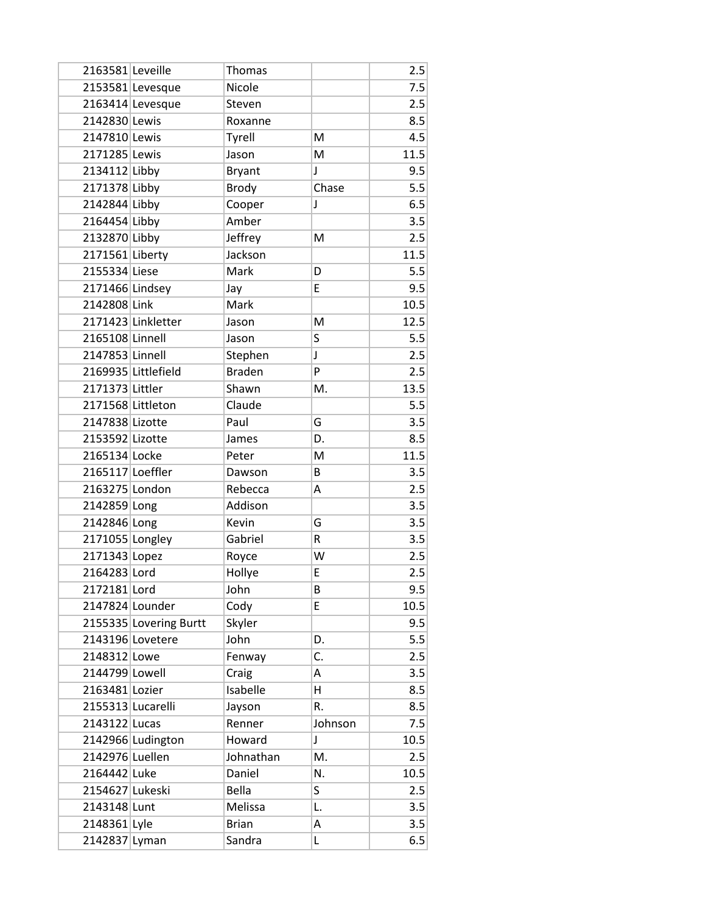| 2163581 Leveille  |                        | Thomas        |         | 2.5  |
|-------------------|------------------------|---------------|---------|------|
|                   | 2153581 Levesque       | Nicole        |         | 7.5  |
|                   | 2163414 Levesque       | Steven        |         | 2.5  |
| 2142830 Lewis     |                        | Roxanne       |         | 8.5  |
| 2147810 Lewis     |                        | Tyrell        | M       | 4.5  |
| 2171285 Lewis     |                        | Jason         | M       | 11.5 |
| 2134112 Libby     |                        | <b>Bryant</b> | J       | 9.5  |
| 2171378 Libby     |                        | <b>Brody</b>  | Chase   | 5.5  |
| 2142844 Libby     |                        | Cooper        | J       | 6.5  |
| 2164454 Libby     |                        | Amber         |         | 3.5  |
| 2132870 Libby     |                        | Jeffrey       | M       | 2.5  |
| 2171561 Liberty   |                        | Jackson       |         | 11.5 |
| 2155334 Liese     |                        | Mark          | D       | 5.5  |
| 2171466 Lindsey   |                        | Jay           | E       | 9.5  |
| 2142808 Link      |                        | Mark          |         | 10.5 |
|                   | 2171423 Linkletter     | Jason         | M       | 12.5 |
| 2165108 Linnell   |                        | Jason         | S       | 5.5  |
| 2147853 Linnell   |                        | Stephen       | J       | 2.5  |
|                   | 2169935 Littlefield    | <b>Braden</b> | P       | 2.5  |
| 2171373 Littler   |                        | Shawn         | M.      | 13.5 |
| 2171568 Littleton |                        | Claude        |         | 5.5  |
| 2147838 Lizotte   |                        | Paul          | G       | 3.5  |
| 2153592 Lizotte   |                        | James         | D.      | 8.5  |
| 2165134 Locke     |                        | Peter         | M       | 11.5 |
| 2165117 Loeffler  |                        | Dawson        | В       | 3.5  |
| 2163275 London    |                        | Rebecca       | Α       | 2.5  |
| 2142859 Long      |                        | Addison       |         | 3.5  |
| 2142846 Long      |                        | Kevin         | G       | 3.5  |
| 2171055 Longley   |                        | Gabriel       | R       | 3.5  |
| 2171343 Lopez     |                        | Royce         | W       | 2.5  |
| 2164283 Lord      |                        | Hollye        | E       | 2.5  |
| 2172181 Lord      |                        | John          | B       | 9.5  |
| 2147824 Lounder   |                        | Cody          | E       | 10.5 |
|                   | 2155335 Lovering Burtt | Skyler        |         | 9.5  |
|                   | 2143196 Lovetere       | John          | D.      | 5.5  |
| 2148312 Lowe      |                        | Fenway        | C.      | 2.5  |
| 2144799 Lowell    |                        | Craig         | A       | 3.5  |
| 2163481 Lozier    |                        | Isabelle      | Η       | 8.5  |
| 2155313 Lucarelli |                        | Jayson        | R.      | 8.5  |
| 2143122 Lucas     |                        | Renner        | Johnson | 7.5  |
|                   | 2142966 Ludington      | Howard        | J       | 10.5 |
| 2142976 Luellen   |                        | Johnathan     | M.      | 2.5  |
| 2164442 Luke      |                        | Daniel        | N.      | 10.5 |
| 2154627 Lukeski   |                        | <b>Bella</b>  | S       | 2.5  |
| 2143148 Lunt      |                        | Melissa       | L.      | 3.5  |
| 2148361 Lyle      |                        | <b>Brian</b>  | Α       | 3.5  |
| 2142837 Lyman     |                        | Sandra        | Г       | 6.5  |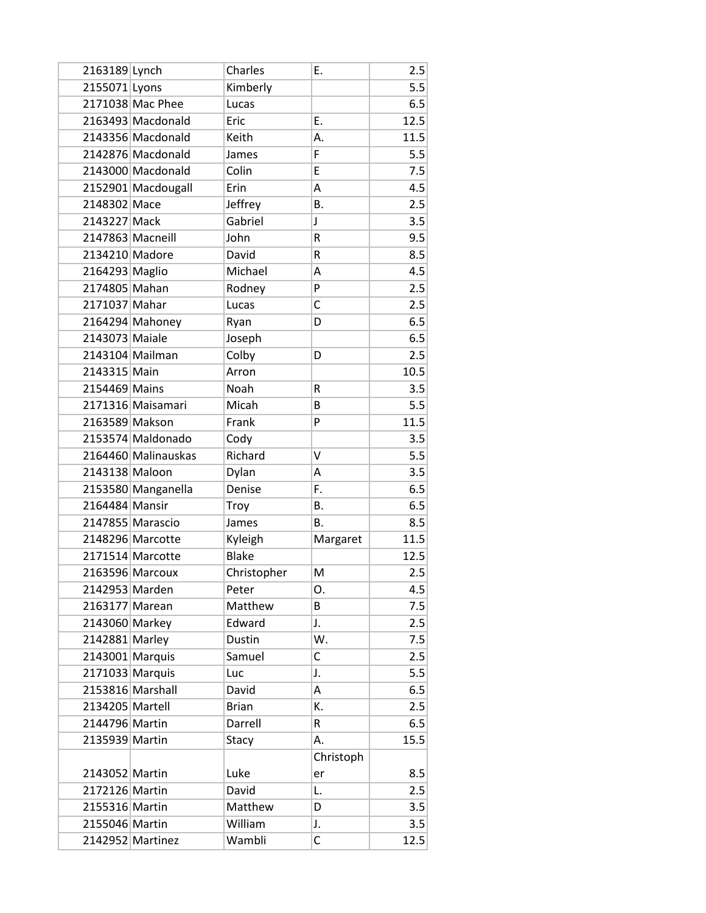| 2163189 Lynch    |                     | Charles      | Ε.        | 2.5  |
|------------------|---------------------|--------------|-----------|------|
| 2155071 Lyons    |                     | Kimberly     |           | 5.5  |
|                  | 2171038 Mac Phee    | Lucas        |           | 6.5  |
|                  | 2163493 Macdonald   | Eric         | Ε.        | 12.5 |
|                  | 2143356 Macdonald   | Keith        | А.        | 11.5 |
|                  | 2142876 Macdonald   | James        | F         | 5.5  |
|                  | 2143000 Macdonald   | Colin        | E         | 7.5  |
|                  | 2152901 Macdougall  | Erin         | Α         | 4.5  |
| 2148302 Mace     |                     | Jeffrey      | В.        | 2.5  |
| 2143227 Mack     |                     | Gabriel      | J         | 3.5  |
| 2147863 Macneill |                     | John         | R         | 9.5  |
| 2134210 Madore   |                     | David        | R         | 8.5  |
| 2164293 Maglio   |                     | Michael      | Α         | 4.5  |
| 2174805 Mahan    |                     | Rodney       | P         | 2.5  |
| 2171037 Mahar    |                     | Lucas        | C         | 2.5  |
|                  | 2164294 Mahoney     | Ryan         | D         | 6.5  |
| 2143073 Maiale   |                     | Joseph       |           | 6.5  |
|                  | 2143104 Mailman     | Colby        | D         | 2.5  |
| 2143315 Main     |                     | Arron        |           | 10.5 |
| 2154469 Mains    |                     | Noah         | R         | 3.5  |
|                  | 2171316 Maisamari   | Micah        | B         | 5.5  |
| 2163589 Makson   |                     | Frank        | P         | 11.5 |
|                  | 2153574 Maldonado   | Cody         |           | 3.5  |
|                  | 2164460 Malinauskas | Richard      | v         | 5.5  |
| 2143138 Maloon   |                     | Dylan        | Α         | 3.5  |
|                  | 2153580 Manganella  | Denise       | F.        | 6.5  |
| 2164484 Mansir   |                     | Troy         | Β.        | 6.5  |
|                  | 2147855 Marascio    | James        | В.        | 8.5  |
|                  | 2148296 Marcotte    | Kyleigh      | Margaret  | 11.5 |
|                  | 2171514 Marcotte    | <b>Blake</b> |           | 12.5 |
|                  | 2163596 Marcoux     | Christopher  | M         | 2.5  |
| 2142953 Marden   |                     | Peter        | Ο.        | 4.5  |
| 2163177 Marean   |                     | Matthew      | В         | 7.5  |
| 2143060 Markey   |                     | Edward       | J.        | 2.5  |
| 2142881 Marley   |                     | Dustin       | W.        | 7.5  |
| 2143001 Marquis  |                     | Samuel       | С         | 2.5  |
| 2171033 Marquis  |                     | Luc          | J.        | 5.5  |
|                  | 2153816 Marshall    | David        | А         | 6.5  |
| 2134205 Martell  |                     | <b>Brian</b> | К.        | 2.5  |
| 2144796 Martin   |                     | Darrell      | R         | 6.5  |
| 2135939 Martin   |                     | Stacy        | А.        | 15.5 |
|                  |                     |              | Christoph |      |
| 2143052 Martin   |                     | Luke         | er        | 8.5  |
| 2172126 Martin   |                     | David        | L.        | 2.5  |
| 2155316 Martin   |                     | Matthew      | D         | 3.5  |
| 2155046 Martin   |                     | William      | J.        | 3.5  |
|                  | 2142952 Martinez    | Wambli       | C         | 12.5 |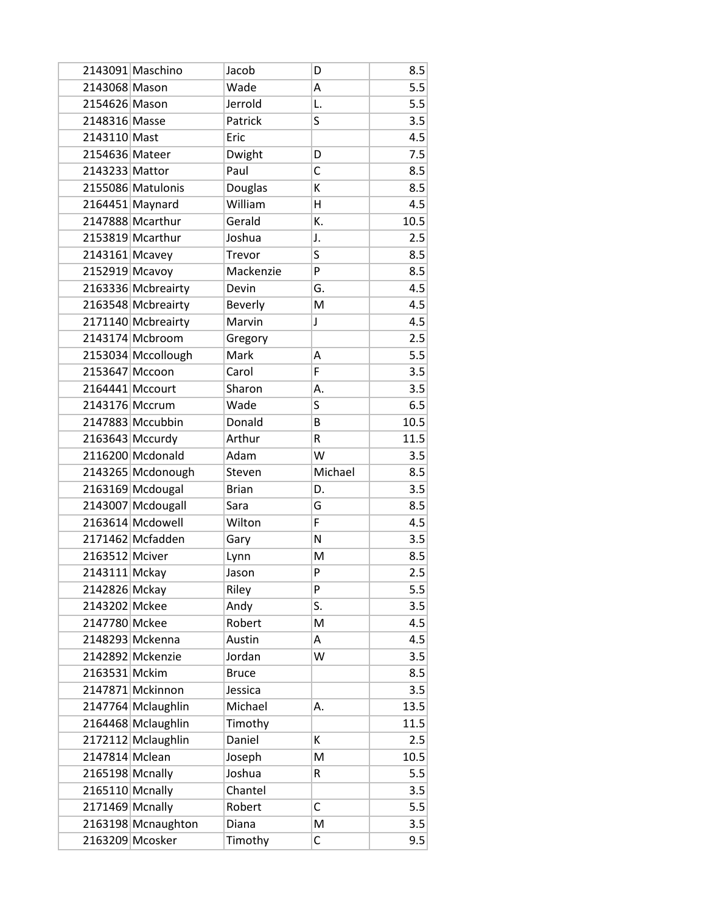|                 | 2143091 Maschino   | Jacob          | D            | 8.5  |
|-----------------|--------------------|----------------|--------------|------|
| 2143068 Mason   |                    | Wade           | A            | 5.5  |
| 2154626 Mason   |                    | Jerrold        | L.           | 5.5  |
| 2148316 Masse   |                    | Patrick        | S            | 3.5  |
| 2143110 Mast    |                    | Eric           |              | 4.5  |
| 2154636 Mateer  |                    | Dwight         | D            | 7.5  |
| 2143233 Mattor  |                    | Paul           | C            | 8.5  |
|                 | 2155086 Matulonis  | Douglas        | К            | 8.5  |
|                 | 2164451 Maynard    | William        | Η            | 4.5  |
|                 | 2147888 Mcarthur   | Gerald         | K.           | 10.5 |
|                 | 2153819 Mcarthur   | Joshua         | J.           | 2.5  |
| 2143161 Mcavey  |                    | Trevor         | S            | 8.5  |
| 2152919 Mcavoy  |                    | Mackenzie      | P            | 8.5  |
|                 | 2163336 Mcbreairty | Devin          | G.           | 4.5  |
|                 | 2163548 Mcbreairty | <b>Beverly</b> | M            | 4.5  |
|                 | 2171140 Mcbreairty | Marvin         | $\mathsf J$  | 4.5  |
|                 | 2143174 Mcbroom    | Gregory        |              | 2.5  |
|                 | 2153034 Mccollough | Mark           | Α            | 5.5  |
| 2153647 Mccoon  |                    | Carol          | F            | 3.5  |
| 2164441 Mccourt |                    | Sharon         | А.           | 3.5  |
| 2143176 Mccrum  |                    | Wade           | S            | 6.5  |
|                 | 2147883 Mccubbin   | Donald         | B            | 10.5 |
|                 | 2163643 Mccurdy    | Arthur         | R            | 11.5 |
|                 | 2116200 Mcdonald   | Adam           | W            | 3.5  |
|                 | 2143265 Mcdonough  | Steven         | Michael      | 8.5  |
|                 | 2163169 Mcdougal   | <b>Brian</b>   | D.           | 3.5  |
|                 | 2143007 Mcdougall  | Sara           | G            | 8.5  |
|                 | 2163614 Mcdowell   | Wilton         | F            | 4.5  |
|                 | 2171462 Mcfadden   | Gary           | N            | 3.5  |
| 2163512 Mciver  |                    | Lynn           | M            | 8.5  |
| 2143111 Mckay   |                    | Jason          | P            | 2.5  |
| 2142826 Mckay   |                    | Riley          | P            | 5.5  |
| 2143202 Mckee   |                    | Andy           | S.           | 3.5  |
| 2147780 Mckee   |                    | Robert         | M            | 4.5  |
|                 | 2148293 Mckenna    | Austin         | Α            | 4.5  |
|                 | 2142892 Mckenzie   | Jordan         | W            | 3.5  |
| 2163531 Mckim   |                    | <b>Bruce</b>   |              | 8.5  |
|                 | 2147871 Mckinnon   | Jessica        |              | 3.5  |
|                 | 2147764 Mclaughlin | Michael        | А.           | 13.5 |
|                 | 2164468 Mclaughlin | Timothy        |              | 11.5 |
|                 | 2172112 Mclaughlin | Daniel         | K            | 2.5  |
| 2147814 Mclean  |                    | Joseph         | M            | 10.5 |
| 2165198 Mcnally |                    | Joshua         | R            | 5.5  |
| 2165110 Mcnally |                    | Chantel        |              | 3.5  |
| 2171469 Mcnally |                    | Robert         | $\mathsf{C}$ | 5.5  |
|                 | 2163198 Mcnaughton | Diana          | M            | 3.5  |
|                 | 2163209 Mcosker    | Timothy        | C            | 9.5  |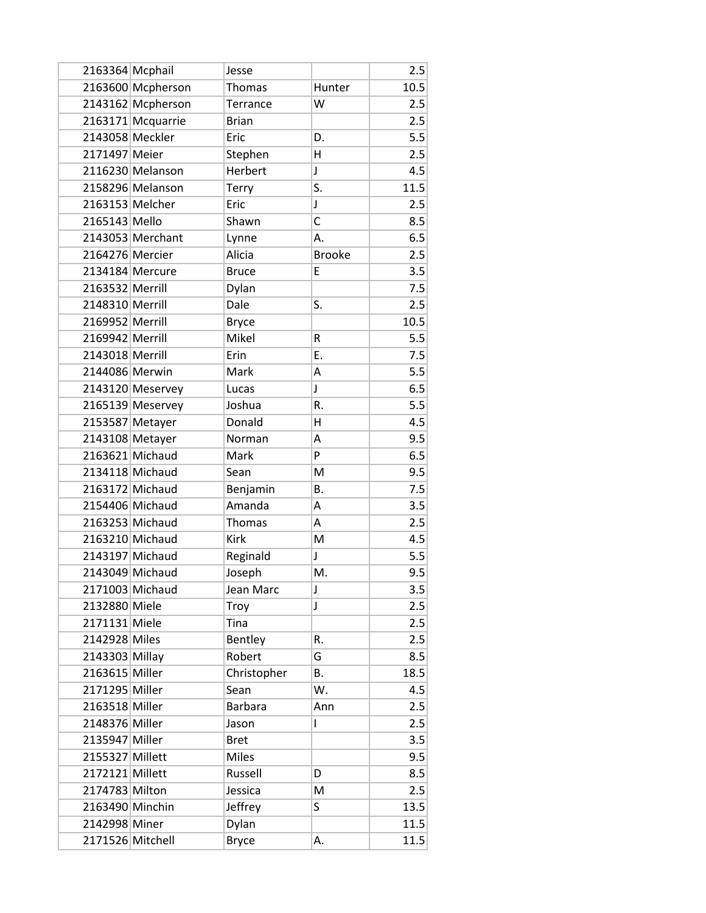| 2163364 Mcphail  |                   | Jesse          |               | 2.5  |
|------------------|-------------------|----------------|---------------|------|
|                  | 2163600 Mcpherson | Thomas         | Hunter        | 10.5 |
|                  | 2143162 Mcpherson | Terrance       | W             | 2.5  |
|                  | 2163171 Mcquarrie | <b>Brian</b>   |               | 2.5  |
| 2143058 Meckler  |                   | Eric           | D.            | 5.5  |
| 2171497 Meier    |                   | Stephen        | H             | 2.5  |
|                  | 2116230 Melanson  | Herbert        | J             | 4.5  |
|                  | 2158296 Melanson  | Terry          | S.            | 11.5 |
| 2163153 Melcher  |                   | Eric           | $\mathsf J$   | 2.5  |
| 2165143 Mello    |                   | Shawn          | С             | 8.5  |
|                  | 2143053 Merchant  | Lynne          | А.            | 6.5  |
| 2164276 Mercier  |                   | Alicia         | <b>Brooke</b> | 2.5  |
| 2134184 Mercure  |                   | <b>Bruce</b>   | E             | 3.5  |
| 2163532 Merrill  |                   | Dylan          |               | 7.5  |
| 2148310 Merrill  |                   | Dale           | S.            | 2.5  |
| 2169952 Merrill  |                   | <b>Bryce</b>   |               | 10.5 |
| 2169942 Merrill  |                   | Mikel          | R             | 5.5  |
| 2143018 Merrill  |                   | Erin           | E.            | 7.5  |
| 2144086 Merwin   |                   | Mark           | Α             | 5.5  |
|                  | 2143120 Meservey  | Lucas          | J             | 6.5  |
|                  | 2165139 Meservey  | Joshua         | R.            | 5.5  |
| 2153587 Metayer  |                   | Donald         | н             | 4.5  |
| 2143108 Metayer  |                   | Norman         | Α             | 9.5  |
|                  | 2163621 Michaud   | Mark           | P             | 6.5  |
|                  | 2134118 Michaud   | Sean           | M             | 9.5  |
|                  | 2163172 Michaud   | Benjamin       | <b>B.</b>     | 7.5  |
|                  | 2154406 Michaud   | Amanda         | Α             | 3.5  |
|                  | 2163253 Michaud   | Thomas         | A             | 2.5  |
|                  | 2163210 Michaud   | <b>Kirk</b>    | M             | 4.5  |
|                  | 2143197 Michaud   | Reginald       | J             | 5.5  |
|                  | 2143049 Michaud   | Joseph         | M.            | 9.5  |
| 2171003 Michaud  |                   | Jean Marc      | J             | 3.5  |
| 2132880 Miele    |                   | Troy           | J             | 2.5  |
| 2171131 Miele    |                   | Tina           |               | 2.5  |
| 2142928 Miles    |                   | Bentley        | R.            | 2.5  |
| 2143303 Millay   |                   | Robert         | G             | 8.5  |
| 2163615 Miller   |                   | Christopher    | В.            | 18.5 |
| 2171295 Miller   |                   | Sean           | W.            | 4.5  |
| 2163518 Miller   |                   | <b>Barbara</b> | Ann           | 2.5  |
| 2148376 Miller   |                   | Jason          | L             | 2.5  |
| 2135947 Miller   |                   | <b>Bret</b>    |               | 3.5  |
| 2155327 Millett  |                   | <b>Miles</b>   |               | 9.5  |
| 2172121 Millett  |                   | Russell        | D             | 8.5  |
| 2174783 Milton   |                   | Jessica        | M             | 2.5  |
| 2163490 Minchin  |                   | Jeffrey        | S             | 13.5 |
| 2142998 Miner    |                   | Dylan          |               | 11.5 |
| 2171526 Mitchell |                   | <b>Bryce</b>   | А.            | 11.5 |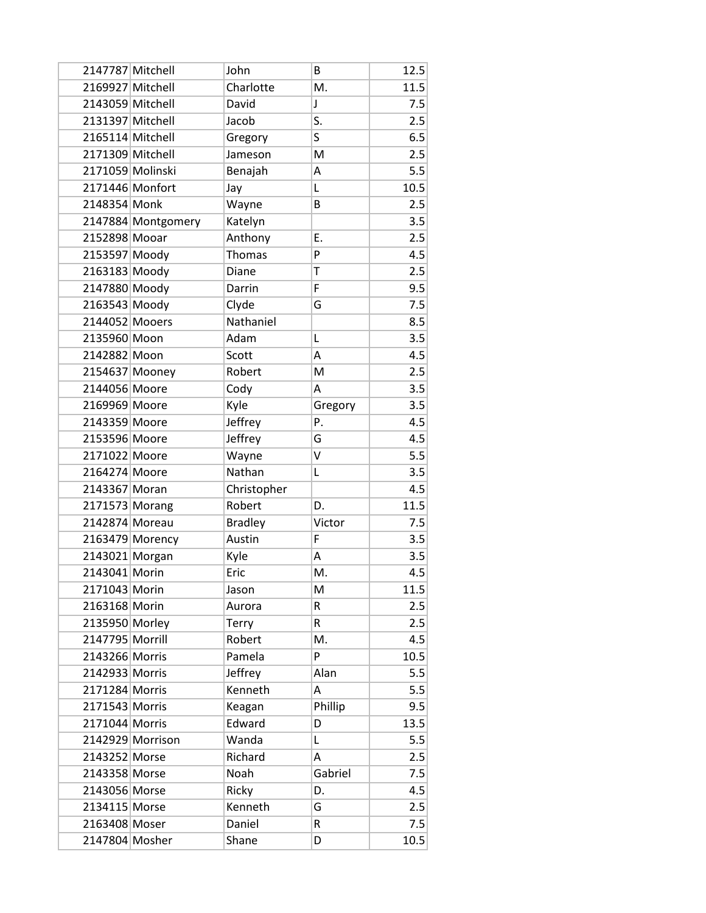| 2147787 Mitchell |                    | John           | B       | 12.5 |
|------------------|--------------------|----------------|---------|------|
| 2169927 Mitchell |                    | Charlotte      | M.      | 11.5 |
| 2143059 Mitchell |                    | David          | J       | 7.5  |
| 2131397 Mitchell |                    | Jacob          | S.      | 2.5  |
| 2165114 Mitchell |                    | Gregory        | S       | 6.5  |
| 2171309 Mitchell |                    | Jameson        | M       | 2.5  |
| 2171059 Molinski |                    | Benajah        | Α       | 5.5  |
| 2171446 Monfort  |                    | Jay            | L       | 10.5 |
| 2148354 Monk     |                    | Wayne          | B       | 2.5  |
|                  | 2147884 Montgomery | Katelyn        |         | 3.5  |
| 2152898 Mooar    |                    | Anthony        | E.      | 2.5  |
| 2153597 Moody    |                    | Thomas         | P       | 4.5  |
| 2163183 Moody    |                    | Diane          | T       | 2.5  |
| 2147880 Moody    |                    | Darrin         | F       | 9.5  |
| 2163543 Moody    |                    | Clyde          | G       | 7.5  |
| 2144052 Mooers   |                    | Nathaniel      |         | 8.5  |
| 2135960 Moon     |                    | Adam           | L       | 3.5  |
| 2142882 Moon     |                    | Scott          | Α       | 4.5  |
| 2154637 Mooney   |                    | Robert         | M       | 2.5  |
| 2144056 Moore    |                    | Cody           | A       | 3.5  |
| 2169969 Moore    |                    | Kyle           | Gregory | 3.5  |
| 2143359 Moore    |                    | Jeffrey        | Ρ.      | 4.5  |
| 2153596 Moore    |                    | Jeffrey        | G       | 4.5  |
| 2171022 Moore    |                    | Wayne          | V       | 5.5  |
| 2164274 Moore    |                    | Nathan         | L       | 3.5  |
| 2143367 Moran    |                    | Christopher    |         | 4.5  |
| 2171573 Morang   |                    | Robert         | D.      | 11.5 |
| 2142874 Moreau   |                    | <b>Bradley</b> | Victor  | 7.5  |
|                  | 2163479 Morency    | Austin         | F       | 3.5  |
| 2143021 Morgan   |                    | Kyle           | Α       | 3.5  |
| 2143041 Morin    |                    | Eric           | M.      | 4.5  |
| 2171043 Morin    |                    | Jason          | M       | 11.5 |
| 2163168 Morin    |                    | Aurora         | R       | 2.5  |
| 2135950 Morley   |                    | <b>Terry</b>   | R       | 2.5  |
| 2147795 Morrill  |                    | Robert         | M.      | 4.5  |
| 2143266 Morris   |                    | Pamela         | P       | 10.5 |
| 2142933 Morris   |                    | Jeffrey        | Alan    | 5.5  |
| 2171284 Morris   |                    | Kenneth        | А       | 5.5  |
| 2171543 Morris   |                    | Keagan         | Phillip | 9.5  |
| 2171044 Morris   |                    | Edward         | D       | 13.5 |
|                  | 2142929 Morrison   | Wanda          | L       | 5.5  |
| 2143252 Morse    |                    | Richard        | А       | 2.5  |
| 2143358 Morse    |                    | Noah           | Gabriel | 7.5  |
| 2143056 Morse    |                    | Ricky          | D.      | 4.5  |
| 2134115 Morse    |                    | Kenneth        | G       | 2.5  |
| 2163408 Moser    |                    | Daniel         | R       | 7.5  |
| 2147804 Mosher   |                    | Shane          | D       | 10.5 |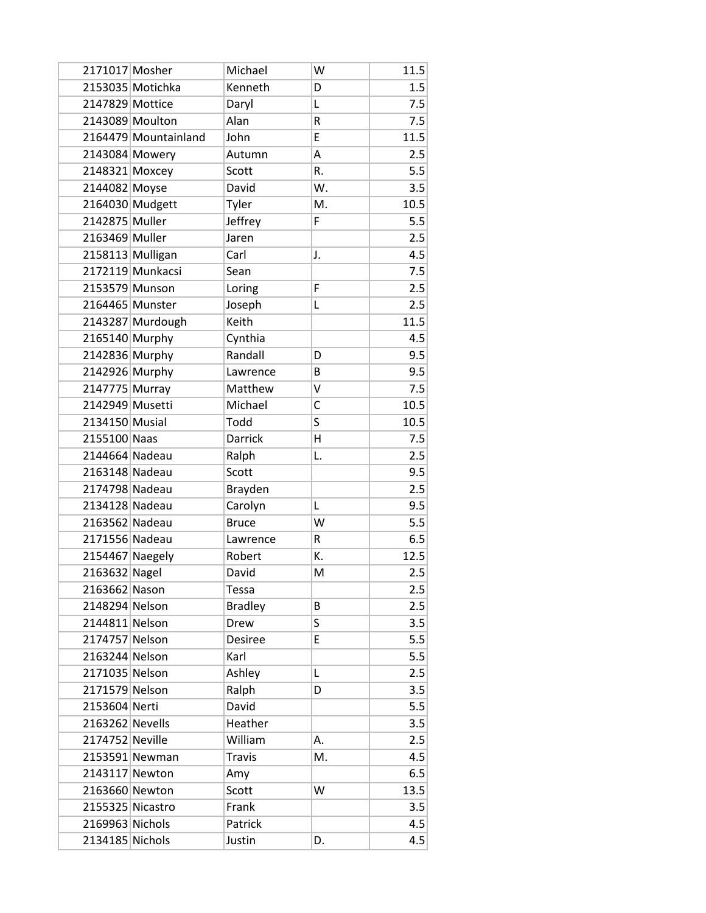| 2171017 Mosher   |                      | Michael        | W  | 11.5 |
|------------------|----------------------|----------------|----|------|
|                  | 2153035 Motichka     | Kenneth        | D  | 1.5  |
| 2147829 Mottice  |                      | Daryl          | L  | 7.5  |
|                  | 2143089 Moulton      | Alan           | R  | 7.5  |
|                  | 2164479 Mountainland | John           | E  | 11.5 |
| 2143084 Mowery   |                      | Autumn         | A  | 2.5  |
| 2148321 Moxcey   |                      | Scott          | R. | 5.5  |
| 2144082 Moyse    |                      | David          | W. | 3.5  |
|                  | 2164030 Mudgett      | Tyler          | M. | 10.5 |
| 2142875 Muller   |                      | Jeffrey        | F  | 5.5  |
| 2163469 Muller   |                      | Jaren          |    | 2.5  |
|                  | 2158113 Mulligan     | Carl           | J. | 4.5  |
|                  | 2172119 Munkacsi     | Sean           |    | 7.5  |
| 2153579 Munson   |                      | Loring         | F  | 2.5  |
| 2164465 Munster  |                      | Joseph         | Г  | 2.5  |
|                  | 2143287 Murdough     | Keith          |    | 11.5 |
| 2165140 Murphy   |                      | Cynthia        |    | 4.5  |
| 2142836 Murphy   |                      | Randall        | D  | 9.5  |
| 2142926 Murphy   |                      | Lawrence       | B  | 9.5  |
| 2147775 Murray   |                      | Matthew        | v  | 7.5  |
| 2142949 Musetti  |                      | Michael        | C  | 10.5 |
| 2134150 Musial   |                      | Todd           | S  | 10.5 |
| 2155100 Naas     |                      | <b>Darrick</b> | Η  | 7.5  |
| 2144664 Nadeau   |                      | Ralph          | L. | 2.5  |
| 2163148 Nadeau   |                      | Scott          |    | 9.5  |
| 2174798 Nadeau   |                      | Brayden        |    | 2.5  |
| 2134128 Nadeau   |                      | Carolyn        | Г  | 9.5  |
| 2163562 Nadeau   |                      | <b>Bruce</b>   | W  | 5.5  |
| 2171556 Nadeau   |                      | Lawrence       | R  | 6.5  |
| 2154467 Naegely  |                      | Robert         | Κ. | 12.5 |
| 2163632 Nagel    |                      | David          | M  | 2.5  |
| 2163662 Nason    |                      | Tessa          |    | 2.5  |
| 2148294 Nelson   |                      | <b>Bradley</b> | В  | 2.5  |
| 2144811 Nelson   |                      | Drew           | S  | 3.5  |
| 2174757 Nelson   |                      | Desiree        | E  | 5.5  |
| 2163244 Nelson   |                      | Karl           |    | 5.5  |
| 2171035 Nelson   |                      | Ashley         | Г  | 2.5  |
| 2171579 Nelson   |                      | Ralph          | D  | 3.5  |
| 2153604 Nerti    |                      | David          |    | 5.5  |
| 2163262 Nevells  |                      | Heather        |    | 3.5  |
| 2174752 Neville  |                      | William        | А. | 2.5  |
|                  | 2153591 Newman       | <b>Travis</b>  | M. | 4.5  |
| 2143117 Newton   |                      | Amy            |    | 6.5  |
| 2163660 Newton   |                      | Scott          | W  | 13.5 |
| 2155325 Nicastro |                      | Frank          |    | 3.5  |
| 2169963 Nichols  |                      | Patrick        |    | 4.5  |
| 2134185 Nichols  |                      | Justin         | D. | 4.5  |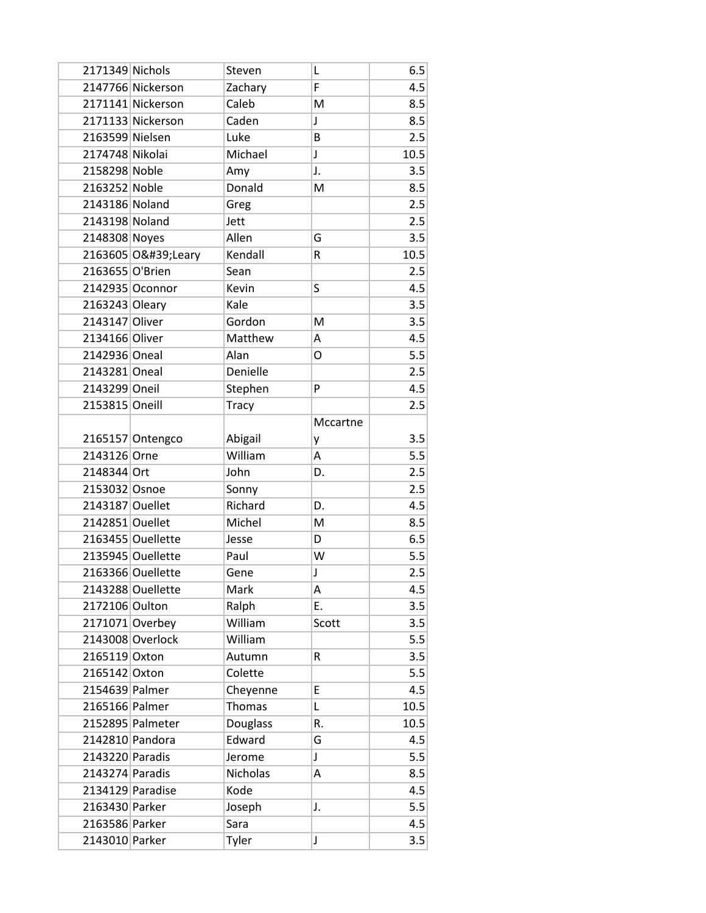| 2171349 Nichols |                   | Steven       | Г           | 6.5  |
|-----------------|-------------------|--------------|-------------|------|
|                 | 2147766 Nickerson | Zachary      | F           | 4.5  |
|                 | 2171141 Nickerson | Caleb        | M           | 8.5  |
|                 | 2171133 Nickerson | Caden        | J           | 8.5  |
| 2163599 Nielsen |                   | Luke         | B           | 2.5  |
| 2174748 Nikolai |                   | Michael      | J           | 10.5 |
| 2158298 Noble   |                   | Amy          | J.          | 3.5  |
| 2163252 Noble   |                   | Donald       | M           | 8.5  |
| 2143186 Noland  |                   | Greg         |             | 2.5  |
| 2143198 Noland  |                   | Jett         |             | 2.5  |
| 2148308 Noyes   |                   | Allen        | G           | 3.5  |
|                 | 2163605 O' Leary  | Kendall      | R           | 10.5 |
| 2163655 O'Brien |                   | Sean         |             | 2.5  |
|                 | 2142935 Oconnor   | Kevin        | S           | 4.5  |
| 2163243 Oleary  |                   | Kale         |             | 3.5  |
| 2143147 Oliver  |                   | Gordon       | M           | 3.5  |
| 2134166 Oliver  |                   | Matthew      | А           | 4.5  |
| 2142936 Oneal   |                   | Alan         | O           | 5.5  |
| 2143281 Oneal   |                   | Denielle     |             | 2.5  |
| 2143299 Oneil   |                   | Stephen      | P           | 4.5  |
| 2153815 Oneill  |                   | <b>Tracy</b> |             | 2.5  |
|                 |                   |              | Mccartne    |      |
|                 | 2165157 Ontengco  | Abigail      | у           | 3.5  |
| 2143126 Orne    |                   | William      | A           | 5.5  |
| 2148344 Ort     |                   | John         | D.          | 2.5  |
| 2153032 Osnoe   |                   | Sonny        |             | 2.5  |
| 2143187 Ouellet |                   | Richard      | D.          | 4.5  |
| 2142851 Ouellet |                   | Michel       | M           | 8.5  |
|                 | 2163455 Ouellette | Jesse        | D           | 6.5  |
|                 | 2135945 Ouellette | Paul         | W           | 5.5  |
|                 | 2163366 Ouellette | Gene         | $\mathsf J$ | 2.5  |
|                 | 2143288 Ouellette | Mark         | Α           | 4.5  |
| 2172106 Oulton  |                   | Ralph        | E.          | 3.5  |
|                 | 2171071 Overbey   | William      | Scott       | 3.5  |
|                 | 2143008 Overlock  | William      |             | 5.5  |
| 2165119 Oxton   |                   | Autumn       | R           | 3.5  |
| 2165142 Oxton   |                   | Colette      |             | 5.5  |
| 2154639 Palmer  |                   | Cheyenne     | E           | 4.5  |
| 2165166 Palmer  |                   | Thomas       | L           | 10.5 |
|                 | 2152895 Palmeter  | Douglass     | R.          | 10.5 |
| 2142810 Pandora |                   | Edward       | G           | 4.5  |
| 2143220 Paradis |                   | Jerome       | $\mathsf J$ | 5.5  |
| 2143274 Paradis |                   | Nicholas     | Α           | 8.5  |
|                 | 2134129 Paradise  | Kode         |             | 4.5  |
| 2163430 Parker  |                   | Joseph       | J.          | 5.5  |
| 2163586 Parker  |                   | Sara         |             | 4.5  |
|                 | 2143010 Parker    | Tyler        | J           | 3.5  |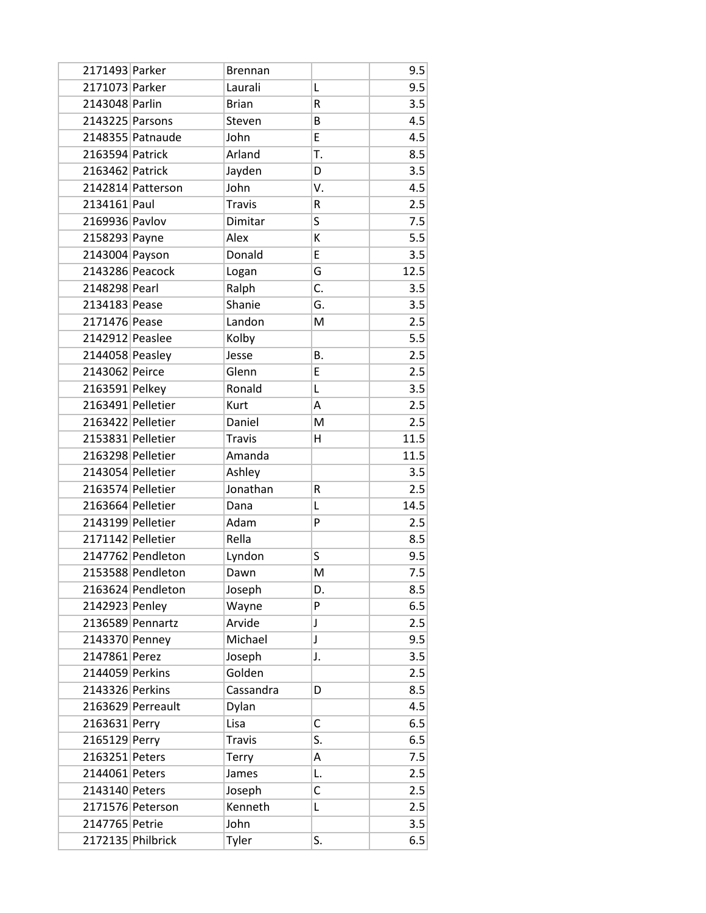| 2171493 Parker    |                   | <b>Brennan</b> |    | 9.5  |
|-------------------|-------------------|----------------|----|------|
| 2171073 Parker    |                   | Laurali        | L  | 9.5  |
| 2143048 Parlin    |                   | <b>Brian</b>   | R  | 3.5  |
| 2143225 Parsons   |                   | Steven         | B  | 4.5  |
|                   | 2148355 Patnaude  | John           | E  | 4.5  |
| 2163594 Patrick   |                   | Arland         | T. | 8.5  |
| 2163462 Patrick   |                   | Jayden         | D  | 3.5  |
|                   | 2142814 Patterson | John           | ٧. | 4.5  |
| 2134161 Paul      |                   | <b>Travis</b>  | R  | 2.5  |
| 2169936 Pavlov    |                   | Dimitar        | S  | 7.5  |
| 2158293 Payne     |                   | Alex           | К  | 5.5  |
| 2143004 Payson    |                   | Donald         | E  | 3.5  |
| 2143286 Peacock   |                   | Logan          | G  | 12.5 |
| 2148298 Pearl     |                   | Ralph          | C. | 3.5  |
| 2134183 Pease     |                   | Shanie         | G. | 3.5  |
| 2171476 Pease     |                   | Landon         | M  | 2.5  |
| 2142912 Peaslee   |                   | Kolby          |    | 5.5  |
| 2144058 Peasley   |                   | Jesse          | В. | 2.5  |
| 2143062 Peirce    |                   | Glenn          | E  | 2.5  |
| 2163591 Pelkey    |                   | Ronald         | Г  | 3.5  |
| 2163491 Pelletier |                   | Kurt           | A  | 2.5  |
| 2163422 Pelletier |                   | Daniel         | M  | 2.5  |
| 2153831 Pelletier |                   | <b>Travis</b>  | н  | 11.5 |
| 2163298 Pelletier |                   | Amanda         |    | 11.5 |
| 2143054 Pelletier |                   | Ashley         |    | 3.5  |
| 2163574 Pelletier |                   | Jonathan       | R  | 2.5  |
| 2163664 Pelletier |                   | Dana           | L  | 14.5 |
| 2143199 Pelletier |                   | Adam           | P  | 2.5  |
| 2171142 Pelletier |                   | Rella          |    | 8.5  |
|                   | 2147762 Pendleton | Lyndon         | S  | 9.5  |
|                   | 2153588 Pendleton | Dawn           | M  | 7.5  |
|                   | 2163624 Pendleton | Joseph         | D. | 8.5  |
| 2142923 Penley    |                   | Wayne          | P  | 6.5  |
|                   | 2136589 Pennartz  | Arvide         | J  | 2.5  |
| 2143370 Penney    |                   | Michael        | J  | 9.5  |
| 2147861 Perez     |                   | Joseph         | J. | 3.5  |
| 2144059 Perkins   |                   | Golden         |    | 2.5  |
| 2143326 Perkins   |                   | Cassandra      | D  | 8.5  |
|                   | 2163629 Perreault | Dylan          |    | 4.5  |
| 2163631 Perry     |                   | Lisa           | C  | 6.5  |
| 2165129 Perry     |                   | <b>Travis</b>  | S. | 6.5  |
| 2163251 Peters    |                   | Terry          | Α  | 7.5  |
| 2144061 Peters    |                   | James          | L. | 2.5  |
| 2143140 Peters    |                   | Joseph         | C  | 2.5  |
|                   | 2171576 Peterson  | Kenneth        | Г  | 2.5  |
| 2147765 Petrie    |                   | John           |    | 3.5  |
| 2172135 Philbrick |                   | Tyler          | S. | 6.5  |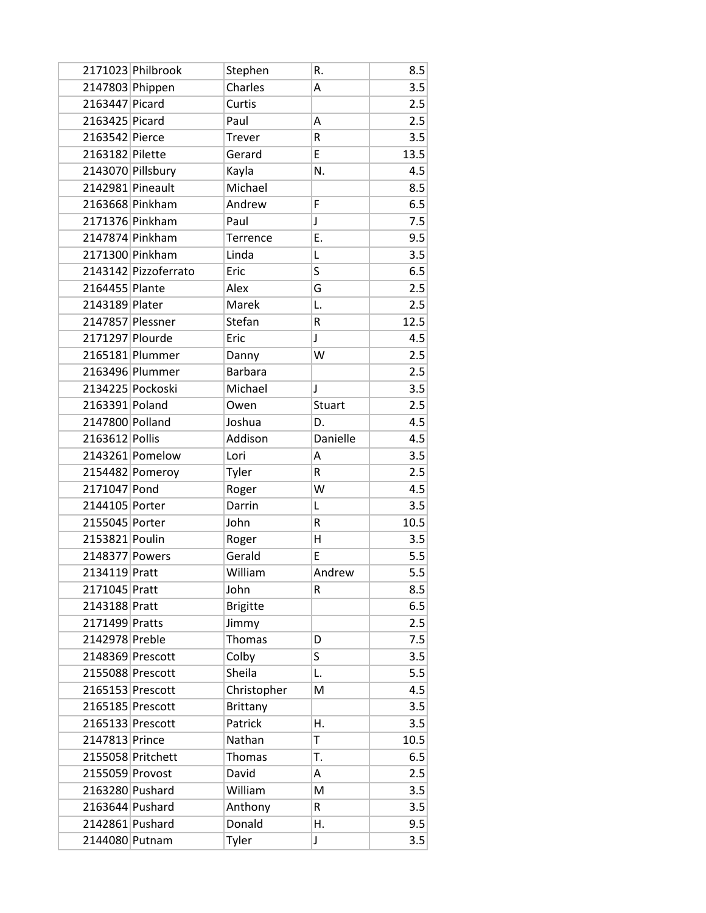|                   | 2171023 Philbrook    | Stephen         | R.          | 8.5  |
|-------------------|----------------------|-----------------|-------------|------|
| 2147803 Phippen   |                      | Charles         | А           | 3.5  |
| 2163447 Picard    |                      | Curtis          |             | 2.5  |
| 2163425 Picard    |                      | Paul            | Α           | 2.5  |
| 2163542 Pierce    |                      | <b>Trever</b>   | R           | 3.5  |
| 2163182 Pilette   |                      | Gerard          | E           | 13.5 |
| 2143070 Pillsbury |                      | Kayla           | N.          | 4.5  |
| 2142981 Pineault  |                      | Michael         |             | 8.5  |
| 2163668 Pinkham   |                      | Andrew          | F           | 6.5  |
| 2171376 Pinkham   |                      | Paul            | J           | 7.5  |
| 2147874 Pinkham   |                      | Terrence        | E.          | 9.5  |
|                   | 2171300 Pinkham      | Linda           | L           | 3.5  |
|                   | 2143142 Pizzoferrato | Eric            | S           | 6.5  |
| 2164455 Plante    |                      | Alex            | G           | 2.5  |
| 2143189 Plater    |                      | Marek           | L.          | 2.5  |
| 2147857 Plessner  |                      | Stefan          | R           | 12.5 |
| 2171297 Plourde   |                      | Eric            | J           | 4.5  |
|                   | 2165181 Plummer      | Danny           | W           | 2.5  |
|                   | 2163496 Plummer      | <b>Barbara</b>  |             | 2.5  |
|                   | 2134225 Pockoski     | Michael         | J           | 3.5  |
| 2163391 Poland    |                      | Owen            | Stuart      | 2.5  |
| 2147800 Polland   |                      | Joshua          | D.          | 4.5  |
| 2163612 Pollis    |                      | Addison         | Danielle    | 4.5  |
|                   | 2143261 Pomelow      | Lori            | Α           | 3.5  |
|                   | 2154482 Pomeroy      | Tyler           | R           | 2.5  |
| 2171047 Pond      |                      | Roger           | W           | 4.5  |
| 2144105 Porter    |                      | Darrin          | Г           | 3.5  |
| 2155045 Porter    |                      | John            | R           | 10.5 |
| 2153821 Poulin    |                      | Roger           | Η           | 3.5  |
| 2148377 Powers    |                      | Gerald          | E           | 5.5  |
| 2134119 Pratt     |                      | William         | Andrew      | 5.5  |
| 2171045 Pratt     |                      | John            | R           | 8.5  |
| 2143188 Pratt     |                      | <b>Brigitte</b> |             | 6.5  |
| 2171499 Pratts    |                      | Jimmy           |             | 2.5  |
| 2142978 Preble    |                      | Thomas          | D           | 7.5  |
| 2148369 Prescott  |                      | Colby           | S           | 3.5  |
| 2155088 Prescott  |                      | Sheila          | L.          | 5.5  |
| 2165153 Prescott  |                      | Christopher     | M           | 4.5  |
| 2165185 Prescott  |                      | <b>Brittany</b> |             | 3.5  |
| 2165133 Prescott  |                      | Patrick         | Η.          | 3.5  |
| 2147813 Prince    |                      | Nathan          | T           | 10.5 |
|                   | 2155058 Pritchett    | Thomas          | T.          | 6.5  |
| 2155059 Provost   |                      | David           | Α           | 2.5  |
| 2163280 Pushard   |                      | William         | M           | 3.5  |
| 2163644 Pushard   |                      | Anthony         | R           | 3.5  |
| 2142861 Pushard   |                      | Donald          | Η.          | 9.5  |
| 2144080 Putnam    |                      | Tyler           | $\mathsf J$ | 3.5  |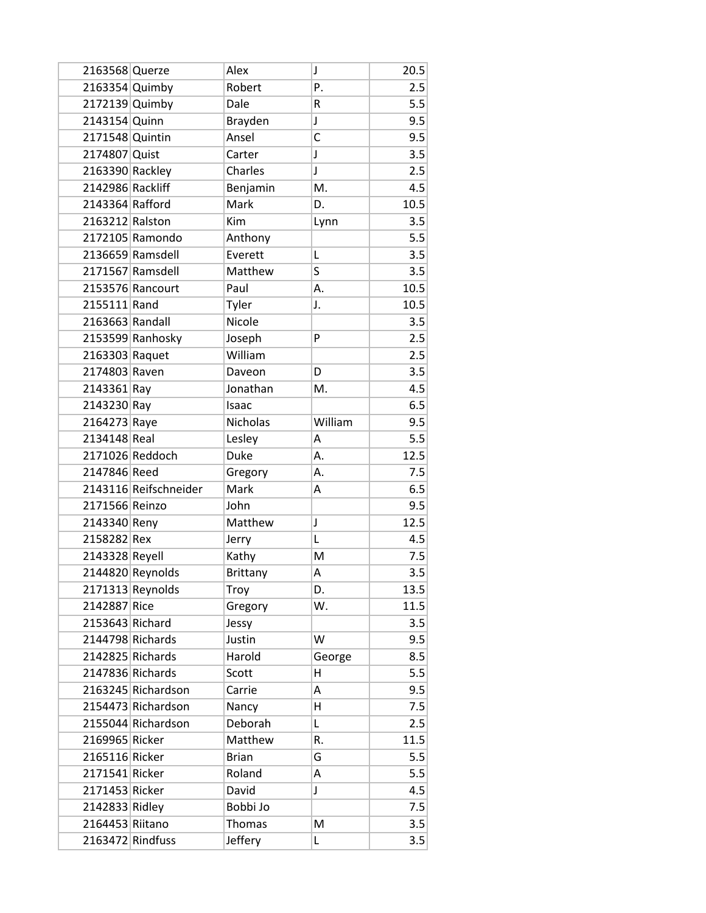| 2163568 Querze   |                       | Alex            | J       | 20.5 |
|------------------|-----------------------|-----------------|---------|------|
| 2163354 Quimby   |                       | Robert          | P.      | 2.5  |
| 2172139 Quimby   |                       | Dale            | R       | 5.5  |
| 2143154 Quinn    |                       | Brayden         | J       | 9.5  |
| 2171548 Quintin  |                       | Ansel           | C       | 9.5  |
| 2174807 Quist    |                       | Carter          | J       | 3.5  |
| 2163390 Rackley  |                       | Charles         | J       | 2.5  |
| 2142986 Rackliff |                       | Benjamin        | M.      | 4.5  |
| 2143364 Rafford  |                       | Mark            | D.      | 10.5 |
| 2163212 Ralston  |                       | Kim             | Lynn    | 3.5  |
|                  | 2172105 Ramondo       | Anthony         |         | 5.5  |
|                  | 2136659 Ramsdell      | Everett         | L       | 3.5  |
|                  | 2171567 Ramsdell      | Matthew         | S       | 3.5  |
|                  | 2153576 Rancourt      | Paul            | Α.      | 10.5 |
| 2155111 Rand     |                       | Tyler           | J.      | 10.5 |
| 2163663 Randall  |                       | Nicole          |         | 3.5  |
|                  | 2153599 Ranhosky      | Joseph          | P       | 2.5  |
| 2163303 Raquet   |                       | William         |         | 2.5  |
| 2174803 Raven    |                       | Daveon          | D       | 3.5  |
| 2143361 Ray      |                       | Jonathan        | M.      | 4.5  |
| 2143230 Ray      |                       | Isaac           |         | 6.5  |
| 2164273 Raye     |                       | <b>Nicholas</b> | William | 9.5  |
| 2134148 Real     |                       | Lesley          | Α       | 5.5  |
|                  | 2171026 Reddoch       | Duke            | А.      | 12.5 |
| 2147846 Reed     |                       | Gregory         | А.      | 7.5  |
|                  | 2143116 Reifschneider | Mark            | А       | 6.5  |
| 2171566 Reinzo   |                       | John            |         | 9.5  |
| 2143340 Reny     |                       | Matthew         | J       | 12.5 |
| 2158282 Rex      |                       | Jerry           | Г       | 4.5  |
| 2143328 Reyell   |                       | Kathy           | M       | 7.5  |
|                  | 2144820 Reynolds      | <b>Brittany</b> | Α       | 3.5  |
|                  | 2171313 Reynolds      | Troy            | D.      | 13.5 |
| 2142887 Rice     |                       | Gregory         | W.      | 11.5 |
| 2153643 Richard  |                       | Jessy           |         | 3.5  |
| 2144798 Richards |                       | Justin          | W       | 9.5  |
| 2142825 Richards |                       | Harold          | George  | 8.5  |
| 2147836 Richards |                       | Scott           | н       | 5.5  |
|                  | 2163245 Richardson    | Carrie          | А       | 9.5  |
|                  | 2154473 Richardson    | Nancy           | н       | 7.5  |
|                  | 2155044 Richardson    | Deborah         | Г       | 2.5  |
| 2169965 Ricker   |                       | Matthew         | R.      | 11.5 |
| 2165116 Ricker   |                       | <b>Brian</b>    | G       | 5.5  |
| 2171541 Ricker   |                       | Roland          | А       | 5.5  |
| 2171453 Ricker   |                       | David           | J       | 4.5  |
| 2142833 Ridley   |                       | Bobbi Jo        |         | 7.5  |
| 2164453 Riitano  |                       | Thomas          | M       | 3.5  |
| 2163472 Rindfuss |                       | Jeffery         | L       | 3.5  |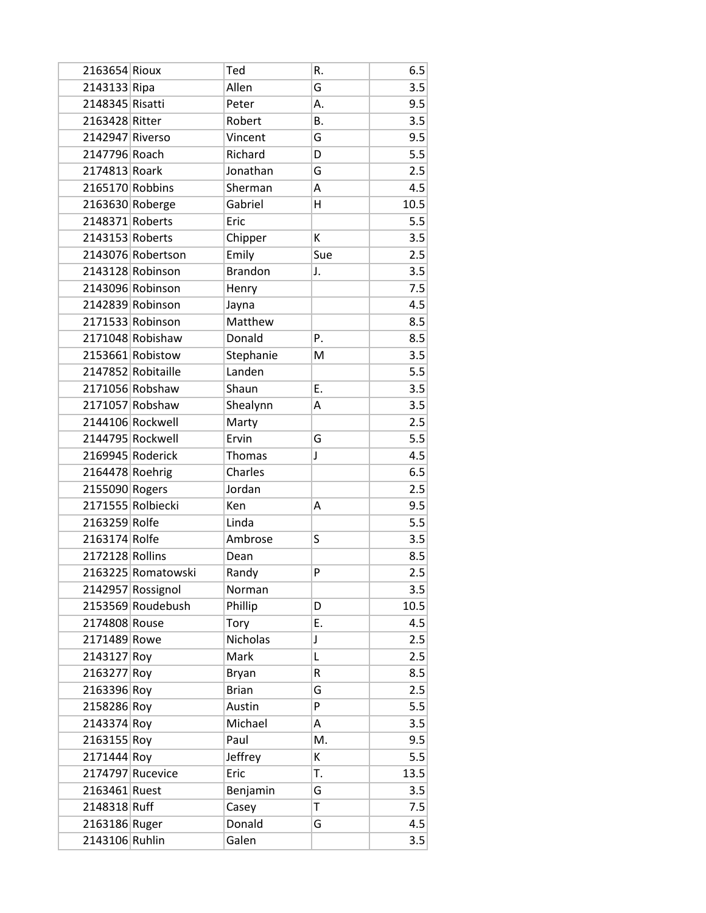| 2163654 Rioux   |                    | Ted            | R.  | 6.5  |
|-----------------|--------------------|----------------|-----|------|
| 2143133 Ripa    |                    | Allen          | G   | 3.5  |
| 2148345 Risatti |                    | Peter          | А.  | 9.5  |
| 2163428 Ritter  |                    | Robert         | В.  | 3.5  |
| 2142947 Riverso |                    | Vincent        | G   | 9.5  |
| 2147796 Roach   |                    | Richard        | D   | 5.5  |
| 2174813 Roark   |                    | Jonathan       | G   | 2.5  |
| 2165170 Robbins |                    | Sherman        | А   | 4.5  |
| 2163630 Roberge |                    | Gabriel        | н   | 10.5 |
| 2148371 Roberts |                    | Eric           |     | 5.5  |
| 2143153 Roberts |                    | Chipper        | К   | 3.5  |
|                 | 2143076 Robertson  | Emily          | Sue | 2.5  |
|                 | 2143128 Robinson   | <b>Brandon</b> | J.  | 3.5  |
|                 | 2143096 Robinson   | Henry          |     | 7.5  |
|                 | 2142839 Robinson   | Jayna          |     | 4.5  |
|                 | 2171533 Robinson   | Matthew        |     | 8.5  |
|                 | 2171048 Robishaw   | Donald         | Ρ.  | 8.5  |
|                 | 2153661 Robistow   | Stephanie      | M   | 3.5  |
|                 | 2147852 Robitaille | Landen         |     | 5.5  |
|                 | 2171056 Robshaw    | Shaun          | Ε.  | 3.5  |
|                 | 2171057 Robshaw    | Shealynn       | А   | 3.5  |
|                 | 2144106 Rockwell   | Marty          |     | 2.5  |
|                 | 2144795 Rockwell   | Ervin          | G   | 5.5  |
|                 | 2169945 Roderick   | Thomas         | J   | 4.5  |
| 2164478 Roehrig |                    | Charles        |     | 6.5  |
| 2155090 Rogers  |                    | Jordan         |     | 2.5  |
|                 | 2171555 Rolbiecki  | Ken            | Α   | 9.5  |
| 2163259 Rolfe   |                    | Linda          |     | 5.5  |
| 2163174 Rolfe   |                    | Ambrose        | S   | 3.5  |
| 2172128 Rollins |                    | Dean           |     | 8.5  |
|                 | 2163225 Romatowski | Randy          | P   | 2.5  |
|                 | 2142957 Rossignol  | Norman         |     | 3.5  |
|                 | 2153569 Roudebush  | Phillip        | D   | 10.5 |
| 2174808 Rouse   |                    | Tory           | Ε.  | 4.5  |
| 2171489 Rowe    |                    | Nicholas       | J   | 2.5  |
| 2143127 Roy     |                    | Mark           | L   | 2.5  |
| 2163277 Roy     |                    | Bryan          | R   | 8.5  |
| 2163396 Roy     |                    | <b>Brian</b>   | G   | 2.5  |
| 2158286 Roy     |                    | Austin         | P   | 5.5  |
| 2143374 Roy     |                    | Michael        | Α   | 3.5  |
| 2163155 Roy     |                    | Paul           | M.  | 9.5  |
| 2171444 Roy     |                    | Jeffrey        | К   | 5.5  |
|                 | 2174797 Rucevice   | Eric           | T.  | 13.5 |
| 2163461 Ruest   |                    | Benjamin       | G   | 3.5  |
| 2148318 Ruff    |                    | Casey          | T   | 7.5  |
| 2163186 Ruger   |                    | Donald         | G   | 4.5  |
| 2143106 Ruhlin  |                    | Galen          |     | 3.5  |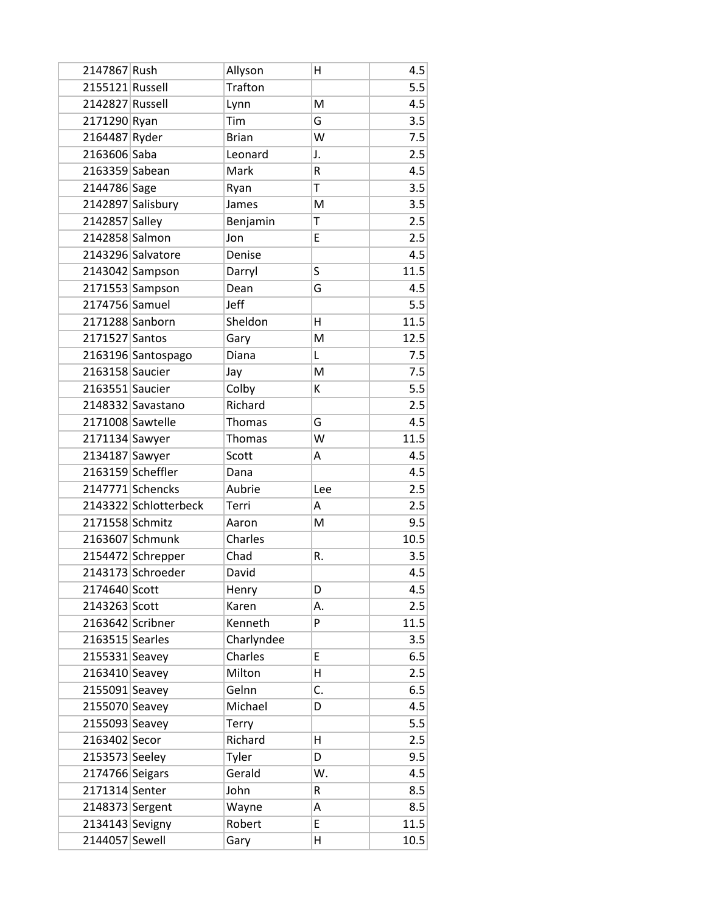| 2147867 Rush     |                       | Allyson        | Η   | 4.5  |
|------------------|-----------------------|----------------|-----|------|
| 2155121 Russell  |                       | <b>Trafton</b> |     | 5.5  |
| 2142827 Russell  |                       | Lynn           | M   | 4.5  |
| 2171290 Ryan     |                       | Tim            | G   | 3.5  |
| 2164487 Ryder    |                       | <b>Brian</b>   | W   | 7.5  |
| 2163606 Saba     |                       | Leonard        | J.  | 2.5  |
| 2163359 Sabean   |                       | Mark           | R   | 4.5  |
| 2144786 Sage     |                       | Ryan           | T   | 3.5  |
|                  | 2142897 Salisbury     | James          | M   | 3.5  |
| 2142857 Salley   |                       | Benjamin       | T   | 2.5  |
| 2142858 Salmon   |                       | Jon            | E   | 2.5  |
|                  | 2143296 Salvatore     | Denise         |     | 4.5  |
|                  | 2143042 Sampson       | Darryl         | S   | 11.5 |
|                  | 2171553 Sampson       | Dean           | G   | 4.5  |
| 2174756 Samuel   |                       | Jeff           |     | 5.5  |
| 2171288 Sanborn  |                       | Sheldon        | H   | 11.5 |
| 2171527 Santos   |                       | Gary           | M   | 12.5 |
|                  | 2163196 Santospago    | Diana          | L   | 7.5  |
| 2163158 Saucier  |                       | Jay            | M   | 7.5  |
| 2163551 Saucier  |                       | Colby          | К   | 5.5  |
|                  | 2148332 Savastano     | Richard        |     | 2.5  |
| 2171008 Sawtelle |                       | Thomas         | G   | 4.5  |
| 2171134 Sawyer   |                       | Thomas         | W   | 11.5 |
| 2134187 Sawyer   |                       | Scott          | Α   | 4.5  |
|                  | 2163159 Scheffler     | Dana           |     | 4.5  |
|                  | 2147771 Schencks      | Aubrie         | Lee | 2.5  |
|                  | 2143322 Schlotterbeck | Terri          | Α   | 2.5  |
| 2171558 Schmitz  |                       | Aaron          | M   | 9.5  |
|                  | 2163607 Schmunk       | Charles        |     | 10.5 |
|                  | 2154472 Schrepper     | Chad           | R.  | 3.5  |
|                  | 2143173 Schroeder     | David          |     | 4.5  |
| 2174640 Scott    |                       | Henry          | D   | 4.5  |
| 2143263 Scott    |                       | Karen          | Α.  | 2.5  |
| 2163642 Scribner |                       | Kenneth        | P   | 11.5 |
| 2163515 Searles  |                       | Charlyndee     |     | 3.5  |
| 2155331 Seavey   |                       | Charles        | E   | 6.5  |
| 2163410 Seavey   |                       | Milton         | H   | 2.5  |
| 2155091 Seavey   |                       | Gelnn          | C.  | 6.5  |
| 2155070 Seavey   |                       | Michael        | D   | 4.5  |
| 2155093 Seavey   |                       | Terry          |     | 5.5  |
| 2163402 Secor    |                       | Richard        | н   | 2.5  |
| 2153573 Seeley   |                       | Tyler          | D   | 9.5  |
| 2174766 Seigars  |                       | Gerald         | W.  | 4.5  |
| 2171314 Senter   |                       | John           | R   | 8.5  |
| 2148373 Sergent  |                       | Wayne          | Α   | 8.5  |
| 2134143 Sevigny  |                       | Robert         | E   | 11.5 |
| 2144057 Sewell   |                       | Gary           | Η   | 10.5 |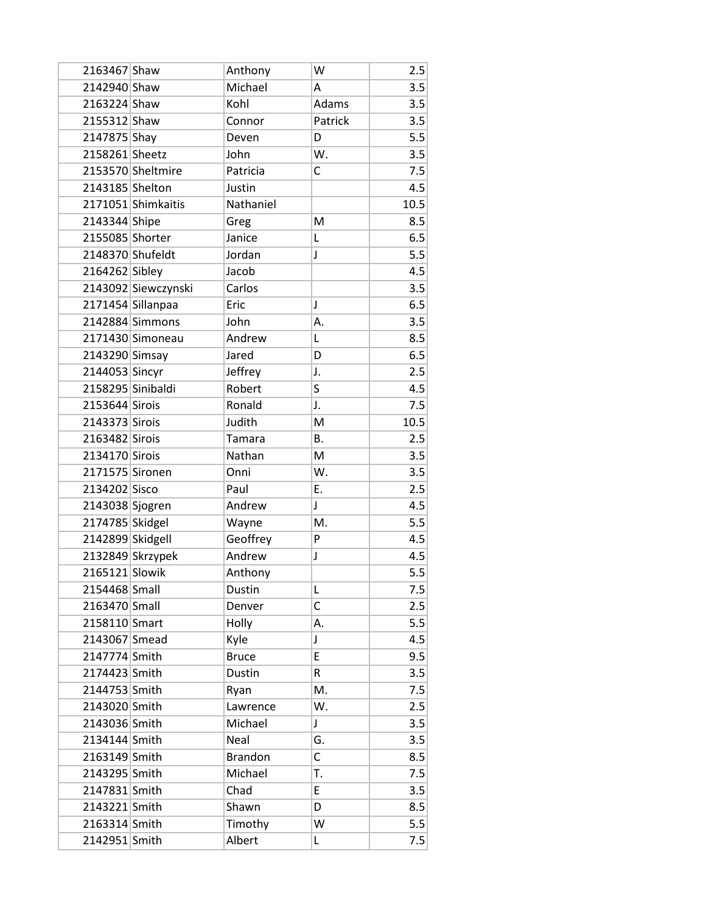| 2163467 Shaw      |                     | Anthony        | W       | 2.5  |
|-------------------|---------------------|----------------|---------|------|
| 2142940 Shaw      |                     | Michael        | A       | 3.5  |
| 2163224 Shaw      |                     | Kohl           | Adams   | 3.5  |
| 2155312 Shaw      |                     | Connor         | Patrick | 3.5  |
| 2147875 Shay      |                     | Deven          | D       | 5.5  |
| 2158261 Sheetz    |                     | John           | W.      | 3.5  |
|                   | 2153570 Sheltmire   | Patricia       | C       | 7.5  |
| 2143185 Shelton   |                     | Justin         |         | 4.5  |
|                   | 2171051 Shimkaitis  | Nathaniel      |         | 10.5 |
| 2143344 Shipe     |                     | Greg           | M       | 8.5  |
| 2155085 Shorter   |                     | Janice         | L       | 6.5  |
| 2148370 Shufeldt  |                     | Jordan         | J       | 5.5  |
| 2164262 Sibley    |                     | Jacob          |         | 4.5  |
|                   | 2143092 Siewczynski | Carlos         |         | 3.5  |
|                   | 2171454 Sillanpaa   | Eric           | J       | 6.5  |
|                   | 2142884 Simmons     | John           | А.      | 3.5  |
|                   | 2171430 Simoneau    | Andrew         | L       | 8.5  |
| 2143290 Simsay    |                     | Jared          | D       | 6.5  |
| 2144053 Sincyr    |                     | Jeffrey        | J.      | 2.5  |
| 2158295 Sinibaldi |                     | Robert         | S       | 4.5  |
| 2153644 Sirois    |                     | Ronald         | J.      | 7.5  |
| 2143373 Sirois    |                     | Judith         | M       | 10.5 |
| 2163482 Sirois    |                     | Tamara         | Β.      | 2.5  |
| 2134170 Sirois    |                     | Nathan         | M       | 3.5  |
| 2171575 Sironen   |                     | Onni           | W.      | 3.5  |
| 2134202 Sisco     |                     | Paul           | E.      | 2.5  |
| 2143038 Sjogren   |                     | Andrew         | J       | 4.5  |
| 2174785 Skidgel   |                     | Wayne          | M.      | 5.5  |
| 2142899 Skidgell  |                     | Geoffrey       | P       | 4.5  |
|                   | 2132849 Skrzypek    | Andrew         | J       | 4.5  |
| 2165121 Slowik    |                     | Anthony        |         | 5.5  |
| 2154468 Small     |                     | Dustin         | L       | 7.5  |
| 2163470 Small     |                     | Denver         | C       | 2.5  |
| 2158110 Smart     |                     | Holly          | А.      | 5.5  |
| 2143067 Smead     |                     | Kyle           | J       | 4.5  |
| 2147774 Smith     |                     | <b>Bruce</b>   | E       | 9.5  |
| 2174423 Smith     |                     | <b>Dustin</b>  | R       | 3.5  |
| 2144753 Smith     |                     | Ryan           | M.      | 7.5  |
| 2143020 Smith     |                     | Lawrence       | W.      | 2.5  |
| 2143036 Smith     |                     | Michael        | J       | 3.5  |
| 2134144 Smith     |                     | Neal           | G.      | 3.5  |
| 2163149 Smith     |                     | <b>Brandon</b> | C       | 8.5  |
| 2143295 Smith     |                     | Michael        | T.      | 7.5  |
| 2147831 Smith     |                     | Chad           | E       | 3.5  |
| 2143221 Smith     |                     | Shawn          | D       | 8.5  |
| 2163314 Smith     |                     | Timothy        | W       | 5.5  |
| 2142951 Smith     |                     | Albert         | L       | 7.5  |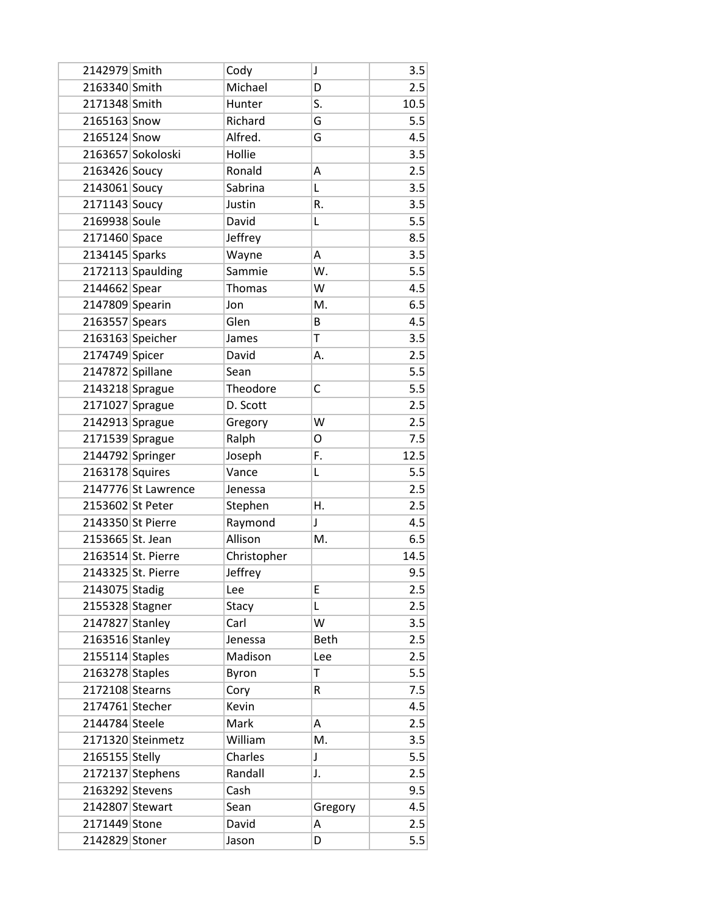| 2142979 Smith     |                     | Cody        | J            | 3.5  |
|-------------------|---------------------|-------------|--------------|------|
| 2163340 Smith     |                     | Michael     | D            | 2.5  |
| 2171348 Smith     |                     | Hunter      | S.           | 10.5 |
| 2165163 Snow      |                     | Richard     | G            | 5.5  |
| 2165124 Snow      |                     | Alfred.     | G            | 4.5  |
|                   | 2163657 Sokoloski   | Hollie      |              | 3.5  |
| 2163426 Soucy     |                     | Ronald      | Α            | 2.5  |
| 2143061 Soucy     |                     | Sabrina     | Г            | 3.5  |
| 2171143 Soucy     |                     | Justin      | R.           | 3.5  |
| 2169938 Soule     |                     | David       | L            | 5.5  |
| 2171460 Space     |                     | Jeffrey     |              | 8.5  |
| 2134145 Sparks    |                     | Wayne       | Α            | 3.5  |
|                   | 2172113 Spaulding   | Sammie      | W.           | 5.5  |
| 2144662 Spear     |                     | Thomas      | W            | 4.5  |
| 2147809 Spearin   |                     | Jon         | M.           | 6.5  |
| 2163557 Spears    |                     | Glen        | B            | 4.5  |
|                   | 2163163 Speicher    | James       | T            | 3.5  |
| 2174749 Spicer    |                     | David       | А.           | 2.5  |
| 2147872 Spillane  |                     | Sean        |              | 5.5  |
| 2143218 Sprague   |                     | Theodore    | C            | 5.5  |
| 2171027 Sprague   |                     | D. Scott    |              | 2.5  |
| 2142913 Sprague   |                     | Gregory     | W            | 2.5  |
| 2171539 Sprague   |                     | Ralph       | O            | 7.5  |
| 2144792 Springer  |                     | Joseph      | F.           | 12.5 |
| 2163178 Squires   |                     | Vance       | Г            | 5.5  |
|                   | 2147776 St Lawrence | Jenessa     |              | 2.5  |
| 2153602 St Peter  |                     | Stephen     | Η.           | 2.5  |
|                   | 2143350 St Pierre   | Raymond     | $\mathsf{J}$ | 4.5  |
| 2153665 St. Jean  |                     | Allison     | M.           | 6.5  |
|                   | 2163514 St. Pierre  | Christopher |              | 14.5 |
|                   | 2143325 St. Pierre  | Jeffrey     |              | 9.5  |
| 2143075 Stadig    |                     | Lee         | Е            | 2.5  |
| 2155328 Stagner   |                     | Stacy       | L            | 2.5  |
| 2147827 Stanley   |                     | Carl        | W            | 3.5  |
| 2163516 Stanley   |                     | Jenessa     | <b>Beth</b>  | 2.5  |
| $2155114$ Staples |                     | Madison     | Lee          | 2.5  |
| 2163278 Staples   |                     | Byron       | T            | 5.5  |
| 2172108 Stearns   |                     | Cory        | R            | 7.5  |
| 2174761 Stecher   |                     | Kevin       |              | 4.5  |
| 2144784 Steele    |                     | Mark        | А            | 2.5  |
|                   | 2171320 Steinmetz   | William     | M.           | 3.5  |
| 2165155 Stelly    |                     | Charles     | J            | 5.5  |
|                   | 2172137 Stephens    | Randall     | J.           | 2.5  |
| 2163292 Stevens   |                     | Cash        |              | 9.5  |
| 2142807 Stewart   |                     | Sean        | Gregory      | 4.5  |
| 2171449 Stone     |                     | David       | Α            | 2.5  |
| 2142829 Stoner    |                     | Jason       | D            | 5.5  |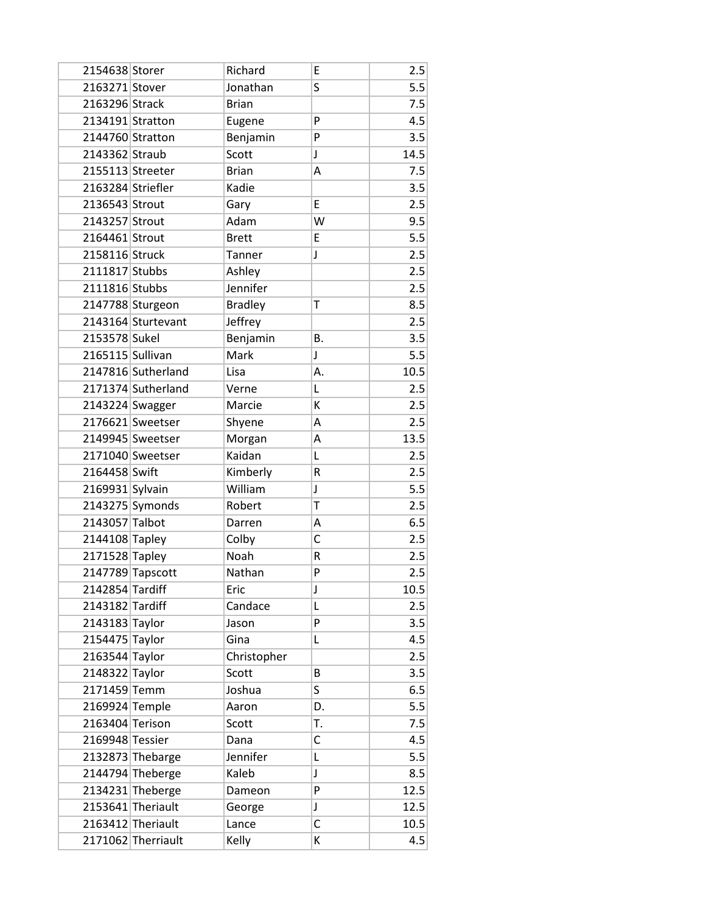| 2154638 Storer    |                    | Richard        | E           | 2.5  |
|-------------------|--------------------|----------------|-------------|------|
| 2163271 Stover    |                    | Jonathan       | S           | 5.5  |
| 2163296 Strack    |                    | <b>Brian</b>   |             | 7.5  |
| 2134191 Stratton  |                    | Eugene         | P           | 4.5  |
| 2144760 Stratton  |                    | Benjamin       | P           | 3.5  |
| 2143362 Straub    |                    | Scott          | J           | 14.5 |
| 2155113 Streeter  |                    | <b>Brian</b>   | Α           | 7.5  |
| 2163284 Striefler |                    | Kadie          |             | 3.5  |
| 2136543 Strout    |                    | Gary           | E           | 2.5  |
| 2143257 Strout    |                    | Adam           | W           | 9.5  |
| 2164461 Strout    |                    | <b>Brett</b>   | E           | 5.5  |
| 2158116 Struck    |                    | Tanner         | $\mathsf J$ | 2.5  |
| 2111817 Stubbs    |                    | Ashley         |             | 2.5  |
| 2111816 Stubbs    |                    | Jennifer       |             | 2.5  |
|                   | 2147788 Sturgeon   | <b>Bradley</b> | Τ           | 8.5  |
|                   | 2143164 Sturtevant | Jeffrey        |             | 2.5  |
| 2153578 Sukel     |                    | Benjamin       | Β.          | 3.5  |
| 2165115 Sullivan  |                    | Mark           | $\mathsf J$ | 5.5  |
|                   | 2147816 Sutherland | Lisa           | Α.          | 10.5 |
|                   | 2171374 Sutherland | Verne          | Г           | 2.5  |
| 2143224 Swagger   |                    | Marcie         | К           | 2.5  |
|                   | 2176621 Sweetser   | Shyene         | Α           | 2.5  |
|                   | 2149945 Sweetser   | Morgan         | Α           | 13.5 |
|                   | 2171040 Sweetser   | Kaidan         | L           | 2.5  |
| 2164458 Swift     |                    | Kimberly       | R           | 2.5  |
| 2169931 Sylvain   |                    | William        | J           | 5.5  |
|                   | 2143275 Symonds    | Robert         | T           | 2.5  |
| 2143057 Talbot    |                    | Darren         | Α           | 6.5  |
| 2144108 Tapley    |                    | Colby          | C           | 2.5  |
| 2171528 Tapley    |                    | Noah           | R           | 2.5  |
|                   | 2147789 Tapscott   | Nathan         | P           | 2.5  |
| 2142854 Tardiff   |                    | Eric           | J           | 10.5 |
| 2143182 Tardiff   |                    | Candace        | Г           | 2.5  |
| 2143183 Taylor    |                    | Jason          | P           | 3.5  |
| 2154475 Taylor    |                    | Gina           | L           | 4.5  |
| 2163544 Taylor    |                    | Christopher    |             | 2.5  |
| 2148322 Taylor    |                    | Scott          | B           | 3.5  |
| 2171459 Temm      |                    | Joshua         | S           | 6.5  |
| 2169924 Temple    |                    | Aaron          | D.          | 5.5  |
| 2163404 Terison   |                    | Scott          | T.          | 7.5  |
| 2169948 Tessier   |                    | Dana           | С           | 4.5  |
|                   | 2132873 Thebarge   | Jennifer       | L           | 5.5  |
|                   | 2144794 Theberge   | Kaleb          | J           | 8.5  |
|                   | 2134231 Theberge   | Dameon         | P           | 12.5 |
|                   | 2153641 Theriault  | George         | J           | 12.5 |
|                   | 2163412 Theriault  | Lance          | C           | 10.5 |
|                   | 2171062 Therriault | Kelly          | К           | 4.5  |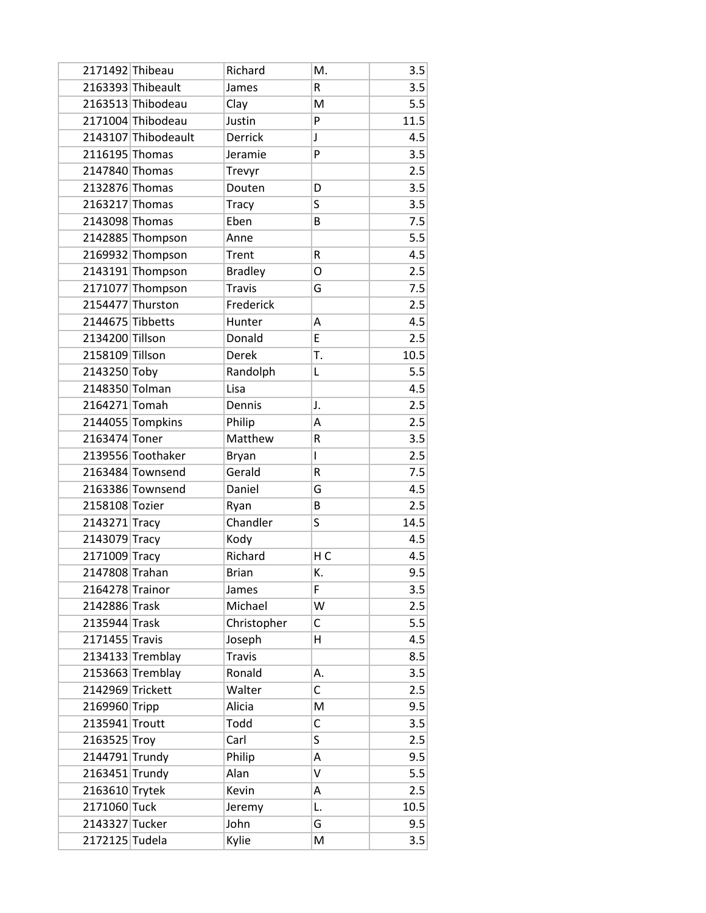| 2171492 Thibeau  |                     | Richard        | M.             | 3.5  |
|------------------|---------------------|----------------|----------------|------|
|                  | 2163393 Thibeault   | James          | R              | 3.5  |
|                  | 2163513 Thibodeau   | Clay           | M              | 5.5  |
|                  | 2171004 Thibodeau   | Justin         | P              | 11.5 |
|                  | 2143107 Thibodeault | <b>Derrick</b> | J              | 4.5  |
| 2116195 Thomas   |                     | Jeramie        | P              | 3.5  |
| 2147840 Thomas   |                     | Trevyr         |                | 2.5  |
| 2132876 Thomas   |                     | Douten         | D              | 3.5  |
| 2163217 Thomas   |                     | <b>Tracy</b>   | S              | 3.5  |
| 2143098 Thomas   |                     | Eben           | B              | 7.5  |
|                  | 2142885 Thompson    | Anne           |                | 5.5  |
|                  | 2169932 Thompson    | Trent          | R              | 4.5  |
|                  | 2143191 Thompson    | <b>Bradley</b> | 0              | 2.5  |
|                  | 2171077 Thompson    | <b>Travis</b>  | G              | 7.5  |
|                  | 2154477 Thurston    | Frederick      |                | 2.5  |
| 2144675 Tibbetts |                     | Hunter         | Α              | 4.5  |
| 2134200 Tillson  |                     | Donald         | E              | 2.5  |
| 2158109 Tillson  |                     | Derek          | T.             | 10.5 |
| 2143250 Toby     |                     | Randolph       | L              | 5.5  |
| 2148350 Tolman   |                     | Lisa           |                | 4.5  |
| 2164271 Tomah    |                     | Dennis         | J.             | 2.5  |
|                  | 2144055 Tompkins    | Philip         | Α              | 2.5  |
| 2163474 Toner    |                     | Matthew        | R              | 3.5  |
|                  | 2139556 Toothaker   | Bryan          | L              | 2.5  |
|                  | 2163484 Townsend    | Gerald         | R              | 7.5  |
|                  | 2163386 Townsend    | Daniel         | G              | 4.5  |
| 2158108 Tozier   |                     | Ryan           | B              | 2.5  |
| 2143271 Tracy    |                     | Chandler       | S              | 14.5 |
| 2143079 Tracy    |                     | Kody           |                | 4.5  |
| 2171009 Tracy    |                     | Richard        | H <sub>C</sub> | 4.5  |
| 2147808 Trahan   |                     | <b>Brian</b>   | K.             | 9.5  |
| 2164278 Trainor  |                     | James          | F              | 3.5  |
| 2142886 Trask    |                     | Michael        | W              | 2.5  |
| 2135944 Trask    |                     | Christopher    | С              | 5.5  |
| 2171455 Travis   |                     | Joseph         | н              | 4.5  |
|                  | 2134133 Tremblay    | <b>Travis</b>  |                | 8.5  |
|                  | 2153663 Tremblay    | Ronald         | А.             | 3.5  |
| 2142969 Trickett |                     | Walter         | $\mathsf{C}$   | 2.5  |
| 2169960 Tripp    |                     | Alicia         | M              | 9.5  |
| 2135941 Troutt   |                     | Todd           | $\mathsf{C}$   | 3.5  |
| 2163525 Troy     |                     | Carl           | S              | 2.5  |
| 2144791 Trundy   |                     | Philip         | Α              | 9.5  |
| 2163451 Trundy   |                     | Alan           | V              | 5.5  |
| 2163610 Trytek   |                     | Kevin          | Α              | 2.5  |
| 2171060 Tuck     |                     | Jeremy         | L.             | 10.5 |
| 2143327 Tucker   |                     | John           | G              | 9.5  |
| 2172125 Tudela   |                     | Kylie          | M              | 3.5  |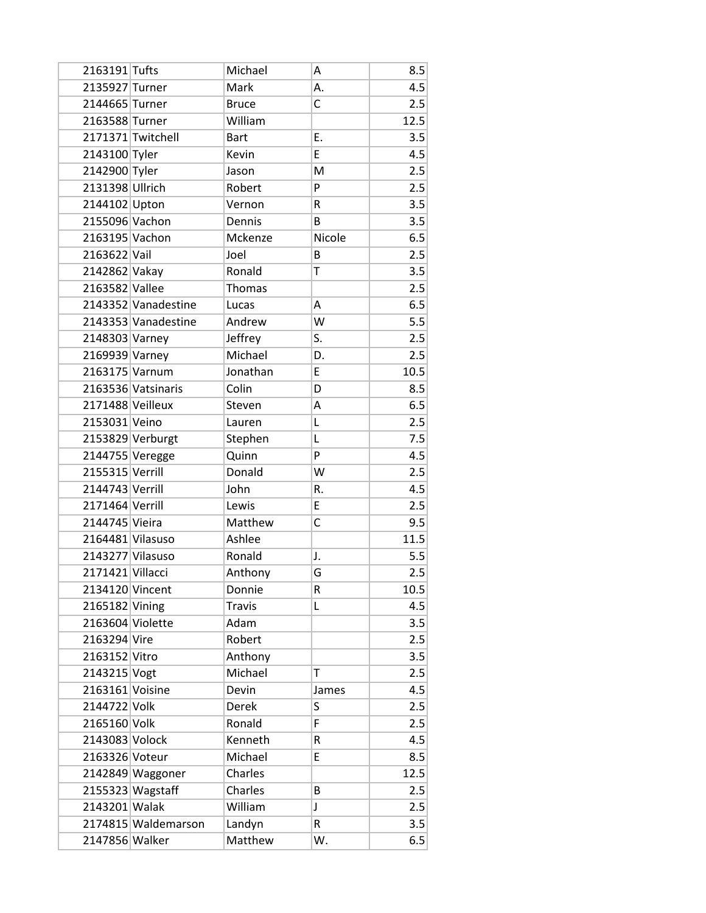| 2163191 Tufts    |                     | Michael       | А      | 8.5  |
|------------------|---------------------|---------------|--------|------|
| 2135927 Turner   |                     | Mark          | Α.     | 4.5  |
| 2144665 Turner   |                     | <b>Bruce</b>  | C      | 2.5  |
| 2163588 Turner   |                     | William       |        | 12.5 |
|                  | 2171371 Twitchell   | <b>Bart</b>   | E.     | 3.5  |
| 2143100 Tyler    |                     | Kevin         | E      | 4.5  |
| 2142900 Tyler    |                     | Jason         | M      | 2.5  |
| 2131398 Ullrich  |                     | Robert        | P      | 2.5  |
| 2144102 Upton    |                     | Vernon        | R      | 3.5  |
| 2155096 Vachon   |                     | Dennis        | В      | 3.5  |
| 2163195 Vachon   |                     | Mckenze       | Nicole | 6.5  |
| 2163622 Vail     |                     | Joel          | B      | 2.5  |
| 2142862 Vakay    |                     | Ronald        | Τ      | 3.5  |
| 2163582 Vallee   |                     | Thomas        |        | 2.5  |
|                  | 2143352 Vanadestine | Lucas         | Α      | 6.5  |
|                  | 2143353 Vanadestine | Andrew        | W      | 5.5  |
| 2148303 Varney   |                     | Jeffrey       | S.     | 2.5  |
| 2169939 Varney   |                     | Michael       | D.     | 2.5  |
| 2163175 Varnum   |                     | Jonathan      | E      | 10.5 |
|                  | 2163536 Vatsinaris  | Colin         | D      | 8.5  |
| 2171488 Veilleux |                     | Steven        | Α      | 6.5  |
| 2153031 Veino    |                     | Lauren        | L      | 2.5  |
|                  | 2153829 Verburgt    | Stephen       | L      | 7.5  |
| 2144755 Veregge  |                     | Quinn         | P      | 4.5  |
| 2155315 Verrill  |                     | Donald        | W      | 2.5  |
| 2144743 Verrill  |                     | John          | R.     | 4.5  |
| 2171464 Verrill  |                     | Lewis         | E      | 2.5  |
| 2144745 Vieira   |                     | Matthew       | C      | 9.5  |
| 2164481 Vilasuso |                     | Ashlee        |        | 11.5 |
| 2143277 Vilasuso |                     | Ronald        | J.     | 5.5  |
| 2171421 Villacci |                     | Anthony       | G      | 2.5  |
| 2134120 Vincent  |                     | Donnie        | R      | 10.5 |
| 2165182 Vining   |                     | <b>Travis</b> | Г      | 4.5  |
| 2163604 Violette |                     | Adam          |        | 3.5  |
| 2163294 Vire     |                     | Robert        |        | 2.5  |
| 2163152 Vitro    |                     | Anthony       |        | 3.5  |
| 2143215 Vogt     |                     | Michael       | T      | 2.5  |
| 2163161 Voisine  |                     | Devin         | James  | 4.5  |
| 2144722 Volk     |                     | <b>Derek</b>  | S      | 2.5  |
| 2165160 Volk     |                     | Ronald        | F      | 2.5  |
| 2143083 Volock   |                     | Kenneth       | R      | 4.5  |
| 2163326 Voteur   |                     | Michael       | E      | 8.5  |
|                  | 2142849 Waggoner    | Charles       |        | 12.5 |
|                  | 2155323 Wagstaff    | Charles       | В      | 2.5  |
| 2143201 Walak    |                     | William       | J      | 2.5  |
|                  | 2174815 Waldemarson | Landyn        | R      | 3.5  |
| 2147856 Walker   |                     | Matthew       | W.     | 6.5  |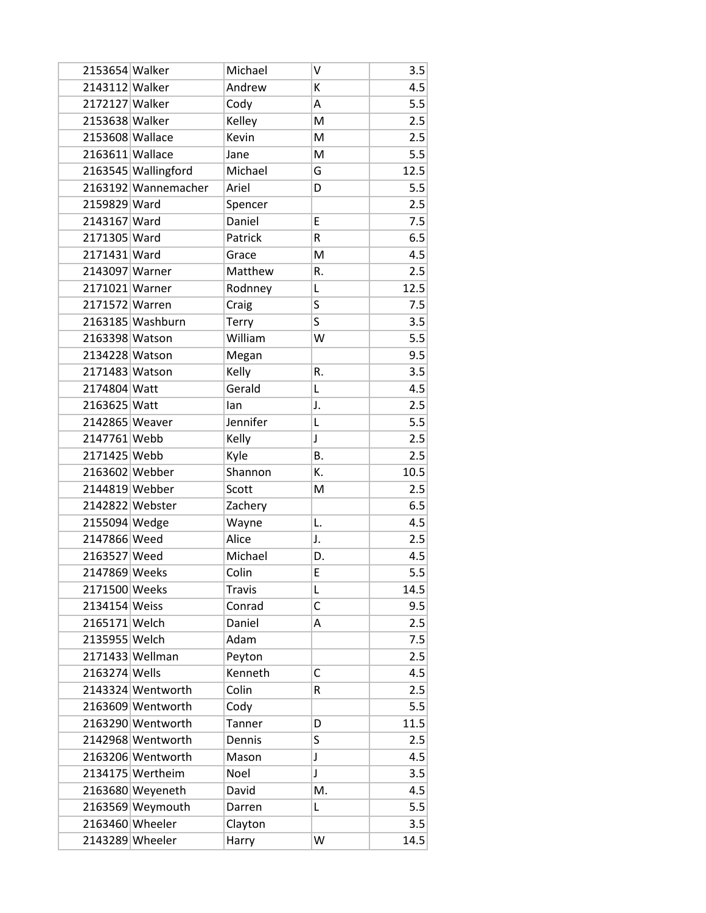| 2153654 Walker  |                     | Michael       | V            | 3.5  |
|-----------------|---------------------|---------------|--------------|------|
| 2143112 Walker  |                     | Andrew        | К            | 4.5  |
| 2172127 Walker  |                     | Cody          | Α            | 5.5  |
| 2153638 Walker  |                     | Kelley        | M            | 2.5  |
| 2153608 Wallace |                     | Kevin         | M            | 2.5  |
| 2163611 Wallace |                     | Jane          | M            | 5.5  |
|                 | 2163545 Wallingford | Michael       | G            | 12.5 |
|                 | 2163192 Wannemacher | Ariel         | D            | 5.5  |
| 2159829 Ward    |                     | Spencer       |              | 2.5  |
| 2143167 Ward    |                     | Daniel        | E            | 7.5  |
| 2171305 Ward    |                     | Patrick       | R            | 6.5  |
| 2171431 Ward    |                     | Grace         | M            | 4.5  |
| 2143097 Warner  |                     | Matthew       | R.           | 2.5  |
| 2171021 Warner  |                     | Rodnney       | L            | 12.5 |
| 2171572 Warren  |                     | Craig         | S            | 7.5  |
|                 | 2163185 Washburn    | Terry         | S            | 3.5  |
| 2163398 Watson  |                     | William       | W            | 5.5  |
| 2134228 Watson  |                     | Megan         |              | 9.5  |
| 2171483 Watson  |                     | Kelly         | R.           | 3.5  |
| 2174804 Watt    |                     | Gerald        | Г            | 4.5  |
| 2163625 Watt    |                     | lan           | J.           | 2.5  |
| 2142865 Weaver  |                     | Jennifer      | L            | 5.5  |
| 2147761 Webb    |                     | Kelly         | J            | 2.5  |
| 2171425 Webb    |                     | Kyle          | Β.           | 2.5  |
| 2163602 Webber  |                     | Shannon       | K.           | 10.5 |
| 2144819 Webber  |                     | Scott         | M            | 2.5  |
|                 | 2142822 Webster     | Zachery       |              | 6.5  |
| 2155094 Wedge   |                     | Wayne         | L.           | 4.5  |
| 2147866 Weed    |                     | Alice         | J.           | 2.5  |
| 2163527 Weed    |                     | Michael       | D.           | 4.5  |
| 2147869 Weeks   |                     | Colin         | E            | 5.5  |
| 2171500 Weeks   |                     | <b>Travis</b> | L            | 14.5 |
| 2134154 Weiss   |                     | Conrad        | $\mathsf{C}$ | 9.5  |
| 2165171 Welch   |                     | Daniel        | А            | 2.5  |
| 2135955 Welch   |                     | Adam          |              | 7.5  |
|                 | 2171433 Wellman     | Peyton        |              | 2.5  |
| 2163274 Wells   |                     | Kenneth       | С            | 4.5  |
|                 | 2143324 Wentworth   | Colin         | R            | 2.5  |
|                 | 2163609 Wentworth   | Cody          |              | 5.5  |
|                 | 2163290 Wentworth   | Tanner        | D            | 11.5 |
|                 | 2142968 Wentworth   | Dennis        | S            | 2.5  |
|                 | 2163206 Wentworth   | Mason         | J            | 4.5  |
|                 | 2134175 Wertheim    | Noel          | J            | 3.5  |
|                 | 2163680 Weyeneth    | David         | M.           | 4.5  |
|                 | 2163569 Weymouth    | Darren        | Г            | 5.5  |
|                 | 2163460 Wheeler     | Clayton       |              | 3.5  |
|                 | 2143289 Wheeler     | Harry         | W            | 14.5 |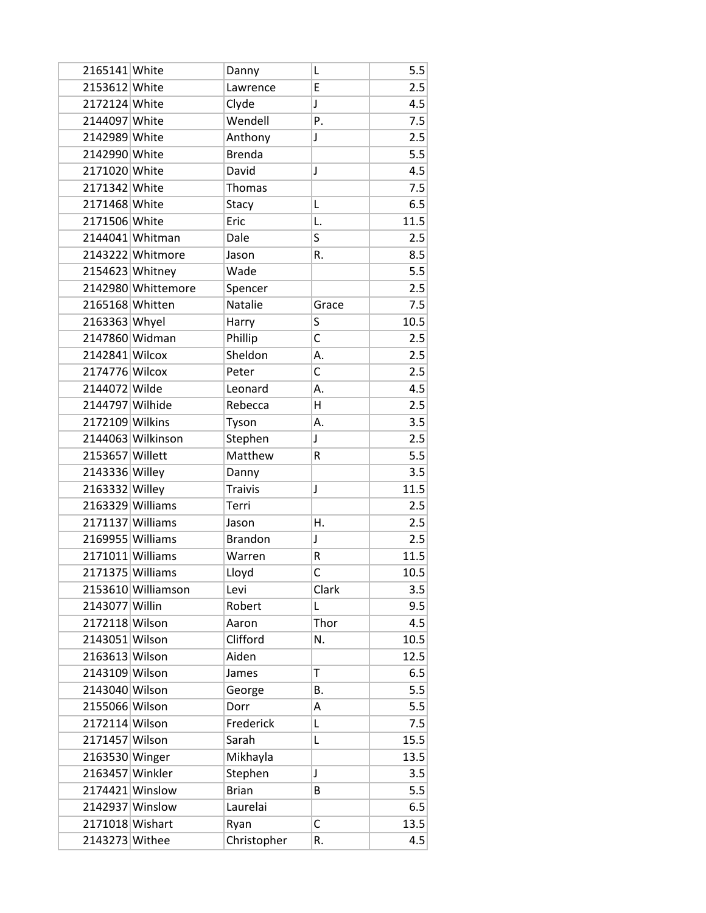| 2165141 White    |                    | Danny          | L              | 5.5  |
|------------------|--------------------|----------------|----------------|------|
| 2153612 White    |                    | Lawrence       | E              | 2.5  |
| 2172124 White    |                    | Clyde          | J              | 4.5  |
| 2144097 White    |                    | Wendell        | Ρ.             | 7.5  |
| 2142989 White    |                    | Anthony        | J              | 2.5  |
| 2142990 White    |                    | <b>Brenda</b>  |                | 5.5  |
| 2171020 White    |                    | David          | J              | 4.5  |
| 2171342 White    |                    | Thomas         |                | 7.5  |
| 2171468 White    |                    | Stacy          | L              | 6.5  |
| 2171506 White    |                    | Eric           | L.             | 11.5 |
|                  | 2144041 Whitman    | Dale           | S              | 2.5  |
|                  | 2143222 Whitmore   | Jason          | R.             | 8.5  |
| 2154623 Whitney  |                    | Wade           |                | 5.5  |
|                  | 2142980 Whittemore | Spencer        |                | 2.5  |
| 2165168 Whitten  |                    | <b>Natalie</b> | Grace          | 7.5  |
| 2163363 Whyel    |                    | Harry          | S              | 10.5 |
| 2147860 Widman   |                    | Phillip        | C              | 2.5  |
| 2142841 Wilcox   |                    | Sheldon        | А.             | 2.5  |
| 2174776 Wilcox   |                    | Peter          | C              | 2.5  |
| 2144072 Wilde    |                    | Leonard        | А.             | 4.5  |
| 2144797 Wilhide  |                    | Rebecca        | H              | 2.5  |
| 2172109 Wilkins  |                    | Tyson          | А.             | 3.5  |
|                  | 2144063 Wilkinson  | Stephen        | J              | 2.5  |
| 2153657 Willett  |                    | Matthew        | R              | 5.5  |
| 2143336 Willey   |                    | Danny          |                | 3.5  |
| 2163332 Willey   |                    | <b>Traivis</b> | J              | 11.5 |
| 2163329 Williams |                    | Terri          |                | 2.5  |
| 2171137 Williams |                    | Jason          | Η.             | 2.5  |
| 2169955 Williams |                    | <b>Brandon</b> | J              | 2.5  |
| 2171011 Williams |                    | Warren         | R              | 11.5 |
| 2171375 Williams |                    | Lloyd          | $\overline{C}$ | 10.5 |
|                  | 2153610 Williamson | Levi           | Clark          | 3.5  |
| 2143077 Willin   |                    | Robert         | L              | 9.5  |
| 2172118 Wilson   |                    | Aaron          | Thor           | 4.5  |
| 2143051 Wilson   |                    | Clifford       | N.             | 10.5 |
| 2163613 Wilson   |                    | Aiden          |                | 12.5 |
| 2143109 Wilson   |                    | James          | T              | 6.5  |
| 2143040 Wilson   |                    | George         | В.             | 5.5  |
| 2155066 Wilson   |                    | Dorr           | Α              | 5.5  |
| 2172114 Wilson   |                    | Frederick      | Г              | 7.5  |
| 2171457 Wilson   |                    | Sarah          | L              | 15.5 |
| 2163530 Winger   |                    | Mikhayla       |                | 13.5 |
| 2163457 Winkler  |                    | Stephen        | J              | 3.5  |
|                  | 2174421 Winslow    | <b>Brian</b>   | B              | 5.5  |
|                  | 2142937 Winslow    | Laurelai       |                | 6.5  |
| 2171018 Wishart  |                    | Ryan           | С              | 13.5 |
| 2143273 Withee   |                    | Christopher    | R.             | 4.5  |